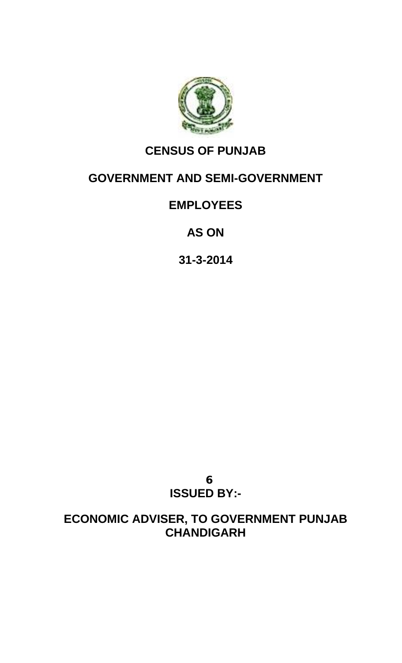

## **CENSUS OF PUNJAB**

## **GOVERNMENT AND SEMI-GOVERNMENT**

## **EMPLOYEES**

**AS ON**

**31-3-2014**

**ISSUED BY:-**

**ECONOMIC ADVISER, TO GOVERNMENT PUNJAB CHANDIGARH**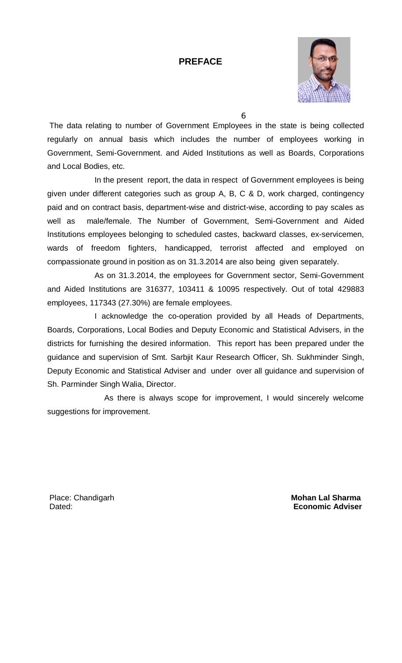#### **PREFACE**



The data relating to number of Government Employees in the state is being collected regularly on annual basis which includes the number of employees working in Government, Semi-Government. and Aided Institutions as well as Boards, Corporations and Local Bodies, etc.

In the present report, the data in respect of Government employees is being given under different categories such as group A, B, C & D, work charged, contingency paid and on contract basis, department-wise and district-wise, according to pay scales as well as male/female. The Number of Government, Semi-Government and Aided Institutions employees belonging to scheduled castes, backward classes, ex-servicemen, wards of freedom fighters, handicapped, terrorist affected and employed on compassionate ground in position as on 31.3.2014 are also being given separately.

As on 31.3.2014, the employees for Government sector, Semi-Government and Aided Institutions are 316377, 103411 & 10095 respectively. Out of total 429883 employees, 117343 (27.30%) are female employees.

I acknowledge the co-operation provided by all Heads of Departments, Boards, Corporations, Local Bodies and Deputy Economic and Statistical Advisers, in the districts for furnishing the desired information. This report has been prepared under the guidance and supervision of Smt. Sarbjit Kaur Research Officer, Sh. Sukhminder Singh, Deputy Economic and Statistical Adviser and under over all guidance and supervision of Sh. Parminder Singh Walia, Director.

 As there is always scope for improvement, I would sincerely welcome suggestions for improvement.

Place: Chandigarh **Mohan Lal Sharma Mohan Lal Sharma** Dated: **Economic Adviser**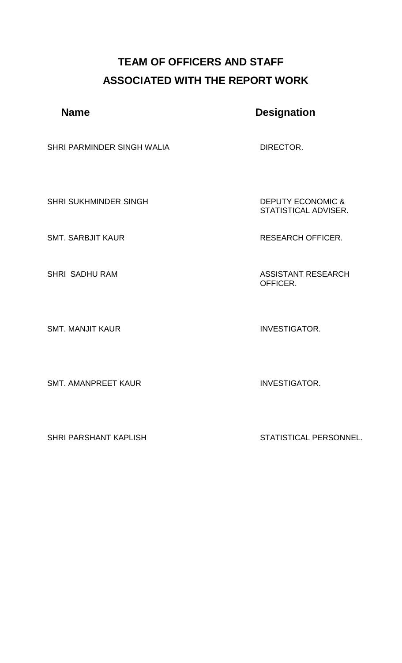## **TEAM OF OFFICERS AND STAFF ASSOCIATED WITH THE REPORT WORK**

## **Name** Designation

SHRI PARMINDER SINGH WALIA DIRECTOR.

SHRI SUKHMINDER SINGH DEPUTY ECONOMIC &

SMT. MANJIT KAUR INVESTIGATOR.

SMT. AMANPREET KAUR INVESTIGATOR.

STATISTICAL ADVISER.

SMT. SARBJIT KAUR RESEARCH OFFICER.

SHRI SADHU RAM ASSISTANT RESEARCH OFFICER.

SHRI PARSHANT KAPLISH STATISTICAL PERSONNEL.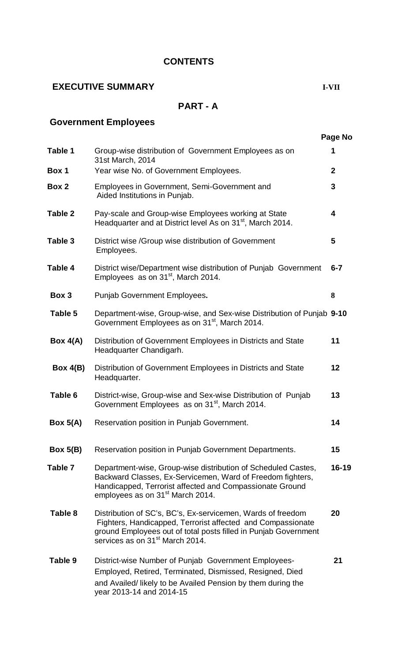#### **CONTENTS**

## **EXECUTIVE SUMMARY I-VII**

## **PART - A**

## **Government Employees**

 **Page No**

| Table 1        | Group-wise distribution of Government Employees as on<br>31st March, 2014                                                                                                                                                                    | 1            |  |  |  |  |  |
|----------------|----------------------------------------------------------------------------------------------------------------------------------------------------------------------------------------------------------------------------------------------|--------------|--|--|--|--|--|
| Box 1          | Year wise No. of Government Employees.                                                                                                                                                                                                       | $\mathbf{2}$ |  |  |  |  |  |
| Box 2          | Employees in Government, Semi-Government and<br>Aided Institutions in Punjab.                                                                                                                                                                | 3            |  |  |  |  |  |
| <b>Table 2</b> | Pay-scale and Group-wise Employees working at State<br>Headquarter and at District level As on 31 <sup>st</sup> , March 2014.                                                                                                                | 4            |  |  |  |  |  |
| Table 3        | District wise /Group wise distribution of Government<br>Employees.                                                                                                                                                                           | 5            |  |  |  |  |  |
| Table 4        | District wise/Department wise distribution of Punjab Government<br>$6 - 7$<br>Employees as on 31 <sup>st</sup> , March 2014.                                                                                                                 |              |  |  |  |  |  |
| Box 3          | Punjab Government Employees.                                                                                                                                                                                                                 |              |  |  |  |  |  |
| Table 5        | Department-wise, Group-wise, and Sex-wise Distribution of Punjab 9-10<br>Government Employees as on 31 <sup>st</sup> , March 2014.                                                                                                           |              |  |  |  |  |  |
| Box $4(A)$     | Distribution of Government Employees in Districts and State<br>Headquarter Chandigarh.                                                                                                                                                       |              |  |  |  |  |  |
| Box $4(B)$     | Distribution of Government Employees in Districts and State<br>Headquarter.                                                                                                                                                                  | 12           |  |  |  |  |  |
| Table 6        | District-wise, Group-wise and Sex-wise Distribution of Punjab<br>Government Employees as on 31 <sup>st</sup> , March 2014.                                                                                                                   | 13           |  |  |  |  |  |
| Box $5(A)$     | Reservation position in Punjab Government.                                                                                                                                                                                                   | 14           |  |  |  |  |  |
| Box $5(B)$     | Reservation position in Punjab Government Departments.                                                                                                                                                                                       | 15           |  |  |  |  |  |
| Table 7        | Department-wise, Group-wise distribution of Scheduled Castes,<br>Backward Classes, Ex-Servicemen, Ward of Freedom fighters,<br>Handicapped, Terrorist affected and Compassionate Ground<br>employees as on 31 <sup>st</sup> March 2014.      | 16-19        |  |  |  |  |  |
| Table 8        | Distribution of SC's, BC's, Ex-servicemen, Wards of freedom<br>Fighters, Handicapped, Terrorist affected and Compassionate<br>ground Employees out of total posts filled in Punjab Government<br>services as on 31 <sup>st</sup> March 2014. | 20           |  |  |  |  |  |
| Table 9        | District-wise Number of Punjab Government Employees-<br>Employed, Retired, Terminated, Dismissed, Resigned, Died<br>and Availed/ likely to be Availed Pension by them during the<br>year 2013-14 and 2014-15                                 | 21           |  |  |  |  |  |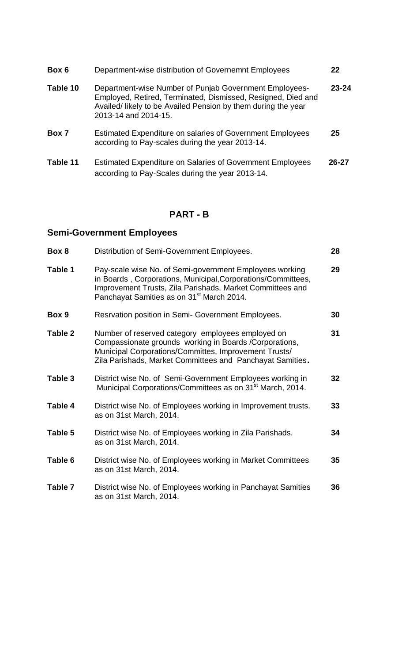| Box 6    | Department-wise distribution of Governemnt Employees                                                                                                                                                            | 22        |
|----------|-----------------------------------------------------------------------------------------------------------------------------------------------------------------------------------------------------------------|-----------|
| Table 10 | Department-wise Number of Punjab Government Employees-<br>Employed, Retired, Terminated, Dismissed, Resigned, Died and<br>Availed/ likely to be Availed Pension by them during the year<br>2013-14 and 2014-15. | $23 - 24$ |
| Box 7    | Estimated Expenditure on salaries of Government Employees<br>according to Pay-scales during the year 2013-14.                                                                                                   | 25        |
| Table 11 | <b>Estimated Expenditure on Salaries of Government Employees</b><br>according to Pay-Scales during the year 2013-14.                                                                                            | $26 - 27$ |

## **PART - B**

## **Semi-Government Employees**

| Box 8   | Distribution of Semi-Government Employees.                                                                                                                                                                                                    | 28              |
|---------|-----------------------------------------------------------------------------------------------------------------------------------------------------------------------------------------------------------------------------------------------|-----------------|
| Table 1 | Pay-scale wise No. of Semi-government Employees working<br>in Boards, Corporations, Municipal, Corporations/Committees,<br>Improvement Trusts, Zila Parishads, Market Committees and<br>Panchayat Samities as on 31 <sup>st</sup> March 2014. | 29              |
| Box 9   | Resrvation position in Semi- Government Employees.                                                                                                                                                                                            | 30              |
| Table 2 | Number of reserved category employees employed on<br>Compassionate grounds working in Boards / Corporations,<br>Municipal Corporations/Committes, Improvement Trusts/<br>Zila Parishads, Market Committees and Panchayat Samities.            | 31              |
| Table 3 | District wise No. of Semi-Government Employees working in<br>Municipal Corporations/Committees as on 31 <sup>st</sup> March, 2014.                                                                                                            | 32 <sub>2</sub> |
| Table 4 | District wise No. of Employees working in Improvement trusts.<br>as on 31st March, 2014.                                                                                                                                                      | 33              |
| Table 5 | District wise No. of Employees working in Zila Parishads.<br>as on 31st March, 2014.                                                                                                                                                          | 34              |
| Table 6 | District wise No. of Employees working in Market Committees<br>as on 31st March, 2014.                                                                                                                                                        | 35 <sub>5</sub> |
| Table 7 | District wise No. of Employees working in Panchayat Samities<br>as on 31st March, 2014.                                                                                                                                                       | 36              |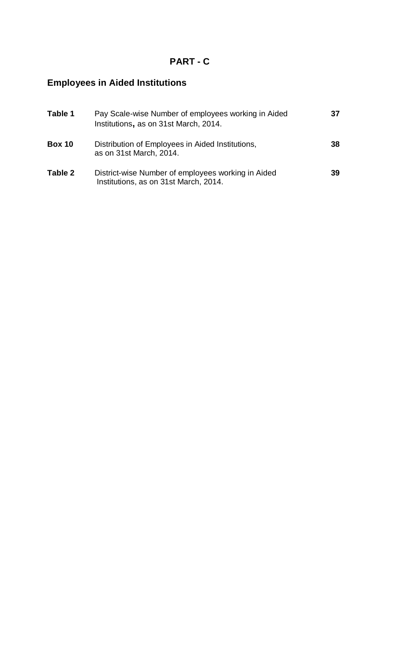## **PART - C**

## **Employees in Aided Institutions**

| Table 1       | Pay Scale-wise Number of employees working in Aided<br>Institutions, as on 31st March, 2014. | 37 |
|---------------|----------------------------------------------------------------------------------------------|----|
| <b>Box 10</b> | Distribution of Employees in Aided Institutions,<br>as on 31st March, 2014.                  | 38 |
| Table 2       | District-wise Number of employees working in Aided<br>Institutions, as on 31st March, 2014.  | 39 |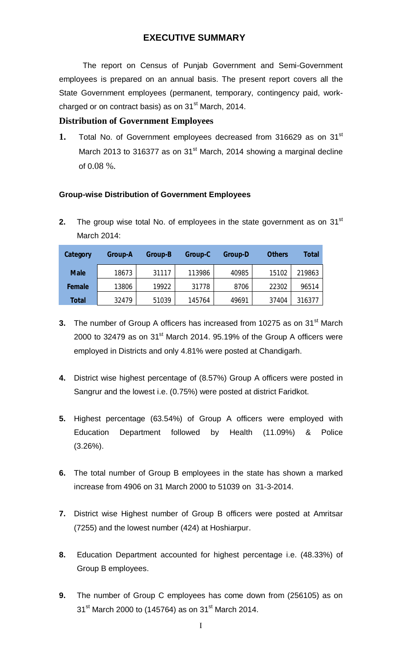#### **EXECUTIVE SUMMARY**

 The report on Census of Punjab Government and Semi-Government employees is prepared on an annual basis. The present report covers all the State Government employees (permanent, temporary, contingency paid, workcharged or on contract basis) as on  $31<sup>st</sup>$  March, 2014.

#### **Distribution of Government Employees**

1. Total No. of Government employees decreased from 316629 as on 31<sup>st</sup> March 2013 to 316377 as on 31 $^{\text{st}}$  March, 2014 showing a marginal decline of  $0.08\%$ .

#### **Group-wise Distribution of Government Employees**

**2.** The group wise total No. of employees in the state government as on 31<sup>st</sup> March 2014:

| Category     | Group-A | Group-B | Group-C | <b>Group-D</b> | <b>Others</b> | Total  |
|--------------|---------|---------|---------|----------------|---------------|--------|
| <b>Male</b>  | 18673   | 31117   | 113986  | 40985          | 15102         | 219863 |
| Female       | 13806   | 19922   | 31778   | 8706           | 22302         | 96514  |
| <b>Total</b> | 32479   | 51039   | 145764  | 49691          | 37404         | 316377 |

- **3.** The number of Group A officers has increased from 10275 as on 31<sup>st</sup> March 2000 to 32479 as on  $31<sup>st</sup>$  March 2014. 95.19% of the Group A officers were employed in Districts and only 4.81% were posted at Chandigarh.
- **4.** District wise highest percentage of (8.57%) Group A officers were posted in Sangrur and the lowest i.e. (0.75%) were posted at district Faridkot.
- **5.** Highest percentage (63.54%) of Group A officers were employed with Education Department followed by Health (11.09%) & Police  $(3.26\%)$ .
- **6.** The total number of Group B employees in the state has shown a marked increase from 4906 on 31 March 2000 to 51039 on 31-3-2014.
- **7.** District wise Highest number of Group B officers were posted at Amritsar (7255) and the lowest number (424) at Hoshiarpur.
- **8.** Education Department accounted for highest percentage i.e. (48.33%) of Group B employees.
- **9.** The number of Group C employees has come down from (256105) as on  $31^{st}$  March 2000 to (145764) as on 31<sup>st</sup> March 2014.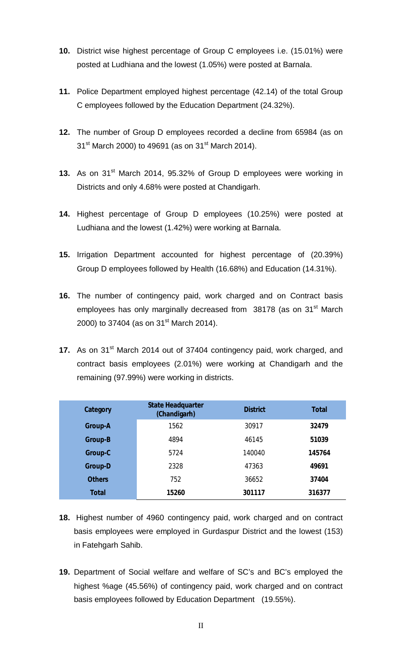- **10.** District wise highest percentage of Group C employees i.e. (15.01%) were posted at Ludhiana and the lowest (1.05%) were posted at Barnala.
- **11.** Police Department employed highest percentage (42.14) of the total Group C employees followed by the Education Department (24.32%).
- **12.** The number of Group D employees recorded a decline from 65984 (as on  $31^{st}$  March 2000) to 49691 (as on 31 $^{st}$  March 2014).
- **13.** As on 31<sup>st</sup> March 2014, 95.32% of Group D employees were working in Districts and only 4.68% were posted at Chandigarh.
- **14.** Highest percentage of Group D employees (10.25%) were posted at Ludhiana and the lowest (1.42%) were working at Barnala.
- **15.** Irrigation Department accounted for highest percentage of (20.39%) Group D employees followed by Health (16.68%) and Education (14.31%).
- **16.** The number of contingency paid, work charged and on Contract basis employees has only marginally decreased from 38178 (as on 31<sup>st</sup> March 2000) to 37404 (as on  $31^{st}$  March 2014).
- **17.** As on 31<sup>st</sup> March 2014 out of 37404 contingency paid, work charged, and contract basis employees (2.01%) were working at Chandigarh and the remaining (97.99%) were working in districts.

| Category       | <b>State Headquarter</b><br>(Chandigarh) | <b>District</b> | <b>Total</b> |
|----------------|------------------------------------------|-----------------|--------------|
| <b>Group-A</b> | 1562                                     | 30917           | 32479        |
| <b>Group-B</b> | 4894                                     | 46145           | 51039        |
| Group-C        | 5724                                     | 140040          | 145764       |
| <b>Group-D</b> | 2328                                     | 47363           | 49691        |
| <b>Others</b>  | 752                                      | 36652           | 37404        |
| <b>Total</b>   | 15260                                    | 301117          | 316377       |

- **18.** Highest number of 4960 contingency paid, work charged and on contract basis employees were employed in Gurdaspur District and the lowest (153) in Fatehgarh Sahib.
- **19.** Department of Social welfare and welfare of SC's and BC's employed the highest %age (45.56%) of contingency paid, work charged and on contract basis employees followed by Education Department (19.55%).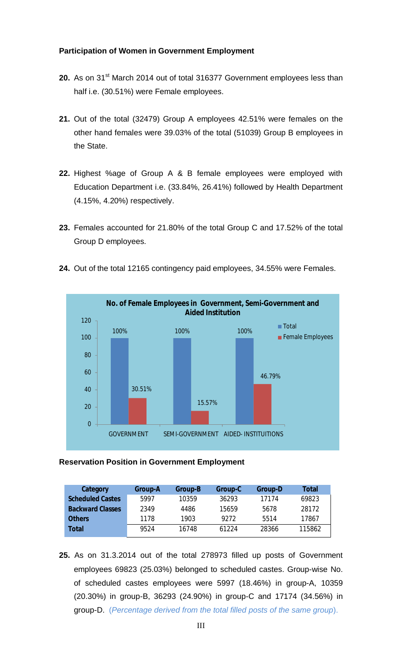#### **Participation of Women in Government Employment**

- **20.** As on 31<sup>st</sup> March 2014 out of total 316377 Government employees less than half i.e. (30.51%) were Female employees.
- **21.** Out of the total (32479) Group A employees 42.51% were females on the other hand females were 39.03% of the total (51039) Group B employees in the State.
- **22.** Highest %age of Group A & B female employees were employed with Education Department i.e. (33.84%, 26.41%) followed by Health Department (4.15%, 4.20%) respectively.
- **23.** Females accounted for 21.80% of the total Group C and 17.52% of the total Group D employees.





#### **Reservation Position in Government Employment**

| Category                | <b>Group-A</b> | Group-B | Group-C | <b>Group-D</b> | <b>Total</b> |
|-------------------------|----------------|---------|---------|----------------|--------------|
| <b>Scheduled Castes</b> | 5997           | 10359   | 36293   | 17174          | 69823        |
| <b>Backward Classes</b> | 2349           | 4486    | 15659   | 5678           | 28172        |
| <b>Others</b>           | 1178           | 1903    | 9272    | 5514           | 17867        |
| Total                   | 9524           | 16748   | 61224   | 28366          | 115862       |

**25.** As on 31.3.2014 out of the total 278973 filled up posts of Government employees 69823 (25.03%) belonged to scheduled castes. Group-wise No. of scheduled castes employees were 5997 (18.46%) in group-A, 10359 (20.30%) in group-B, 36293 (24.90%) in group-C and 17174 (34.56%) in group-D. (*Percentage derived from the total filled posts of the same group*).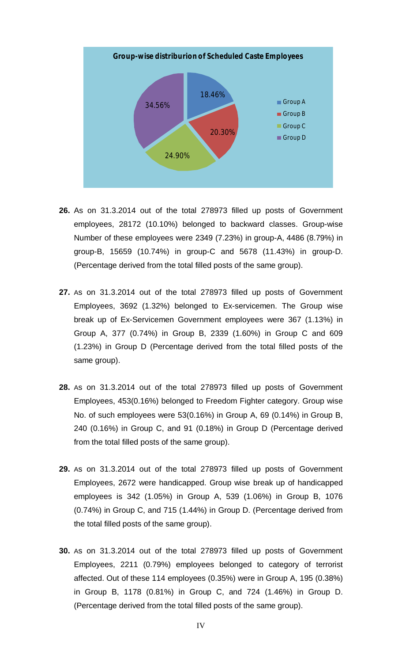

- **26.** As on 31.3.2014 out of the total 278973 filled up posts of Government employees, 28172 (10.10%) belonged to backward classes. Group-wise Number of these employees were 2349 (7.23%) in group-A, 4486 (8.79%) in group-B, 15659 (10.74%) in group-C and 5678 (11.43%) in group-D. (Percentage derived from the total filled posts of the same group).
- **27.** As on 31.3.2014 out of the total 278973 filled up posts of Government Employees, 3692 (1.32%) belonged to Ex-servicemen. The Group wise break up of Ex-Servicemen Government employees were 367 (1.13%) in Group A, 377 (0.74%) in Group B, 2339 (1.60%) in Group C and 609 (1.23%) in Group D (Percentage derived from the total filled posts of the same group).
- **28.** As on 31.3.2014 out of the total 278973 filled up posts of Government Employees, 453(0.16%) belonged to Freedom Fighter category. Group wise No. of such employees were 53(0.16%) in Group A, 69 (0.14%) in Group B, 240 (0.16%) in Group C, and 91 (0.18%) in Group D (Percentage derived from the total filled posts of the same group).
- **29.** As on 31.3.2014 out of the total 278973 filled up posts of Government Employees, 2672 were handicapped. Group wise break up of handicapped employees is 342 (1.05%) in Group A, 539 (1.06%) in Group B, 1076 (0.74%) in Group C, and 715 (1.44%) in Group D. (Percentage derived from the total filled posts of the same group).
- **30.** As on 31.3.2014 out of the total 278973 filled up posts of Government Employees, 2211 (0.79%) employees belonged to category of terrorist affected. Out of these 114 employees (0.35%) were in Group A, 195 (0.38%) in Group B, 1178 (0.81%) in Group C, and 724 (1.46%) in Group D. (Percentage derived from the total filled posts of the same group).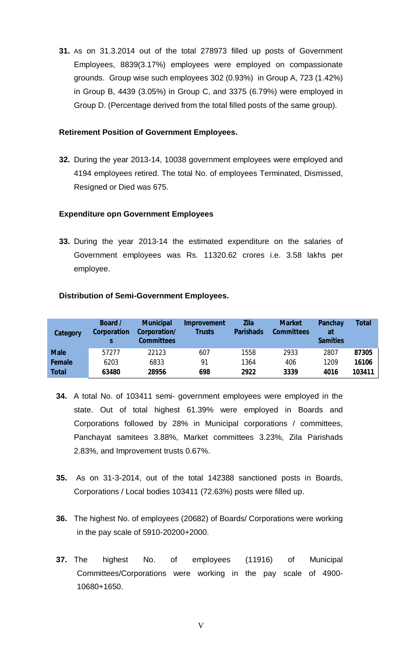**31.** As on 31.3.2014 out of the total 278973 filled up posts of Government Employees, 8839(3.17%) employees were employed on compassionate grounds. Group wise such employees 302 (0.93%) in Group A, 723 (1.42%) in Group B, 4439 (3.05%) in Group C, and 3375 (6.79%) were employed in Group D. (Percentage derived from the total filled posts of the same group).

#### **Retirement Position of Government Employees.**

**32.** During the year 2013-14, 10038 government employees were employed and 4194 employees retired. The total No. of employees Terminated, Dismissed, Resigned or Died was 675.

#### **Expenditure opn Government Employees**

**33.** During the year 2013-14 the estimated expenditure on the salaries of Government employees was Rs. 11320.62 crores i.e. 3.58 lakhs per employee.

#### **Distribution of Semi-Government Employees.**

| Category     | Board /<br><b>Corporation</b> | <b>Municipal</b><br>Corporation/<br><b>Committees</b> | <b>Improvement</b><br><b>Trusts</b> | <b>Zila</b><br><b>Parishads</b> | <b>Market</b><br><b>Committees</b> | Panchay<br>at<br><b>Samities</b> | <b>Total</b> |
|--------------|-------------------------------|-------------------------------------------------------|-------------------------------------|---------------------------------|------------------------------------|----------------------------------|--------------|
| <b>Male</b>  | 57277                         | 22123                                                 | 607                                 | 1558                            | 2933                               | 2807                             | 87305        |
| Female       | 6203                          | 6833                                                  | 91                                  | 1364                            | 406                                | 1209                             | 16106        |
| <b>Total</b> | 63480                         | 28956                                                 | 698                                 | 2922                            | 3339                               | 4016                             | 103411       |

- **34.** A total No. of 103411 semi- government employees were employed in the state. Out of total highest 61.39% were employed in Boards and Corporations followed by 28% in Municipal corporations / committees, Panchayat samitees 3.88%, Market committees 3.23%, Zila Parishads 2.83%, and Improvement trusts 0.67%.
- **35.** As on 31-3-2014, out of the total 142388 sanctioned posts in Boards, Corporations / Local bodies 103411 (72.63%) posts were filled up.
- **36.** The highest No. of employees (20682) of Boards/ Corporations were working in the pay scale of 5910-20200+2000.
- **37.** The highest No. of employees (11916) of Municipal Committees/Corporations were working in the pay scale of 4900- 10680+1650.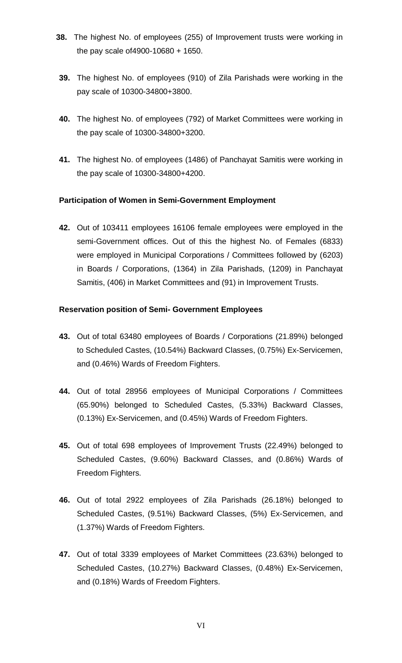- **38.** The highest No. of employees (255) of Improvement trusts were working in the pay scale of4900-10680 + 1650.
- **39.** The highest No. of employees (910) of Zila Parishads were working in the pay scale of 10300-34800+3800.
- **40.** The highest No. of employees (792) of Market Committees were working in the pay scale of 10300-34800+3200.
- **41.** The highest No. of employees (1486) of Panchayat Samitis were working in the pay scale of 10300-34800+4200.

#### **Participation of Women in Semi-Government Employment**

**42.** Out of 103411 employees 16106 female employees were employed in the semi-Government offices. Out of this the highest No. of Females (6833) were employed in Municipal Corporations / Committees followed by (6203) in Boards / Corporations, (1364) in Zila Parishads, (1209) in Panchayat Samitis, (406) in Market Committees and (91) in Improvement Trusts.

#### **Reservation position of Semi- Government Employees**

- **43.** Out of total 63480 employees of Boards / Corporations (21.89%) belonged to Scheduled Castes, (10.54%) Backward Classes, (0.75%) Ex-Servicemen, and (0.46%) Wards of Freedom Fighters.
- **44.** Out of total 28956 employees of Municipal Corporations / Committees (65.90%) belonged to Scheduled Castes, (5.33%) Backward Classes, (0.13%) Ex-Servicemen, and (0.45%) Wards of Freedom Fighters.
- **45.** Out of total 698 employees of Improvement Trusts (22.49%) belonged to Scheduled Castes, (9.60%) Backward Classes, and (0.86%) Wards of Freedom Fighters.
- **46.** Out of total 2922 employees of Zila Parishads (26.18%) belonged to Scheduled Castes, (9.51%) Backward Classes, (5%) Ex-Servicemen, and (1.37%) Wards of Freedom Fighters.
- **47.** Out of total 3339 employees of Market Committees (23.63%) belonged to Scheduled Castes, (10.27%) Backward Classes, (0.48%) Ex-Servicemen, and (0.18%) Wards of Freedom Fighters.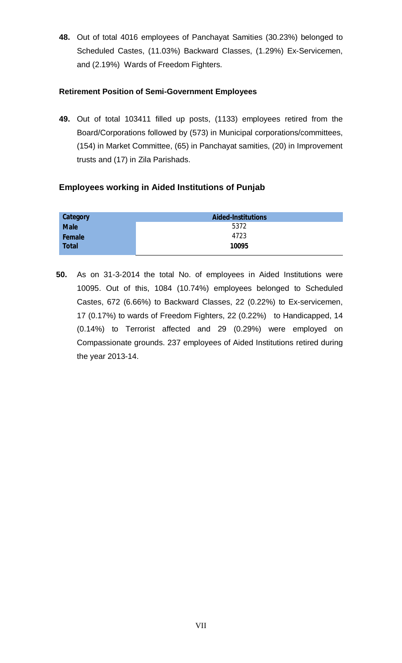**48.** Out of total 4016 employees of Panchayat Samities (30.23%) belonged to Scheduled Castes, (11.03%) Backward Classes, (1.29%) Ex-Servicemen, and (2.19%) Wards of Freedom Fighters.

#### **Retirement Position of Semi-Government Employees**

**49.** Out of total 103411 filled up posts, (1133) employees retired from the Board/Corporations followed by (573) in Municipal corporations/committees, (154) in Market Committee, (65) in Panchayat samities, (20) in Improvement trusts and (17) in Zila Parishads.

#### **Employees working in Aided Institutions of Punjab**

| Category     | <b>Aided-Institutions</b> |
|--------------|---------------------------|
| <b>Male</b>  | 5372                      |
| Female       | 4723                      |
| <b>Total</b> | 10095                     |
|              |                           |

**50.** As on 31-3-2014 the total No. of employees in Aided Institutions were 10095. Out of this, 1084 (10.74%) employees belonged to Scheduled Castes, 672 (6.66%) to Backward Classes, 22 (0.22%) to Ex-servicemen, 17 (0.17%) to wards of Freedom Fighters, 22 (0.22%) to Handicapped, 14 (0.14%) to Terrorist affected and 29 (0.29%) were employed on Compassionate grounds. 237 employees of Aided Institutions retired during the year 2013-14.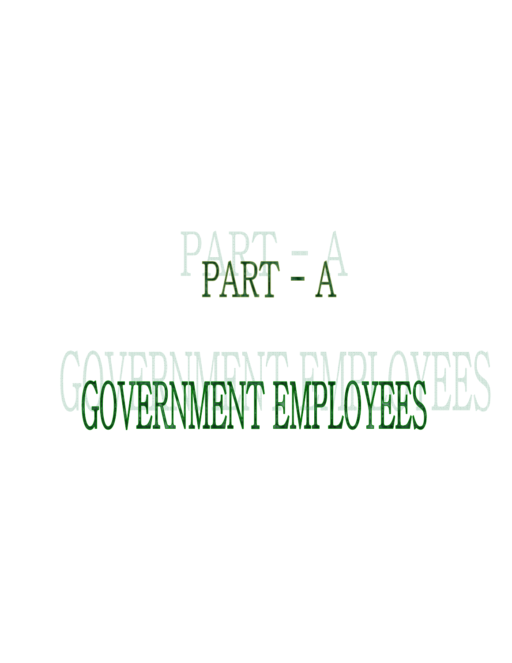## $P\hat{A}RT = A^2$

# GOVERNMENT EMPLOYEES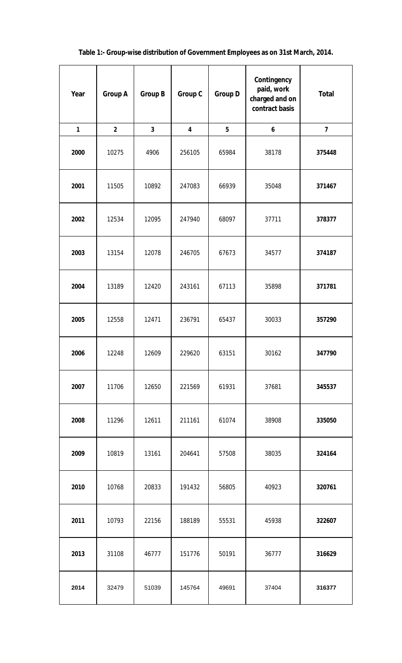| Year         | <b>Group A</b> | <b>Group B</b> | <b>Group C</b>          | <b>Group D</b> | Contingency<br>paid, work<br>charged and on<br>contract basis | <b>Total</b>            |
|--------------|----------------|----------------|-------------------------|----------------|---------------------------------------------------------------|-------------------------|
| $\mathbf{1}$ | $\overline{2}$ | $\mathbf{3}$   | $\overline{\mathbf{4}}$ | 5              | 6                                                             | $\overline{\mathbf{z}}$ |
| 2000         | 10275          | 4906           | 256105                  | 65984          | 38178                                                         | 375448                  |
| 2001         | 11505          | 10892          | 247083                  | 66939          | 35048                                                         | 371467                  |
| 2002         | 12534          | 12095          | 247940                  | 68097          | 37711                                                         | 378377                  |
| 2003         | 13154          | 12078          | 246705                  | 67673          | 34577                                                         | 374187                  |
| 2004         | 13189          | 12420          | 243161                  | 67113          | 35898                                                         | 371781                  |
| 2005         | 12558          | 12471          | 236791                  | 65437          | 30033                                                         | 357290                  |
| 2006         | 12248          | 12609          | 229620                  | 63151          | 30162                                                         | 347790                  |
| 2007         | 11706          | 12650          | 221569                  | 61931          | 37681                                                         | 345537                  |
| 2008         | 11296          | 12611          | 211161                  | 61074          | 38908                                                         | 335050                  |
| 2009         | 10819          | 13161          | 204641                  | 57508          | 38035                                                         | 324164                  |
| 2010         | 10768          | 20833          | 191432                  | 56805          | 40923                                                         | 320761                  |
| 2011         | 10793          | 22156          | 188189                  | 55531          | 45938                                                         | 322607                  |
| 2013         | 31108          | 46777          | 151776                  | 50191          | 36777                                                         | 316629                  |
| 2014         | 32479          | 51039          | 145764                  | 49691          | 37404                                                         | 316377                  |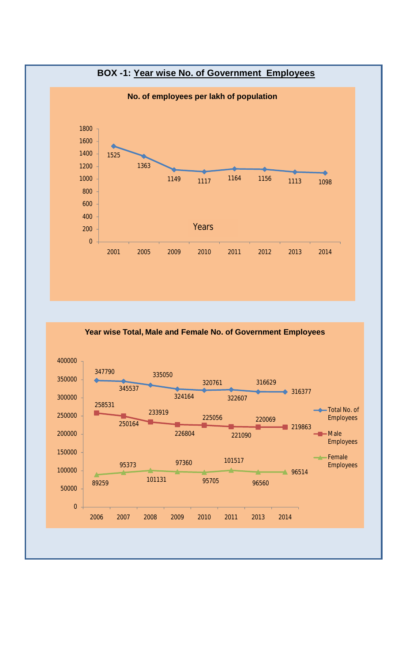

**Year wise Total, Male and Female No. of Government Employees**

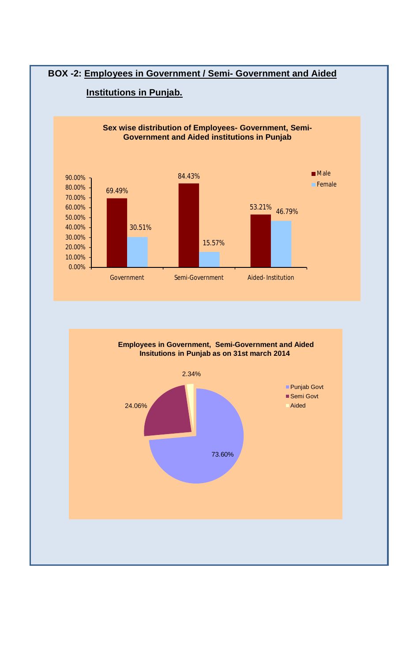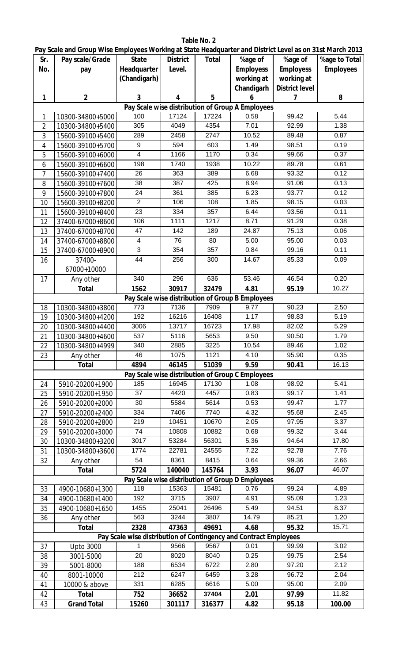|                | Pay Scale and Group Wise Employees Working at State Headquarter and District Level as on 31st March 2013 |                                                                   |                         |               |                                                  |                       |                   |
|----------------|----------------------------------------------------------------------------------------------------------|-------------------------------------------------------------------|-------------------------|---------------|--------------------------------------------------|-----------------------|-------------------|
| Sr.            | Pay scale/Grade                                                                                          | <b>State</b>                                                      | <b>District</b>         | <b>Total</b>  | %age of                                          | %age of               | %age to Total     |
| No.            | pay                                                                                                      | Headquarter                                                       | Level.                  |               | <b>Employess</b>                                 | <b>Employess</b>      | <b>Employees</b>  |
|                |                                                                                                          | (Chandigarh)                                                      |                         |               | working at                                       | working at            |                   |
|                |                                                                                                          |                                                                   |                         |               | Chandigarh                                       | <b>District level</b> |                   |
| 1              | $\overline{2}$                                                                                           | $\overline{3}$                                                    | $\overline{\mathbf{4}}$ | 5             | 6                                                | $\overline{7}$        | 8                 |
|                |                                                                                                          | 100                                                               |                         |               | Pay Scale wise distribution of Group A Employees |                       |                   |
| 1              | 10300-34800+5000                                                                                         | 305                                                               | 17124<br>4049           | 17224<br>4354 | 0.58<br>7.01                                     | 99.42<br>92.99        | 5.44<br>1.38      |
| $\overline{2}$ | 10300-34800+5400                                                                                         | 289                                                               | 2458                    | 2747          | 10.52                                            | 89.48                 | 0.87              |
| 3              | 15600-39100+5400                                                                                         | 9                                                                 | 594                     | 603           | 1.49                                             | 98.51                 | 0.19              |
| 4<br>5         | 15600-39100+5700                                                                                         | $\overline{4}$                                                    | 1166                    | 1170          | 0.34                                             | 99.66                 | 0.37              |
| 6              | 15600-39100+6000<br>15600-39100+6600                                                                     | 198                                                               | 1740                    | 1938          | 10.22                                            | 89.78                 | 0.61              |
| 7              | 15600-39100+7400                                                                                         | 26                                                                | 363                     | 389           | 6.68                                             | 93.32                 | 0.12              |
| 8              | 15600-39100+7600                                                                                         | 38                                                                | 387                     | 425           | 8.94                                             | 91.06                 | 0.13              |
| 9              | 15600-39100+7800                                                                                         | 24                                                                | 361                     | 385           | 6.23                                             | 93.77                 | 0.12              |
| 10             | 15600-39100+8200                                                                                         | $\overline{2}$                                                    | 106                     | 108           | 1.85                                             | 98.15                 | 0.03              |
| 11             | 15600-39100+8400                                                                                         | 23                                                                | 334                     | 357           | 6.44                                             | 93.56                 | 0.11              |
| 12             | 37400-67000+8600                                                                                         | 106                                                               | 1111                    | 1217          | 8.71                                             | 91.29                 | 0.38              |
| 13             | 37400-67000+8700                                                                                         | 47                                                                | 142                     | 189           | 24.87                                            | 75.13                 | 0.06              |
| 14             | 37400-67000+8800                                                                                         | $\overline{4}$                                                    | 76                      | 80            | 5.00                                             | 95.00                 | 0.03              |
| 15             | 37400-67000+8900                                                                                         | 3                                                                 | 354                     | 357           | 0.84                                             | 99.16                 | 0.11              |
| 16             | 37400-                                                                                                   | $\overline{44}$                                                   | 256                     | 300           | 14.67                                            | 85.33                 | 0.09              |
|                | 67000+10000                                                                                              |                                                                   |                         |               |                                                  |                       |                   |
| 17             | Any other                                                                                                | 340                                                               | 296                     | 636           | 53.46                                            | 46.54                 | 0.20              |
|                | <b>Total</b>                                                                                             | 1562                                                              | 30917                   | 32479         | 4.81                                             | 95.19                 | 10.27             |
|                |                                                                                                          |                                                                   |                         |               | Pay Scale wise distribution of Group B Employees |                       |                   |
| 18             | 10300-34800+3800                                                                                         | 773                                                               | 7136                    | 7909          | 9.77                                             | 90.23                 | 2.50              |
| 19             | 10300-34800+4200                                                                                         | 192                                                               | 16216                   | 16408         | 1.17                                             | 98.83                 | 5.19              |
| 20             | 10300-34800+4400                                                                                         | 3006                                                              | 13717                   | 16723         | 17.98                                            | 82.02                 | 5.29              |
| 21             | 10300-34800+4600                                                                                         | 537                                                               | 5116                    | 5653          | 9.50                                             | 90.50                 | 1.79              |
| 22             | 10300-34800+4999                                                                                         | 340                                                               | 2885                    | 3225          | 10.54                                            | 89.46                 | 1.02              |
| 23             | Any other                                                                                                | 46                                                                | 1075                    | 1121          | 4.10                                             | 95.90                 | 0.35              |
|                | <b>Total</b>                                                                                             | 4894                                                              | 46145                   | 51039         | 9.59                                             | 90.41                 | 16.13             |
|                |                                                                                                          |                                                                   |                         |               | Pay Scale wise distribution of Group C Employees |                       |                   |
| 24             | 5910-20200+1900                                                                                          | 185                                                               | 16945                   | 17130         | 1.08                                             | 98.92                 | 5.41              |
| 25             | 5910-20200+1950                                                                                          | 37                                                                | 4420                    | 4457          | 0.83                                             | 99.17                 | 1.41              |
| 26             | 5910-20200+2000                                                                                          | 30                                                                | 5584                    | 5614          | 0.53                                             | 99.47                 | 1.77              |
| 27             | 5910-20200+2400                                                                                          | 334                                                               | 7406                    | 7740          | 4.32                                             | 95.68                 | 2.45              |
| 28             | 5910-20200+2800                                                                                          | 219                                                               | 10451                   | 10670         | 2.05                                             | 97.95                 | $\overline{3.37}$ |
| 29             | 5910-20200+3000                                                                                          | 74                                                                | 10808                   | 10882         | 0.68                                             | 99.32                 | 3.44              |
| 30             | 10300-34800+3200                                                                                         | 3017                                                              | 53284                   | 56301         | 5.36                                             | 94.64                 | 17.80             |
| 31             | 10300-34800+3600                                                                                         | 1774                                                              | 22781                   | 24555         | 7.22                                             | 92.78                 | 7.76              |
| 32             | Any other                                                                                                | 54                                                                | 8361                    | 8415          | 0.64                                             | 99.36                 | 2.66              |
|                | <b>Total</b>                                                                                             | 5724                                                              | 140040                  | 145764        | 3.93                                             | 96.07                 | 46.07             |
|                |                                                                                                          |                                                                   |                         |               | Pay Scale wise distribution of Group D Employees |                       |                   |
| 33             | 4900-10680+1300                                                                                          | 118                                                               | 15363                   | 15481         | 0.76                                             | 99.24                 | 4.89              |
| 34             | 4900-10680+1400                                                                                          | 192                                                               | 3715                    | 3907          | 4.91                                             | 95.09                 | 1.23              |
| 35             | 4900-10680+1650                                                                                          | 1455                                                              | 25041                   | 26496         | 5.49                                             | 94.51                 | 8.37              |
| 36             | Any other                                                                                                | 563                                                               | 3244                    | 3807          | 14.79                                            | 85.21                 | 1.20              |
|                | <b>Total</b>                                                                                             | 2328                                                              | 47363                   | 49691         | 4.68                                             | 95.32                 | 15.71             |
|                |                                                                                                          | Pay Scale wise distribution of Contingency and Contract Employees |                         |               |                                                  |                       |                   |
| 37             | <b>Upto 3000</b>                                                                                         |                                                                   | 9566                    | 9567          | 0.01                                             | 99.99                 | 3.02              |
| 38             | 3001-5000                                                                                                | 20                                                                | 8020                    | 8040          | 0.25                                             | 99.75                 | 2.54              |
| 39             | 5001-8000                                                                                                | 188                                                               | 6534                    | 6722<br>6459  | 2.80                                             | 97.20                 | 2.12              |
| 40             | 8001-10000                                                                                               | 212<br>331                                                        | 6247                    |               | 3.28                                             | 96.72<br>95.00        | 2.04<br>2.09      |
| 41             | 10000 & above                                                                                            |                                                                   | 6285                    | 6616<br>37404 | 5.00                                             |                       | 11.82             |
| 42             | <b>Total</b>                                                                                             | 752                                                               | 36652                   |               | 2.01                                             | 97.99                 |                   |
| 43             | <b>Grand Total</b>                                                                                       | 15260                                                             | 301117                  | 316377        | 4.82                                             | 95.18                 | 100.00            |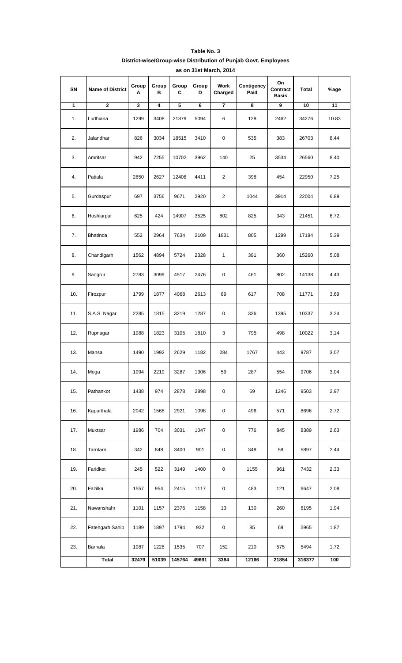| SN           | <b>Name of District</b> | Group<br>Α | Group<br>в | Group<br>C | Group<br>D | Work<br>Charged         | Contigency<br>Paid | On<br>Contract<br><b>Basis</b> | <b>Total</b> | %age  |
|--------------|-------------------------|------------|------------|------------|------------|-------------------------|--------------------|--------------------------------|--------------|-------|
| $\mathbf{1}$ | $\mathbf{2}$            | 3          | 4          | 5          | 6          | $\overline{7}$          | 8                  | 9                              | 10           | 11    |
| 1.           | Ludhiana                | 1299       | 3408       | 21879      | 5094       | 6                       | 128                | 2462                           | 34276        | 10.83 |
| 2.           | Jalandhar               | 826        | 3034       | 18515      | 3410       | $\mathbf 0$             | 535                | 383                            | 26703        | 8.44  |
| 3.           | Amritsar                | 942        | 7255       | 10702      | 3962       | 140                     | 25                 | 3534                           | 26560        | 8.40  |
| 4.           | Patiala                 | 2650       | 2627       | 12408      | 4411       | $\overline{\mathbf{c}}$ | 398                | 454                            | 22950        | 7.25  |
| 5.           | Gurdaspur               | 697        | 3756       | 9671       | 2920       | $\overline{c}$          | 1044               | 3914                           | 22004        | 6.89  |
| 6.           | Hoshiarpur              | 625        | 424        | 14907      | 3525       | 802                     | 825                | 343                            | 21451        | 6.72  |
| 7.           | Bhatinda                | 552        | 2964       | 7634       | 2109       | 1831                    | 805                | 1299                           | 17194        | 5.39  |
| 8.           | Chandigarh              | 1562       | 4894       | 5724       | 2328       | $\mathbf{1}$            | 391                | 360                            | 15260        | 5.08  |
| 9.           | Sangrur                 | 2783       | 3099       | 4517       | 2476       | $\mathbf 0$             | 461                | 802                            | 14138        | 4.43  |
| 10.          | Firozpur                | 1799       | 1877       | 4068       | 2613       | 89                      | 617                | 708                            | 11771        | 3.69  |
| 11.          | S.A.S. Nagar            | 2285       | 1815       | 3219       | 1287       | 0                       | 336                | 1395                           | 10337        | 3.24  |
| 12.          | Rupnagar                | 1988       | 1823       | 3105       | 1810       | 3                       | 795                | 498                            | 10022        | 3.14  |
| 13.          | Mansa                   | 1490       | 1992       | 2629       | 1182       | 284                     | 1767               | 443                            | 9787         | 3.07  |
| 14.          | Moga                    | 1994       | 2219       | 3287       | 1306       | 59                      | 287                | 554                            | 9706         | 3.04  |
| 15.          | Pathankot               | 1438       | 974        | 2878       | 2898       | $\mathbf 0$             | 69                 | 1246                           | 9503         | 2.97  |
| 16.          | Kapurthala              | 2042       | 1568       | 2921       | 1098       | $\pmb{0}$               | 496                | 571                            | 8696         | 2.72  |
| 17.          | Muktsar                 | 1986       | 704        | 3031       | 1047       | $\pmb{0}$               | 776                | 845                            | 8389         | 2.63  |
| 18.          | Tarntarn                | 342        | 848        | 3400       | 901        | 0                       | 348                | 58                             | 5897         | 2.44  |
| 19.          | Faridkot                | 245        | 522        | 3149       | 1400       | $\pmb{0}$               | 1155               | 961                            | 7432         | 2.33  |
| 20.          | Fazilka                 | 1557       | 954        | 2415       | 1117       | $\pmb{0}$               | 483                | 121                            | 6647         | 2.08  |
| 21.          | Nawanshahr              | 1101       | 1157       | 2376       | 1158       | 13                      | 130                | 260                            | 6195         | 1.94  |
| 22.          | Fatehgarh Sahib         | 1189       | 1897       | 1794       | 932        | $\pmb{0}$               | 85                 | 68                             | 5965         | 1.87  |
| 23.          | Barnala                 | 1087       | 1228       | 1535       | 707        | 152                     | 210                | 575                            | 5494         | 1.72  |
|              | Total                   | 32479      | 51039      | 145764     | 49691      | 3384                    | 12166              | 21854                          | 316377       | 100   |

#### **Table No. 3 District-wise/Group-wise Distribution of Punjab Govt. Employees as on 31st March, 2014**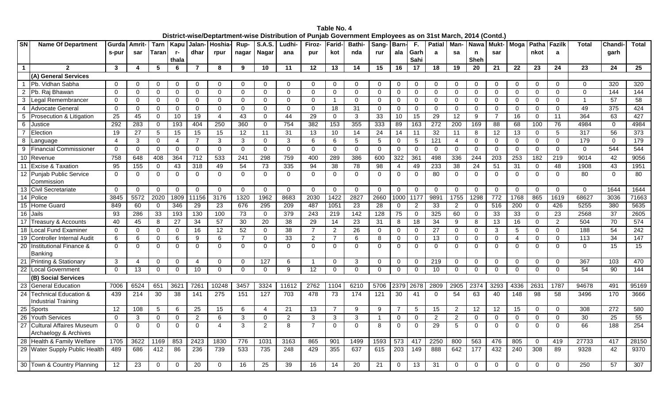| <b>SN</b>       |                                                          |                        |             |             |                | שנו וטני זיושטו | opwa w                  |                  |                | on woo pisundulon | vu ungas von   |                  |                 |               |                  |                |                      |                  |                | ~~……             |                  |             |                |              |             |                  |
|-----------------|----------------------------------------------------------|------------------------|-------------|-------------|----------------|-----------------|-------------------------|------------------|----------------|-------------------|----------------|------------------|-----------------|---------------|------------------|----------------|----------------------|------------------|----------------|------------------|------------------|-------------|----------------|--------------|-------------|------------------|
|                 | <b>Name Of Department</b>                                | Gurda                  | Amrit-      |             | Tarn   Kapu    |                 | <b>Jalan-   Hoshia-</b> |                  | Rup- S.A.S.    | Ludhi-            | <b>Firoz-</b>  | Farid-           | <b>Bathi-</b>   | Sang-   Barn- |                  | F.             | Patial   Man-   Nawa |                  |                | Mukt- Moga       |                  |             | Patha Fazilk   | <b>Total</b> | Chandi-     | Total            |
|                 |                                                          | s-pur                  | sar         | Taranl      | r-             | dhar            | rpur                    | nagar            | <b>Nagar</b>   | ana               | pur            | kot              | nda             | rur           | ala              | Garh           | a                    | sa               | n              | sar              |                  | nkot        | a              |              | garh        |                  |
|                 |                                                          |                        |             |             | thala          |                 |                         |                  |                |                   |                |                  |                 |               |                  | Sahi           |                      |                  | Sheh           |                  |                  |             |                |              |             |                  |
| $\mathbf{1}$    | $\mathbf{c}$                                             | 3                      | 4           | 5           | 6              | $\overline{7}$  | 8                       | 9                | 10             | 11                | 12             | 13               | 14              | 15            | 16               | 17             | 18                   | 19               | 20             | 21               | $22 \,$          | 23          | 24             | 23           | 24          | 25               |
|                 | (A) General Services                                     |                        |             |             |                |                 |                         |                  |                |                   |                |                  |                 |               |                  |                |                      |                  |                |                  |                  |             |                |              |             |                  |
|                 | Pb. Vidhan Sabha                                         | 0                      | 0           | $\Omega$    | $\Omega$       | $\Omega$        | $\Omega$                | $\Omega$         | $\Omega$       | $\Omega$          | 0              | 0                | $\Omega$        | 0             | 0                | 0              | $\mathbf{0}$         |                  | 0              | $\Omega$         | 0                | $\Omega$    | 0              | $\Omega$     | 320         | 320              |
| 2               | Pb. Raj Bhawan                                           | $\Omega$               | $\mathbf 0$ | $\mathbf 0$ | $\mathbf 0$    | $\Omega$        | $\mathbf 0$             | $\mathbf 0$      | $\Omega$       | $\Omega$          | $\mathbf 0$    | $\Omega$         | $\mathbf 0$     | $\Omega$      | 0                | 0              | $\mathbf 0$          | $\Omega$         | $\mathbf{0}$   | $\mathbf 0$      | $\Omega$         | $\Omega$    | $\Omega$       | $\Omega$     | 144         | 144              |
| 3               | Legal Remembrancer                                       | 0                      | $\mathbf 0$ | $\mathbf 0$ | $\mathbf 0$    | $\Omega$        | $\mathbf 0$             | $\mathbf 0$      | $\Omega$       | $\mathbf 0$       | $\mathbf 0$    | $\overline{1}$   | $\mathbf 0$     | $\Omega$      | 0                | $\mathbf 0$    | $\overline{0}$       | $\mathbf 0$      | $\mathbf{0}$   | $\mathbf 0$      | 0                | $\mathbf 0$ | $\Omega$       |              | 57          | 58               |
| 4               | <b>Advocate General</b>                                  | $\Omega$               | $\mathbf 0$ | 0           | $\mathbf 0$    | $\Omega$        | $\mathbf 0$             | $\mathbf 0$      | $\mathbf{0}$   | $\mathbf 0$       | 0              | 18               | 31              | $\mathbf 0$   | 0                | $\mathbf 0$    | $\mathbf 0$          | $\Omega$         | $\overline{0}$ | $\mathbf 0$      | 0                | $\Omega$    | $\Omega$       | 49           | 375         | 424              |
| 5               | Prosecution & Litigation                                 | 25                     | 45          | 0           | 10             | 19              | $\overline{4}$          | 43               | $\mathbf{0}$   | 44                | 29             | $\mathbf{0}$     | 3               | 33            | 10               | 15             | 29                   | $\overline{12}$  | 9              | 7                | 16               | $\mathbf 0$ | 11             | 364          | 63          | 427              |
| 6               | Justice                                                  | 292                    | 283         | $\mathbf 0$ | 193            | 404             | 250                     | 360              | $\Omega$       | 754               | 382            | $\overline{153}$ | 355             | 333           | 89               | 163            | 272                  | $\overline{200}$ | 169            | 88               | 68               | 100         | 76             | 4984         | $\Omega$    | 4984             |
|                 | Election                                                 | 19                     | 27          | 5           | 15             | 15              | 15                      | 12               | 11             | 31                | 13             | 10               | 14              | 24            | 14               | 11             | 32                   | 11               | 8              | 12               | 13               | $\Omega$    | 5              | 317          | 56          | $\overline{373}$ |
| 8               | Language                                                 | $\boldsymbol{\Lambda}$ | 3           | $\mathbf 0$ | 4              | $\overline{7}$  | 3                       | 3                | $\Omega$       | 3                 | 6              | 6                | 5               | 5             | 0                | 5              | 121                  | 4                | $\mathbf 0$    | $\mathbf 0$      | 0                | 0           | $\Omega$       | 179          | $\mathbf 0$ | 179              |
| 9               | <b>Financial Commissioner</b>                            | 0                      | 0           | 0           | $\overline{0}$ | $\mathbf 0$     | $\mathbf{0}$            | $\mathbf 0$      | $\mathbf 0$    | $\mathbf 0$       | $\overline{0}$ | 0                | $\mathbf 0$     | $\mathbf 0$   | 0                | $\mathbf 0$    | $\overline{0}$       | $\mathbf 0$      | $\mathbf 0$    | 0                | $\mathbf{0}$     | $\mathbf 0$ | 0              | $\mathbf{0}$ | 544         | 544              |
| 10              | Revenue                                                  | 758                    | 648         | 408         | 364            | 712             | 533                     | $\overline{241}$ | 298            | 759               | 400            | 289              | 386             | 600           | 322              | 361            | 498                  | 336              | 244            | 203              | 253              | 182         | 219            | 9014         | 42          | 9056             |
| 11              | <b>Excise &amp; Taxation</b>                             | 95                     | 155         | $\mathbf 0$ | 43             | 318             | 49                      | 54               | 73             | 335               | 94             | 38               | 78              | 98            | 4                | 49             | 233                  | 38               | 24             | 51               | 31               | $\mathbf 0$ | 48             | 1908         | 43          | 1951             |
| $\overline{12}$ | <b>Punjab Public Service</b><br>Commission               | $\Omega$               | 0           | 0           | 0              | $\mathbf 0$     | $\mathbf 0$             | $\mathbf 0$      | $\mathbf 0$    | $\mathbf 0$       | 0              | 0                | $\mathbf 0$     | $\Omega$      | 0                | 0              | 80                   | $\Omega$         | $\mathbf 0$    | $\mathbf 0$      | 0                | $\Omega$    | $\Omega$       | 80           | $\mathbf 0$ | 80               |
| 13              | <b>Civil Secretariate</b>                                | $\Omega$               | $\mathbf 0$ | $\mathbf 0$ | $\overline{0}$ | $\mathbf 0$     | $\overline{0}$          | $\mathbf 0$      | $\Omega$       | $\mathbf 0$       | $\mathbf{0}$   | 0                | $\mathbf 0$     | $\Omega$      | 0                | $\mathbf 0$    | $\overline{0}$       | $\mathbf 0$      | $\overline{0}$ | $\mathbf 0$      | $\mathbf{0}$     | $\mathbf 0$ | $\Omega$       | $\mathbf 0$  | 1644        | 1644             |
|                 | 14 Police                                                | 3845                   | 5572        | 2020        | 1809           | 11156           | 3176                    | 1320             | 1962           | 8683              | 2030           | 1422             | 2827            | 2660          | 1000             | 1177           | 9891                 | 1755             | 1298           | 772              | 1768             | 865         | 1619           | 68627        | 3036        | 71663            |
| 15              | <b>Home Guard</b>                                        | 849                    | 60          | $\mathbf 0$ | 346            | 29              | 23                      | 676              | 295            | $\overline{209}$  | 487            | 1051             | $\overline{23}$ | 28            | $\Omega$         | $\overline{2}$ | 33                   | 2                | $\mathbf 0$    | $\overline{516}$ | $\overline{200}$ | $\Omega$    | 426            | 5255         | 380         | 5635             |
| 16              | Jails                                                    | 93                     | 286         | 33          | 193            | 130             | 100                     | 73               | $\Omega$       | 379               | 243            | 219              | 142             | 128           | 75               | 0              | 325                  | 60               | $\mathbf 0$    | 33               | 33               | $\Omega$    | 23             | 2568         | 37          | 2605             |
|                 | 17 Treasury & Accounts                                   | 40                     | 45          | 8           | 27             | 34              | 57                      | 30               | 20             | 38                | 29             | 14               | 23              | 31            | 8                | 18             | 34                   | 9                | 8              | 13               | 16               | $\Omega$    | $\overline{2}$ | 504          | 70          | 574              |
| 18              | <b>Local Fund Examiner</b>                               | 0                      | $\mathbf 0$ | $\mathbf 0$ | 0              | 16              | 12                      | $\overline{52}$  | $\mathbf 0$    | 38                | $\overline{7}$ | 2                | 26              | $\mathbf 0$   | 0                | 0              | 27                   | $\Omega$         | $\mathbf 0$    | 3                | 5                | $\mathbf 0$ | $\Omega$       | 188          | 54          | $\overline{242}$ |
| 19              | <b>Controller Internal Audit</b>                         | 6                      | 6           | $\mathbf 0$ | 6              | 9               | 6                       | $\overline{7}$   | $\mathbf 0$    | 33                | $\overline{a}$ | $\overline{7}$   | 6               | 8             | $\mathbf 0$      | 0              | 13                   | $\mathbf 0$      | $\mathbf 0$    | $\mathbf 0$      | $\overline{4}$   | $\mathbf 0$ | $\mathbf 0$    | 113          | 34          | 147              |
| $\overline{20}$ | Institutional Finance &                                  | $\Omega$               | $\Omega$    | $\Omega$    | $\Omega$       | $\Omega$        | $\Omega$                | $\Omega$         | $\Omega$       | $\Omega$          | $\Omega$       | $\Omega$         | $\Omega$        | $\Omega$      | $\Omega$         | $\Omega$       | $\Omega$             | $\Omega$         | $\Omega$       | $\Omega$         | $\Omega$         | $\Omega$    | $\Omega$       | $\Omega$     | 15          | 15               |
|                 | Banking                                                  |                        |             |             |                |                 |                         |                  |                |                   |                |                  |                 |               |                  |                |                      |                  |                |                  |                  |             |                |              |             |                  |
| 21              | Printing & Stationary                                    | 3                      | 4           | $\mathbf 0$ | $\mathbf 0$    | 4               | $\mathbf 0$             | $\mathbf 0$      | 127            | 6                 |                | 0                | 3               | $\Omega$      | $\Omega$         | 0              | 219                  | $\Omega$         | $\mathbf 0$    | $\Omega$         | $\Omega$         | $\Omega$    | $\Omega$       | 367          | 103         | 470              |
| $\overline{22}$ | <b>Local Government</b>                                  | $\Omega$               | 13          | $\mathbf 0$ | $\mathbf{0}$   | 10              | $\mathbf{0}$            | $\Omega$         | $\Omega$       | 9                 | 12             | 0                | $\Omega$        | $\Omega$      | 0                | $\Omega$       | 10                   | $\Omega$         | $\mathbf 0$    | $\Omega$         | $\Omega$         | $\Omega$    | $\Omega$       | 54           | 90          | 144              |
|                 | (B) Social Services                                      |                        |             |             |                |                 |                         |                  |                |                   |                |                  |                 |               |                  |                |                      |                  |                |                  |                  |             |                |              |             |                  |
| 23              | <b>General Education</b>                                 | 7006                   | 6524        | 651         | 3621           | 7261            | 10248                   | 3457             | 3324           | 11612             | 2762           | 1104             | 6210            | 5706          | 2379             | 2678           | 2809                 | 2905             | 2374           | 3293             | 4336             | 2631        | 1787           | 94678        | 491         | 95169            |
|                 | 24 Technical Education &<br>Industrial Training          | 439                    | 214         | 30          | 38             | 141             | $\overline{275}$        | 151              | 127            | 703               | 478            | 73               | 174             | 121           | 30               | 41             | $\overline{0}$       | 54               | 63             | 40               | 148              | 98          | 58             | 3496         | 170         | 3666             |
| $\overline{25}$ | Sports                                                   | 12                     | 108         | 5           | 6              | 25              | 15                      | 6                | $\overline{4}$ | 21                | 13             | 7                | 9               | 9             | $\overline{7}$   | 5              | 15                   | 2                | 12             | 12               | 15               | $\mathbf 0$ | $\mathbf 0$    | 308          | 272         | 580              |
| 26              | <b>Youth Services</b>                                    | $\Omega$               | 3           | $\mathbf 0$ | $\mathbf 0$    | $\overline{2}$  | $6\phantom{1}$          | $\mathbf{3}$     | $\mathbf 0$    | $\overline{2}$    | 3              | 3                | 3               | -1            | 0                | $\mathbf 0$    | $\overline{2}$       | $\overline{2}$   | $\mathbf 0$    | $\mathbf 0$      | 0                | $\mathbf 0$ | $\mathbf 0$    | 30           | 25          | 55               |
| 27              | <b>Cultural Affaires Museum</b><br>Archaelogy & Archives | $\Omega$               | $\Omega$    | $\Omega$    | $\Omega$       | $\Omega$        | $\overline{4}$          | 3                | $\overline{2}$ | 8                 | $\overline{7}$ | $\Omega$         | $\Omega$        | 8             | 0                | $\Omega$       | 29                   | 5                | $\Omega$       | $\Omega$         | $\Omega$         | $\Omega$    | $\Omega$       | 66           | 188         | 254              |
| $\overline{28}$ | Health & Family Welfare                                  | 1705                   | 3622        | 1169        | 853            | 2423            | 1830                    | 776              | 1031           | 3163              | 865            | 901              | 1499            | 1593          | 573              | 417            | 2250                 | 800              | 563            | 476              | 805              | $\mathbf 0$ | 419            | 27733        | 417         | 28150            |
|                 | 29 Water Supply Public Health                            | 489                    | 686         | 412         | 86             | 236             | 739                     | 533              | 735            | 248               | 429            | 355              | 637             | 615           | $\overline{203}$ | 149            | 888                  | 642              | 177            | 432              | 240              | 308         | 89             | 9328         | 42          | 9370             |
|                 | 30 Town & Country Planning                               | 12                     | 23          | $\Omega$    | 0              | 20              | $\mathbf 0$             | 16               | 25             | 39                | 16             | 14               | 20              | 21            | 0                | 13             | 31                   | $\Omega$         | 0              | $\mathbf 0$      | 0                | $\Omega$    | 0              | 250          | 57          | 307              |

**Table No. 4 District-wise/Deptartment-wise Distribution of Punjab Government Employees as on 31st March, 2014 (Contd.)**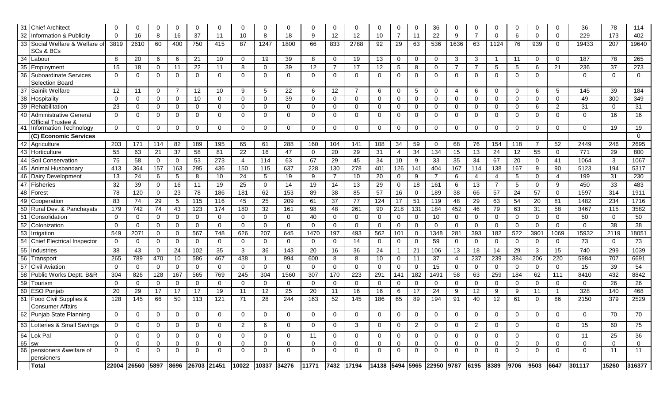|                 | 31 Chief Architect                               | $\Omega$         | $\mathbf 0$ | $\mathbf 0$  | $\mathbf{0}$ | $\mathbf{0}$     | $\Omega$     | $\mathbf{0}$      | $\mathbf{0}$   | $\mathbf{0}$ | $\Omega$     | $\mathbf{0}$ | $\Omega$       | $\Omega$    | 0            | $\mathbf 0$    | 36                                   | $\mathbf 0$  | 0              | $\mathbf 0$    | $\overline{0}$ | $\mathbf 0$    | $\mathbf 0$  | 36          | 78          | 114            |
|-----------------|--------------------------------------------------|------------------|-------------|--------------|--------------|------------------|--------------|-------------------|----------------|--------------|--------------|--------------|----------------|-------------|--------------|----------------|--------------------------------------|--------------|----------------|----------------|----------------|----------------|--------------|-------------|-------------|----------------|
| 32              | Information & Publicity                          | $\mathbf 0$      | 16          | 8            | 16           | 37               | 11           | 10                | 8              | 18           | 9            | 12           | 12             | 10          | 7            | 11             | 22                                   | 9            | $\overline{7}$ | $\mathbf 0$    | 6              | $\mathbf 0$    | 0            | 229         | 173         | 402            |
| 33              | Social Welfare & Welfare of                      | 3819             | 2610        | 60           | 400          | 750              | 415          | 87                | 1247           | 1800         | 66           | 833          | 2788           | 92          | 29           | 63             | 536                                  | 1636         | 63             | 1124           | 76             | 939            | $\Omega$     | 19433       | 207         | 19640          |
|                 | SCs & BCs                                        |                  |             |              |              |                  |              |                   |                |              |              |              |                |             |              |                |                                      |              |                |                |                |                |              |             |             |                |
| 34              | Labour                                           | 8                | 20          | 6            | 6            | 21               | 10           | $\mathbf 0$       | 19             | 39           | 8            | $\mathbf 0$  | 19             | 13          | 0            | 0              | $\mathbf 0$                          | 3            | 3              | - 1            | 11             | $\mathbf 0$    | $\mathbf{0}$ | 187         | 78          | 265            |
| 35              | Employment                                       | 15               | 18          | $\mathbf 0$  | 11           | 22               | 11           | 8                 | $\mathbf{0}$   | 39           | 12           | 7            | 17             | 12          | 5            | 8              | $\mathbf 0$                          | 7            | $\overline{7}$ | 5              | 5              | 6              | 21           | 236         | 37          | 273            |
| 36              | Suboardinate Services<br>Selection Board         | $\Omega$         | $\mathbf 0$ | $\mathbf 0$  | $\Omega$     | $\mathbf{0}$     | $\Omega$     | $\mathbf{0}$      | $\mathbf{0}$   | $\mathbf{0}$ | $\Omega$     | $\mathbf 0$  | $\mathbf{0}$   | 0           | $\mathbf{0}$ | 0              | $\mathbf{0}$                         | 0            | $\mathbf 0$    | $\mathbf 0$    | $\mathbf 0$    | $\mathbf 0$    |              | $\Omega$    | $\Omega$    | $\overline{0}$ |
| 37              | Sainik Welfare                                   | 12               | 11          | $\mathbf{0}$ | 7            | 12               | 10           | 9                 | 5              | 22           | 6            | 12           | $\overline{7}$ | 6           | 0            | 5              | $\mathbf 0$                          | 4            | 6              | $\mathbf 0$    | $\overline{0}$ | 6              | 5            | 145         | 39          | 184            |
| 38              | Hospitality                                      | $\mathbf 0$      | $\mathbf 0$ | $\mathbf 0$  | $\Omega$     | 10               | $\Omega$     | $\mathbf 0$       | $\mathbf{0}$   | 39           | $\Omega$     | $\mathbf 0$  | 0              | $\Omega$    | 0            | $\mathbf 0$    | $\mathbf 0$                          | $\Omega$     | 0              | $\mathbf 0$    | 0              | $\mathbf 0$    | 0            | 49          | 300         | 349            |
| 39              | Rehabilitation                                   | 23               | 0           | $\mathbf 0$  | $\Omega$     | $\mathbf 0$      | $\Omega$     | $\mathbf 0$       | $\mathbf{0}$   | 0            | $\mathbf{0}$ | 0            | 0              | 0           | 0            | 0              | $\mathbf 0$                          | 0            | 0              | 0              | 0              | 6              | 2            | 31          | 0           | 31             |
| 40              | <b>Administrative General</b>                    | $\Omega$         | $\mathbf 0$ | $\mathbf 0$  | 0            | $\mathbf{0}$     | $\Omega$     | $\mathbf 0$       | $\mathbf{0}$   | 0            | $\Omega$     | $\mathbf 0$  | 0              | $\Omega$    | $\mathbf{0}$ | 0              | $\mathbf 0$                          | 0            | 0              | 0              | $\mathbf{0}$   | 0              | $\Omega$     | $\Omega$    | 16          | 16             |
|                 | Official Trustee &                               |                  |             |              |              |                  |              |                   |                |              |              |              |                |             |              |                |                                      |              |                |                |                |                |              |             |             |                |
|                 | 41 Information Technology                        | $\mathbf 0$      | $\mathbf 0$ | $\mathbf 0$  | $\mathbf{0}$ | $\mathbf 0$      | 0            | $\mathbf 0$       | 0              | 0            | $\Omega$     | $\mathbf 0$  | 0              | $\Omega$    | 0            | 0              | $\mathbf 0$                          | 0            | 0              | 0              | 0              | $\mathbf 0$    | 0            | 0           | 19          | 19             |
|                 | (C) Economic Services                            |                  |             |              |              |                  |              |                   |                |              |              |              |                |             |              |                |                                      |              |                |                |                |                |              |             |             | $\Omega$       |
|                 | $\overline{42}$ Agriculture                      | 203              | 171         | 114          | 82           | 189              | 195          | 65                | 61             | 288          | 160          | 104          | 141            | 108         | 34           | 59             | $\mathbf 0$                          | 68           | 76             | 154            | 118            | $\overline{7}$ | 52           | 2449        | 246         | 2695           |
|                 | 43 Horticulture                                  | 55               | 63          | 21           | 37           | 58               | 81           | 22                | 16             | 47           | $\mathbf{0}$ | 20           | 29             | 31          | 4            | 34             | 134                                  | 15           | 13             | 24             | 12             | 55             | 0            | 771         | 29          | 800            |
| 44              | Soil Conservation                                | 75               | 58          | $\mathbf 0$  | $\Omega$     | 53               | 273          | 4                 | 114            | 63           | 67           | 29           | 45             | 34          | 10           | 9              | 33                                   | 35           | 34             | 67             | 20             | $\mathbf 0$    | 41           | 1064        | 3           | 1067           |
|                 | 45 Animal Husbandary                             | 413              | 364         | 157          | 163          | 295              | 436          | 150               | 115            | 637          | 228          | 130          | 278            | 401         | 126          | 141            | 404                                  | 167          | 114            | 138            | 167            | 9              | 90           | 5123        | 194         | 5317           |
|                 | 46 Dairy Development                             | 13               | 24          | 6            | 5            | 8                | 10           | 24                | 5              | 19           | 9            | 7            | 10             | 20          | $\mathbf{0}$ | 9              | 7                                    | 6            | $\overline{4}$ | 4              | 5              | $\mathbf 0$    | 4            | 199         | 31          | 230            |
|                 | 47 Fisheries                                     | 32               | 39          | $\mathbf{0}$ | 16           | 11               | 19           | 25                | $\overline{0}$ | 14           | 19           | 14           | 13             | 29          | $\mathbf{0}$ | 18             | 161                                  | 6            | 13             | $\overline{7}$ | 5              | $\mathbf 0$    | 9            | 450         | 33          | 483            |
|                 | 48 Forest                                        | 78               | 120         | $\mathbf 0$  | 23           | 78               | 186          | 181               | 62             | 153          | 89           | 38           | 85             | 57          | 16           | $\mathbf{0}$   | 189                                  | 38           | 66             | 57             | 24             | 57             | 0            | 1597        | 314         | 1911           |
| 49              | Cooperation                                      | 83               | 74          | 29           | 5            | 115              | 116          | 45                | 25             | 209          | 61           | 37           | 77             | 124         | 17           | 51             | 119                                  | 48           | 29             | 63             | 54             | 20             | 81           | 1482        | 234         | 1716           |
| 50              | Rural Dev. & Panchayats                          | 179              | 742         | 74           | 43           | 123              | 174          | 180               | 32             | 161          | 98           | 48           | 261            | 90          | 218          | 131            | 184                                  | 452          | 46             | 79             | 63             | 31             | 58           | 3467        | 115         | 3582           |
| 51              | Consolidation                                    | $\Omega$         | 0           | $\mathbf 0$  | $\Omega$     | $\mathbf 0$      | $\Omega$     | $\mathbf 0$       | $\overline{0}$ | 0            | 40           | $\mathbf 0$  | $\mathbf{0}$   | 0           | 0            | 0              | 10                                   | 0            | $\mathbf 0$    | $\mathbf 0$    | 0              | $\mathbf 0$    | 0            | 50          | $\mathbf 0$ | 50             |
| 52              | Colonization                                     | $\Omega$         | $\mathbf 0$ | $\Omega$     | $\Omega$     | $\mathbf{0}$     | $\Omega$     | $\mathbf{0}$      | $\overline{0}$ | 0            | $\Omega$     | $\mathbf 0$  | 0              | 0           | 0            | $\mathbf 0$    | $\mathbf 0$                          | 0            | $\mathbf 0$    | $\mathbf 0$    | 0              | $\mathbf 0$    | 0            | $\mathbf 0$ | 38          | 38             |
| 53              | Irrigation                                       | 549              | 2071        | $\mathbf 0$  | $\Omega$     | 567              | 748          | 626               | 207            | 645          | 1470         | 197          | 493            | 562         | 101          | 0              | 1348                                 | 281          | 393            | 182            | 522            | 3901           | 1069         | 15932       | 2119        | 18051          |
| $\overline{54}$ | <b>Chief Electrical Inspector</b>                | 0                | $\mathbf 0$ | $\mathbf 0$  | $\mathbf 0$  | $\mathbf{0}$     | $\mathbf 0$  | 0                 | $\overline{0}$ | 0            | $\Omega$     | $\mathbf 0$  | 14             | 0           | 0            | 0              | 59                                   | 0            | $\mathbf 0$    | $\mathbf 0$    | $\mathbf 0$    | $\mathbf 0$    | 0            | 73          | $\mathbf 0$ | 73             |
|                 | 55 Industries                                    | 38               | 43          | $\mathbf 0$  | 24           | 102              | 35           | 3                 | 36             | 143          | 20           | 16           | 36             | 24          |              | 21             | 106                                  | 13           | 18             | 14             | 29             | 3              | 15           | 740         | 299         | 1039           |
| 56              | Transport                                        | 265              | 789         | 470          | 10           | 586              | 467          | 438               | -1             | 994          | 600          | 8            | 8              | 10          | 0            | 11             | 37                                   | 4            | 237            | 239            | 384            | 206            | 220          | 5984        | 707         | 6691           |
| 57              | <b>Civil Aviation</b>                            | $\Omega$         | 0           | $\mathbf{0}$ | $\mathbf 0$  | $\mathbf{0}$     | $\Omega$     | $\mathbf 0$       | $\Omega$       | $\mathbf{0}$ | $\mathbf{0}$ | $\mathbf 0$  | $\mathbf{0}$   | $\mathbf 0$ | 0            | 0              | 15                                   | 0            | $\mathbf{0}$   | $\mathbf{0}$   | 0              | $\mathbf{0}$   | 0            | 15          | 39          | 54             |
| 58              | Public Works Deptt. B&R                          | 304              | 826         | 128          | 167          | 565              | 769          | 245               | 304            | 1560         | 307          | 170          | 223            | 291         | 141          | 182            | 1491                                 | 58           | 63             | 259            | 184            | 62             | 111          | 8410        | 432         | 8842           |
|                 | 59 Tourism                                       | $\mathbf 0$      | 0           | $\mathbf{0}$ | $\mathbf 0$  | $\mathbf{0}$     | $\mathbf 0$  | $\mathbf 0$       | $\mathbf{0}$   | 0            | $\mathbf{0}$ | $\mathbf 0$  | 0              | 0           | 0            | 0              | $\mathbf 0$                          | 0            | 0              | $\mathbf 0$    | 0              | $\mathbf 0$    | 0            | 0           | 26          | 26             |
|                 | 60 ESO Punjab                                    | 20               | 29          | 17           | 17           | 17               | 19           | 11                | 12             | 25           | 20           | 11           | 16             | 16          | 6            | 17             | 24                                   | 9            | 12             | 9              | 9              | 11             |              | 328         | 140         | 468            |
| 61              | Food Civil Supplies &<br><b>Consumer Affairs</b> | 128              | 145         | 66           | 50           | 113              | 121          | 71                | 28             | 244          | 163          | 52           | 145            | 186         | 65           | 89             | 194                                  | 91           | 40             | 12             | 61             | 0              | 86           | 2150        | 379         | 2529           |
|                 | 62 Punjab State Planning                         | $\mathbf 0$      | $\Omega$    | $\Omega$     | $\Omega$     | $\Omega$         | $\Omega$     | $\Omega$          | $\Omega$       | 0            |              | $\Omega$     | $\Omega$       | $\Omega$    | 0            | 0              | $\Omega$                             | $\Omega$     | $\Omega$       | $\Omega$       | $\mathbf{0}$   | $\Omega$       | 0            | $\Omega$    | 70          | 70             |
|                 | 63 Lotteries & Small Savings                     | $\mathbf 0$      | 0           | $\mathbf{0}$ | $\mathbf{0}$ | $\mathbf{0}$     | $\Omega$     | 2                 | 6              | $\mathbf{0}$ | $\Omega$     | $\mathbf{0}$ | 3              | 0           | 0            | $\overline{2}$ | $\mathbf 0$                          | 0            | 2              | 0              | $\mathbf{0}$   |                | 0            | 15          | 60          | 75             |
|                 | 64 Lok Pal                                       | 0                | 0           | 0            | 0            | $\mathbf 0$      | $\mathbf{0}$ | 0                 | $\mathbf{0}$   | 0            | 11           | $\mathbf 0$  | 0              | 0           | $\mathbf{0}$ | 0              | 0                                    | 0            | $\mathbf{0}$   | 0              | $\mathbf 0$    |                | 0            | 11          | 25          | 36             |
|                 | 65 sw                                            | $\Omega$         | $\Omega$    | $\Omega$     | $\Omega$     | $\Omega$         | $\Omega$     | $\Omega$          | $\Omega$       | 0            | $\Omega$     | $\Omega$     | $\Omega$       | 0           | $\mathbf{0}$ | $\Omega$       | $\Omega$                             | 0            | $\mathbf{0}$   | $\Omega$       | $\Omega$       | $\Omega$       | $\Omega$     | $\Omega$    | $\Omega$    | $\mathbf{0}$   |
|                 | 66 pensioners &welfare of<br>pensioners          | $\mathbf 0$      | $\mathbf 0$ | 0            | $\mathbf{0}$ | $\mathbf 0$      | $\mathbf{0}$ | 0                 | $\mathbf 0$    | 0            | 0            | $\mathbf 0$  | 0              | 0           | $\mathbf{0}$ | 0              | 0                                    | $\mathbf{0}$ | $\mathbf{0}$   | 0              | $\overline{0}$ | 0              | 0            | 0           | 11          | 11             |
|                 | <b>Total</b>                                     | 22004 26560 5897 |             |              |              | 8696 26703 21451 |              | 10022 10337 34276 |                |              | 11771        |              | 7432 17194     |             |              |                | 14138 5494 5965 22950 9787 6195 8389 |              |                |                | 9706           | 9503           | 6647         | 301117      | 15260       | 316377         |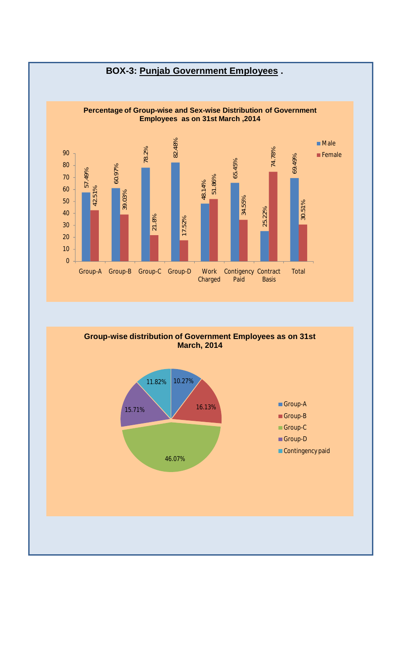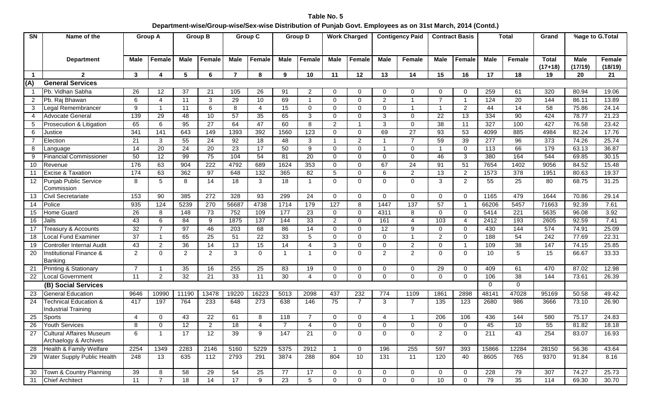**Table No. 5 Department-wise/Group-wise/Sex-wise Distribution of Punjab Govt. Employees as on 31st March, 2014 (Contd.)**

| SN                      | Name of the                                              | <b>Group A</b>       |                 | <b>Group B</b> |                         | <b>Group C</b> |                |                 | <b>Group D</b>   |                | <b>Work Charged</b> |                         | <b>Contigency Paid</b> |                | <b>Contract Basis</b> |             | <b>Total</b> | Grand                     | %age to G.Total        |                          |
|-------------------------|----------------------------------------------------------|----------------------|-----------------|----------------|-------------------------|----------------|----------------|-----------------|------------------|----------------|---------------------|-------------------------|------------------------|----------------|-----------------------|-------------|--------------|---------------------------|------------------------|--------------------------|
|                         | <b>Department</b>                                        | <b>Male</b>          | <b>Female</b>   | <b>Male</b>    | <b>Female</b>           | <b>Male</b>    | Female         | <b>Male</b>     | Female           | <b>Male</b>    | Female              | <b>Male</b>             | Female                 | <b>Male</b>    | Female                | <b>Male</b> | Female       | <b>Total</b><br>$(17+18)$ | <b>Male</b><br>(17/19) | <b>Female</b><br>(18/19) |
| $\overline{\mathbf{1}}$ | $\mathbf{2}$                                             | 3                    | 4               | 5              | 6                       | $\overline{7}$ | 8              | 9               | 10               | 11             | 12                  | 13                      | 14                     | 15             | 16                    | 17          | 18           | 19                        | 20                     | 21                       |
| (A)                     | <b>General Services</b>                                  |                      |                 |                |                         |                |                |                 |                  |                |                     |                         |                        |                |                       |             |              |                           |                        |                          |
|                         | Pb. Vidhan Sabha                                         | 26                   | 12              | 37             | 21                      | 105            | 26             | 91              | 2                | 0              | $\Omega$            | 0                       | 0                      | $\Omega$       | $\Omega$              | 259         | 61           | 320                       | 80.94                  | 19.06                    |
| $\overline{2}$          | Pb. Raj Bhawan                                           | 6                    | $\overline{4}$  | 11             | 3                       | 29             | 10             | 69              | $\mathbf{1}$     | $\mathbf 0$    | $\Omega$            | $\overline{c}$          | 1                      | $\overline{7}$ | -1                    | 124         | 20           | 144                       | 86.11                  | 13.89                    |
| 3                       | Legal Remembrancer                                       | 9                    | -1              | 11             | 6                       | 8              | $\overline{4}$ | 15              | $\mathbf 0$      | $\mathbf 0$    | $\Omega$            | 0                       | -1                     |                | $\overline{c}$        | 44          | 14           | 58                        | 75.86                  | 24.14                    |
| 4                       | Advocate General                                         | 139                  | 29              | 48             | 10                      | 57             | 35             | 65              | 3                | $\mathbf 0$    | 0                   | 3                       | 0                      | 22             | 13                    | 334         | 90           | 424                       | 78.77                  | 21.23                    |
| 5                       | Prosecution & Litigation                                 | 65                   | 6               | 95             | 27                      | 64             | 47             | 60              | 8                | $\overline{2}$ |                     | 3                       | 0                      | 38             | 11                    | 327         | 100          | 427                       | 76.58                  | 23.42                    |
| 6                       | Justice                                                  | 341                  | 141             | 643            | 149                     | 1393           | 392            | 1560            | $\overline{123}$ | $\mathbf 0$    | $\overline{0}$      | 69                      | $\overline{27}$        | 93             | 53                    | 4099        | 885          | 4984                      | 82.24                  | 17.76                    |
| $\overline{7}$          | Election                                                 | 21                   | 3               | 55             | 24                      | 92             | 18             | 48              | 3                | $\overline{1}$ | $\overline{2}$      | -1                      | $\overline{7}$         | 59             | 39                    | 277         | 96           | 373                       | 74.26                  | 25.74                    |
| 8                       | Language                                                 | 14                   | 20              | 24             | 20                      | 23             | 17             | 50              | 9                | $\mathbf 0$    | $\Omega$            | $\overline{\mathbf{1}}$ | 0                      |                | $\mathbf 0$           | 113         | 66           | 179                       | 63.13                  | 36.87                    |
| 9                       | Financial Commissioner                                   | 50                   | 12              | 99             | 75                      | 104            | 54             | 81              | 20               | $\mathbf 0$    | $\Omega$            | $\mathbf 0$             | 0                      | 46             | 3                     | 380         | 164          | 544                       | 69.85                  | 30.15                    |
| 10                      | Revenue                                                  | 176                  | 63              | 904            | $\overline{222}$        | 4792           | 689            | 1624            | 353              | $\mathbf 0$    | $\Omega$            | 67                      | 24                     | 91             | 51                    | 7654        | 1402         | 9056                      | 84.52                  | 15.48                    |
| 11                      | <b>Excise &amp; Taxation</b>                             | 174                  | 63              | 362            | 97                      | 648            | 132            | 365             | 82               | $\sqrt{5}$     | $\Omega$            | 6                       | $\overline{2}$         | 13             | $\overline{2}$        | 1573        | 378          | 1951                      | 80.63                  | 19.37                    |
| $12 \overline{ }$       | <b>Punjab Public Service</b><br>Commission               | 8                    | 5               | 8              | 14                      | 18             | 3              | 18              | $\mathbf{1}$     | $\mathbf 0$    | 0                   | 0                       | 0                      | 3              | 2                     | 55          | 25           | 80                        | 68.75                  | 31.25                    |
| 13                      | Civil Secretariate                                       | 153                  | 90              | 385            | 272                     | 328            | 93             | 299             | 24               | $\mathbf 0$    | $\Omega$            | $\mathbf 0$             | 0                      | $\Omega$       | $\mathbf 0$           | 1165        | 479          | 1644                      | 70.86                  | 29.14                    |
| 14                      | Police                                                   | 935                  | 124             | 5239           | 270                     | 56687          | 4738           | 1714            | 179              | 127            | 8                   | 1447                    | 137                    | 57             | - 1                   | 66206       | 5457         | 71663                     | 92.39                  | 7.61                     |
| 15                      | Home Guard                                               | 26                   | 8               | 148            | 73                      | 752            | 109            | 177             | 23               | 0              | $\mathbf 0$         | 4311                    | 8                      | $\mathbf 0$    | $\mathbf 0$           | 5414        | 221          | 5635                      | 96.08                  | 3.92                     |
| 16                      | Jails                                                    | 43                   | 6               | 84             | 9                       | 1875           | 137            | 144             | 33               | $\overline{2}$ | $\mathbf 0$         | 161                     | 4                      | 103            | 4                     | 2412        | 193          | 2605                      | 92.59                  | 7.41                     |
| 17                      | Treasury & Accounts                                      | 32                   | $\overline{7}$  | 97             | 46                      | 203            | 68             | 86              | 14               | 0              | $\mathbf 0$         | 12                      | 9                      | $\overline{0}$ | $\mathbf 0$           | 430         | 144          | 574                       | 74.91                  | 25.09                    |
| 18                      | ocal Fund Examiner                                       | 37                   | -1              | 65             | 25                      | 51             | 22             | 33              | 5                | $\mathbf 0$    | $\mathbf 0$         | $\mathbf 0$             | 1                      | $\overline{2}$ | $\mathbf 0$           | 188         | 54           | 242                       | 77.69                  | 22.31                    |
| 19                      | Controller Internal Audit                                | 43                   | $\overline{2}$  | 36             | 14                      | 13             | 15             | 14              | 4                | 3              | $\Omega$            | $\mathbf 0$             | $\overline{c}$         | $\mathbf 0$    | -1                    | 109         | 38           | 147                       | 74.15                  | 25.85                    |
| 20                      | Institutional Finance &                                  | $\mathbf{2}^{\circ}$ | $\Omega$        | $\overline{2}$ | $\overline{2}$          | 3              | $\Omega$       | $\mathbf{1}$    | -1               | $\mathbf{0}$   | $\Omega$            | 2                       | $\overline{2}$         | $\Omega$       | 0                     | 10          | 5            | 15                        | 66.67                  | 33.33                    |
|                         | Banking                                                  |                      |                 |                |                         |                |                |                 |                  |                |                     |                         |                        |                |                       |             |              |                           |                        |                          |
| 21                      | <b>Printing &amp; Stationary</b>                         | $\overline{7}$       |                 | 35             | 16                      | 255            | 25             | 83              | 19               | $\mathbf 0$    | $\mathbf 0$         | 0                       | 0                      | 29             | $\mathbf 0$           | 409         | 61           | 470                       | 87.02                  | 12.98                    |
| 22                      | Local Government                                         | 11                   | $\overline{2}$  | 32             | 21                      | 33             | 11             | 30              | 4                | $\mathbf 0$    | $\Omega$            | 0                       | 0                      | $\Omega$       | 0                     | 106         | 38           | 144                       | 73.61                  | 26.39                    |
|                         | (B) Social Services                                      |                      |                 |                |                         |                |                |                 |                  |                |                     |                         |                        |                |                       | $\Omega$    | 0            |                           |                        |                          |
| 23                      | <b>General Education</b>                                 | 9646                 | 10990           | 11190          | 13478                   | 19220          | 16223          | 5013            | 2098             | 437            | 232                 | 774                     | 1109                   | 1861           | 2898                  | 48141       | 47028        | 95169                     | 50.58                  | 49.42                    |
| 24                      | Technical Education &<br><b>Industrial Training</b>      | 417                  | 197             | 764            | 233                     | 648            | 273            | 638             | 146              | 75             | $\overline{7}$      | 3                       | $\overline{7}$         | 135            | 123                   | 2680        | 986          | 3666                      | 73.10                  | 26.90                    |
| 25                      | Sports                                                   | 4                    | $\mathbf{0}$    | 43             | 22                      | 61             | 8              | 118             | $\overline{7}$   | 0              | $\mathbf 0$         | 4                       | 1                      | 206            | 106                   | 436         | 144          | 580                       | 75.17                  | 24.83                    |
| 26                      | <b>Youth Services</b>                                    | 8                    | $\mathbf 0$     | 12             | $\overline{\mathbf{c}}$ | $18$           |                | $\overline{7}$  |                  | 0              | 0                   | $\pmb{0}$               | 0                      | 0              | $\pmb{0}$             | 45          | $10$         | 55                        | 81.82                  | 18.18                    |
| 27                      | <b>Cultural Affaires Museum</b><br>Archaelogy & Archives | 6                    |                 | 17             | 12                      | 39             | 9              | 147             | 21               | $\Omega$       | $\Omega$            | $\Omega$                | 0                      | 2              | $\mathbf{0}$          | 211         | 43           | 254                       | 83.07                  | 16.93                    |
| 28                      | Health & Family Welfare                                  | 2254                 | 1349            | 2283           | 2146                    | 5160           | 5229           | 5375            | 2912             | $\overline{1}$ | $\mathbf 0$         | 196                     | 255                    | 597            | 393                   | 15866       | 12284        | 28150                     | 56.36                  | 43.64                    |
| 29                      | Water Supply Public Health                               | 248                  | $\overline{13}$ | 635            | $\overline{112}$        | 2793           | 291            | 3874            | 288              | 804            | 10                  | 131                     | $\overline{11}$        | 120            | 40                    | 8605        | 765          | 9370                      | 91.84                  | 8.16                     |
| 30                      | Town & Country Planning                                  | 39                   | 8               | 58             | 29                      | 54             | 25             | 77              | 17               | $\overline{0}$ | $\mathbf 0$         | 0                       | 0                      | $\mathbf 0$    | 0                     | 228         | 79           | 307                       | 74.27                  | 25.73                    |
| 31                      | <b>Chief Architect</b>                                   | 11                   | $\overline{7}$  | 18             | $\overline{14}$         | 17             | 9              | $\overline{23}$ | 5                | $\mathbf{0}$   | $\mathbf 0$         | $\mathbf 0$             | 0                      | 10             | $\mathbf 0$           | 79          | 35           | 114                       | 69.30                  | 30.70                    |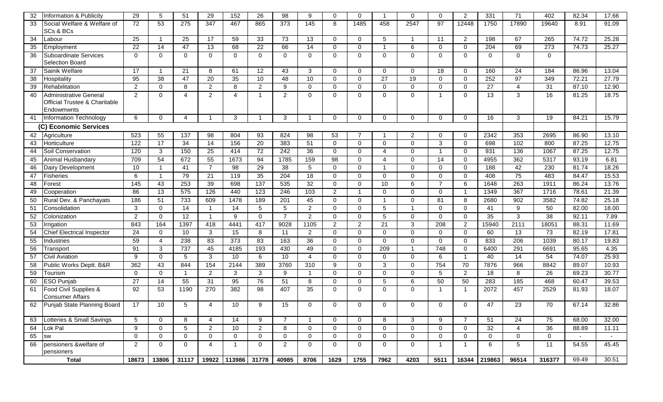| 32              | Information & Publicity                                               | 29             | 5              | 51               | 29              | 152            | 26              | 98                       | 9               | $\mathbf 0$    | $\Omega$       | -1             | $\mathbf 0$    | $\Omega$       | $\overline{2}$          | 331            | 71              | 402             | 82.34  | 17.66  |
|-----------------|-----------------------------------------------------------------------|----------------|----------------|------------------|-----------------|----------------|-----------------|--------------------------|-----------------|----------------|----------------|----------------|----------------|----------------|-------------------------|----------------|-----------------|-----------------|--------|--------|
| 33              | Social Welfare & Welfare of<br>SCs & BCs                              | 72             | 53             | $\overline{275}$ | 347             | 467            | 865             | 373                      | 145             | 8              | 1485           | 458            | 2547           | 97             | 12448                   | 1750           | 17890           | 19640           | 8.91   | 91.09  |
| 34              | Labour                                                                | 25             |                | 25               | 17              | 59             | 33              | 73                       | 13              | $\mathbf 0$    | $\Omega$       | 5              | $\overline{1}$ | 11             | $\overline{2}$          | 198            | 67              | 265             | 74.72  | 25.28  |
| 35              | Employment                                                            | 22             | 14             | 47               | 13              | 68             | 22              | 66                       | 14              | $\overline{0}$ | $\Omega$       | -1             | 6              | $\Omega$       | $\overline{0}$          | 204            | 69              | 273             | 74.73  | 25.27  |
| 36              | <b>Suboardinate Services</b>                                          | $\Omega$       | $\Omega$       | $\mathbf{0}$     | $\mathbf 0$     | $\mathbf 0$    | $\Omega$        | 0                        | $\mathbf 0$     | $\mathbf 0$    | $\Omega$       | $\mathbf 0$    | $\mathbf 0$    | $\Omega$       | $\mathbf 0$             | $\Omega$       | $\Omega$        | $\overline{0}$  |        |        |
|                 | Selection Board                                                       |                |                |                  |                 |                |                 |                          |                 |                |                |                |                |                |                         |                |                 |                 |        |        |
| 37              | Sainik Welfare                                                        | 17             |                | 21               | 8               | 61             | 12              | 43                       | 3               | $\mathbf 0$    | 0              | $\mathbf 0$    | $\mathbf 0$    | 18             | $\mathbf 0$             | 160            | 24              | 184             | 86.96  | 13.04  |
| 38              | Hospitality                                                           | 95             | 38             | 47               | 20              | 35             | 10              | 48                       | 10              | $\mathbf 0$    | $\Omega$       | 27             | 19             | $\Omega$       | $\overline{0}$          | 252            | 97              | 349             | 72.21  | 27.79  |
| 39              | Rehabilitation                                                        | $\overline{2}$ | $\mathbf 0$    | 8                | $\overline{2}$  | 8              | $\overline{2}$  | 9                        | $\mathbf 0$     | $\mathbf 0$    | $\mathbf 0$    | $\mathbf 0$    | $\mathbf 0$    | $\mathbf 0$    | $\mathbf 0$             | 27             | $\overline{4}$  | 31              | 87.10  | 12.90  |
| 40              | Administrative General<br>Official Trustee & Charitable<br>Endowmwnts | 2              | $\Omega$       | $\overline{4}$   | $\overline{2}$  | $\overline{4}$ | $\overline{1}$  | $\overline{2}$           | $\Omega$        | $\Omega$       | $\Omega$       | $\Omega$       | $\mathbf 0$    | $\overline{1}$ | $\Omega$                | 13             | 3               | $\overline{16}$ | 81.25  | 18.75  |
| 41              | Information Technology                                                | 6              | $\Omega$       | $\overline{4}$   |                 | 3              | $\overline{1}$  | 3                        |                 | $\Omega$       | $\Omega$       | $\Omega$       | $\Omega$       | $\Omega$       | $\Omega$                | 16             | 3               | 19              | 84.21  | 15.79  |
|                 | (C) Economic Services                                                 |                |                |                  |                 |                |                 |                          |                 |                |                |                |                |                |                         |                |                 |                 |        |        |
| 42              | Agriculture                                                           | 523            | 55             | 137              | 98              | 804            | 93              | 824                      | 98              | 53             |                |                | 2              | $\Omega$       | $\Omega$                | 2342           | 353             | 2695            | 86.90  | 13.10  |
| 43              | Horticulture                                                          | 122            | 17             | 34               | 14              | 156            | $\overline{20}$ | 383                      | 51              | $\mathbf 0$    | $\Omega$       | $\mathbf 0$    | $\mathbf 0$    | 3              | $\mathbf 0$             | 698            | 102             | 800             | 87.25  | 12.75  |
| 44              | Soil Conservation                                                     | 120            | 3              | 150              | 25              | 414            | 72              | $\overline{242}$         | 36              | $\mathbf 0$    | $\Omega$       | $\overline{4}$ | $\mathbf 0$    | $\overline{1}$ | $\mathbf 0$             | 931            | 136             | 1067            | 87.25  | 12.75  |
| 45              | Animal Husbandary                                                     | 709            | 54             | 672              | 55              | 1673           | 94              | 1785                     | 159             | 98             | $\mathbf 0$    | $\overline{4}$ | $\mathbf 0$    | 14             | $\mathbf 0$             | 4955           | 362             | 5317            | 93.19  | 6.81   |
| 46              | Dairy Development                                                     | 10             | $\overline{1}$ | 41               | $\overline{7}$  | 98             | 29              | 38                       | 5               | $\mathbf 0$    | $\Omega$       | -1             | $\mathbf 0$    | $\Omega$       | $\mathbf 0$             | 188            | 42              | 230             | 81.74  | 18.26  |
| 47              | <b>Fisheries</b>                                                      | 6              | $\overline{1}$ | 79               | 21              | 119            | $\overline{35}$ | 204                      | 18              | $\mathbf 0$    | $\Omega$       | $\mathbf 0$    | $\mathbf 0$    | $\Omega$       | $\mathbf 0$             | 408            | $\overline{75}$ | 483             | 84.47  | 15.53  |
| 48              | Forest                                                                | 145            | 43             | $\overline{253}$ | 39              | 698            | 137             | 535                      | 32              | $\mathbf 0$    | $\Omega$       | 10             | 6              | $\overline{7}$ | 6                       | 1648           | 263             | 1911            | 86.24  | 13.76  |
| 49              | Cooperation                                                           | 86             | 13             | 575              | 126             | 440            | 123             | 246                      | 103             | $\overline{c}$ | $\overline{1}$ | $\mathbf 0$    | $\mathbf 0$    | $\Omega$       | -1                      | 1349           | 367             | 1716            | 78.61  | 21.39  |
| 50              | Rural Dev. & Panchayats                                               | 186            | 51             | 733              | 609             | 1478           | 189             | 201                      | 45              | $\mathbf 0$    | $\Omega$       | -1             | $\mathbf 0$    | 81             | 8                       | 2680           | 902             | 3582            | 74.82  | 25.18  |
| 51              | Consolidation                                                         | 3              | $\mathbf 0$    | $\overline{14}$  | $\overline{1}$  | 14             | 5               | $\sqrt{5}$               | $\overline{2}$  | $\mathbf 0$    | $\Omega$       | 5              | $\overline{1}$ | $\Omega$       | $\mathbf 0$             | 41             | 9               | 50              | 82.00  | 18.00  |
| 52              | Colonization                                                          | 2              | $\Omega$       | $\overline{12}$  | $\overline{1}$  | 9              | $\Omega$        | $\overline{7}$           | 2               | $\mathbf 0$    | $\Omega$       | 5              | $\mathbf 0$    | $\Omega$       | $\mathbf 0$             | 35             | 3               | 38              | 92.11  | 7.89   |
| 53              | rrigation                                                             | 843            | 164            | 1397             | 418             | 4441           | 417             | 9028                     | 1105            | $\overline{c}$ | $\overline{2}$ | 21             | $\mathbf{3}$   | 208            | $\overline{2}$          | 15940          | 2111            | 18051           | 88.31  | 11.69  |
| 54              | <b>Chief Electrical Inspector</b>                                     | 24             | $\Omega$       | 10               | 3               | 15             | 8               | 11                       | $\overline{2}$  | $\mathbf 0$    | $\Omega$       | $\mathbf 0$    | $\mathbf 0$    | $\Omega$       | $\mathbf 0$             | 60             | 13              | 73              | 82.19  | 17.81  |
| 55              | Industries                                                            | 59             | $\overline{4}$ | 238              | $\overline{83}$ | 373            | 83              | 163                      | $\overline{36}$ | $\mathbf 0$    | $\Omega$       | $\mathbf 0$    | $\mathbf 0$    | $\Omega$       | $\mathbf 0$             | 833            | 206             | 1039            | 80.17  | 19.83  |
| 56              | Transport                                                             | 91             | 3              | 737              | 45              | 4185           | 193             | 430                      | 49              | $\mathbf 0$    | $\Omega$       | 209            | $\overline{1}$ | 748            | $\mathbf 0$             | 6400           | 291             | 6691            | 95.65  | 4.35   |
| 57              | Civil Aviation                                                        | 9              | $\Omega$       | 5                | 3               | 10             | 6               | 10                       | $\overline{4}$  | $\mathbf 0$    | $\Omega$       | $\mathbf 0$    | $\mathbf 0$    | 6              | $\overline{\mathbf{1}}$ | 40             | 14              | 54              | 74.07  | 25.93  |
| 58              | Public Works Deptt. B&R                                               | 362            | 43             | 844              | 154             | 2144           | 389             | 3760                     | 310             | 9              | $\Omega$       | 3              | $\mathbf 0$    | 754            | 70                      | 7876           | 966             | 8842            | 89.07  | 10.93  |
| $\overline{59}$ | Tourism                                                               | $\Omega$       | $\mathbf{0}$   | $\mathbf{1}$     | $\overline{2}$  | 3              | 3               | 9                        | $\overline{1}$  | $\mathbf 0$    | $\Omega$       | $\mathbf 0$    | $\mathbf 0$    | 5              | $\overline{2}$          | 18             | 8               | 26              | 69.23  | 30.77  |
| 60              | <b>ESO Punjab</b>                                                     | 27             | 14             | 55               | 31              | 95             | 76              | 51                       | 8               | $\mathbf 0$    | $\Omega$       | 5              | 6              | 50             | 50                      | 283            | 185             | 468             | 60.47  | 39.53  |
| 61              | Food Civil Supplies &<br><b>Consumer Affairs</b>                      | 92             | 53             | 1190             | 270             | 382            | 98              | 407                      | 35              | $\Omega$       | $\Omega$       | $\Omega$       | $\Omega$       | -1             | -1                      | 2072           | 457             | 2529            | 81.93  | 18.07  |
| 62              | Punjab State Planning Board                                           | 17             | 10             | 5                | Δ               | 10             | $\mathsf{Q}$    | 15                       | $\Omega$        | $\Omega$       | $\Omega$       | $\Omega$       | $\mathbf 0$    | $\Omega$       | $\Omega$                | 47             | 23              | 70              | 67.14  | 32.86  |
|                 | 63 Lotteries & Small Savings                                          | 5 <sup>5</sup> | $\overline{0}$ | 8                | $\overline{4}$  | 14             | 9               | $\overline{7}$           | $\overline{1}$  | $\overline{0}$ | $\mathbf 0$    | 8              | $\mathbf{3}$   | 9              | $\overline{7}$          | 51             | 24              | 75              | 68.00  | 32.00  |
|                 | 64 Lok Pal                                                            | 9              | $\overline{0}$ | 5 <sup>5</sup>   | $\overline{2}$  | 10             | $\overline{2}$  | 8                        | $\mathbf{0}$    | $\overline{0}$ | $\mathbf 0$    | $\mathbf 0$    | $\mathbf 0$    | $\mathbf 0$    | $\overline{0}$          | 32             | $\overline{4}$  | 36              | 88.89  | 11.11  |
| 65              | <b>SW</b>                                                             | $\overline{0}$ | $\overline{0}$ | $\overline{0}$   | $\mathbf 0$     | $\overline{0}$ | $\overline{0}$  | $\overline{0}$           | $\mathbf 0$     | $\overline{0}$ | $\mathbf 0$    | $\mathbf 0$    | $\mathbf 0$    | $\mathbf{0}$   | $\overline{0}$          | $\overline{0}$ | $\overline{0}$  | $\overline{0}$  | $\sim$ | $\sim$ |
| 66              | pensioners &welfare of<br>pensioners                                  | $2^{\circ}$    | $\overline{0}$ | $\overline{0}$   | $\overline{4}$  | $\overline{1}$ | $\overline{0}$  | $2^{\circ}$              | $\overline{0}$  | $\overline{0}$ | $\overline{0}$ | $\overline{0}$ | $\overline{0}$ | $\overline{1}$ | $\overline{1}$          | 6              | $5^{\circ}$     | 11              | 54.55  | 45.45  |
|                 | <b>Total</b>                                                          | 18673          | 13806          | 31117            |                 |                |                 | 19922 113986 31778 40985 | 8706            | 1629           | 1755           | 7962           | 4203           | 5511           |                         | 16344 219863   | 96514           | 316377          | 69.49  | 30.51  |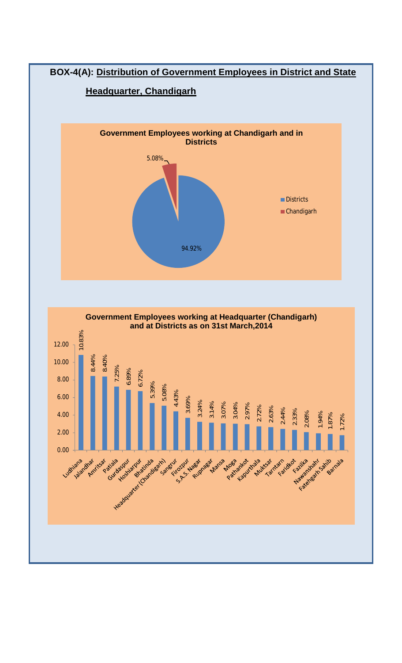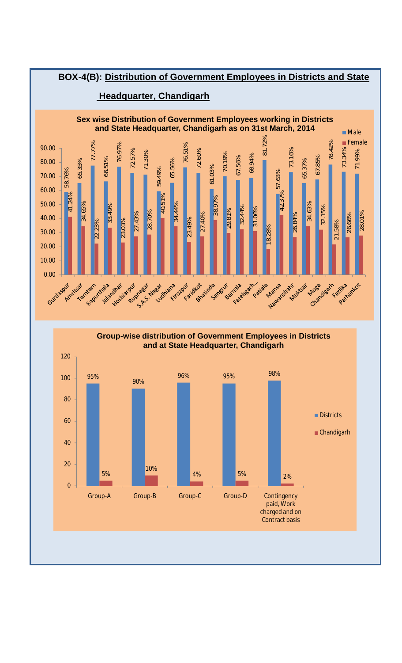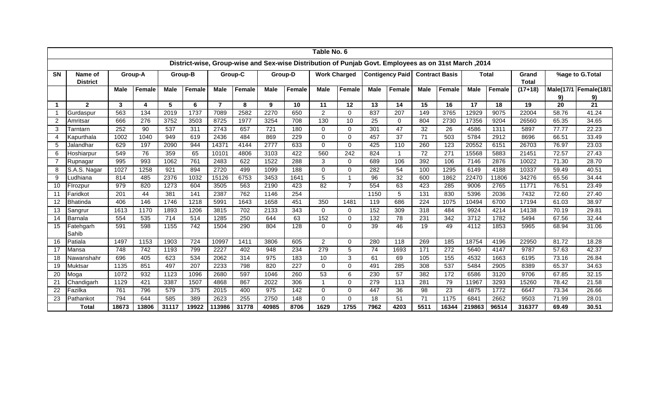|                |                            |             |               |                  |         |                |         |             |         | Table No. 6    |                     |             |                                                                                                      |                 |                       |             |               |                       |       |                             |
|----------------|----------------------------|-------------|---------------|------------------|---------|----------------|---------|-------------|---------|----------------|---------------------|-------------|------------------------------------------------------------------------------------------------------|-----------------|-----------------------|-------------|---------------|-----------------------|-------|-----------------------------|
|                |                            |             |               |                  |         |                |         |             |         |                |                     |             | 2014, District-wise, Group-wise and Sex-wise Distribution of Punjab Govt. Employees as on 31st March |                 |                       |             |               |                       |       |                             |
| <b>SN</b>      | Name of<br><b>District</b> |             | Group-A       |                  | Group-B |                | Group-C |             | Group-D |                | <b>Work Charged</b> |             | <b>Contigency Paid</b>                                                                               |                 | <b>Contract Basis</b> |             | <b>Total</b>  | Grand<br><b>Total</b> |       | %age to G.Total             |
|                |                            | <b>Male</b> | <b>Female</b> | <b>Male</b>      | Female  | <b>Male</b>    | Female  | <b>Male</b> | Female  | <b>Male</b>    | Female              | <b>Male</b> | Female                                                                                               | <b>Male</b>     | Female                | <b>Male</b> | <b>Female</b> | $(17+18)$             | 9)    | Male(17/1 Female(18/1<br>9) |
| -1             | $\overline{2}$             | 3           | 4             | 5                | 6       | $\overline{7}$ | 8       | 9           | 10      | 11             | 12                  | 13          | 14                                                                                                   | 15              | 16                    | 17          | 18            | 19                    | 20    | 21                          |
|                | Gurdaspur                  | 563         | 134           | 2019             | 1737    | 7089           | 2582    | 2270        | 650     | $\overline{c}$ | $\Omega$            | 837         | 207                                                                                                  | 149             | 3765                  | 12929       | 9075          | 22004                 | 58.76 | 41.24                       |
| 2              | Amritsar                   | 666         | 276           | 3752             | 3503    | 8725           | 1977    | 3254        | 708     | 130            | 10                  | 25          | $\Omega$                                                                                             | 804             | 2730                  | 17356       | 9204          | 26560                 | 65.35 | 34.65                       |
| 3              | Tarntarn                   | 252         | 90            | 537              | 311     | 2743           | 657     | 721         | 180     | $\Omega$       | $\Omega$            | 301         | 47                                                                                                   | 32              | 26                    | 4586        | 1311          | 5897                  | 77.77 | 22.23                       |
| 4              | Kapurthala                 | 1002        | 1040          | 949              | 619     | 2436           | 484     | 869         | 229     | $\Omega$       | $\Omega$            | 457         | 37                                                                                                   | $\overline{71}$ | 503                   | 5784        | 2912          | 8696                  | 66.51 | 33.49                       |
| 5              | Jalandhar                  | 629         | 197           | 2090             | 944     | 14371          | 4144    | 2777        | 633     | 0              | 0                   | 425         | 110                                                                                                  | 260             | 123                   | 20552       | 6151          | 26703                 | 76.97 | 23.03                       |
| 6              | Hoshiarpur                 | 549         | 76            | 359              | 65      | 10101          | 4806    | 3103        | 422     | 560            | 242                 | 824         | $\mathbf 1$                                                                                          | 72              | 271                   | 15568       | 5883          | 21451                 | 72.57 | 27.43                       |
| $\overline{7}$ | Rupnagar                   | 995         | 993           | 1062             | 761     | 2483           | 622     | 1522        | 288     | 3              | 0                   | 689         | 106                                                                                                  | 392             | 106                   | 7146        | 2876          | 10022                 | 71.30 | 28.70                       |
| 8              | S.A.S. Nagar               | 1027        | 1258          | $\overline{921}$ | 894     | 2720           | 499     | 1099        | 188     | $\Omega$       | $\Omega$            | 282         | 54                                                                                                   | 100             | 1295                  | 6149        | 4188          | 10337                 | 59.49 | 40.51                       |
| 9              | _udhiana                   | 814         | 485           | 2376             | 1032    | 15126          | 6753    | 3453        | 1641    | 5              |                     | 96          | 32                                                                                                   | 600             | 1862                  | 22470       | 11806         | 34276                 | 65.56 | 34.44                       |
| 10             | Firozpur                   | 979         | 820           | 1273             | 604     | 3505           | 563     | 2190        | 423     | 82             | $\overline{7}$      | 554         | 63                                                                                                   | 423             | 285                   | 9006        | 2765          | 11771                 | 76.51 | 23.49                       |
| 11             | Faridkot                   | 201         | 44            | 381              | 141     | 2387           | 762     | 1146        | 254     |                |                     | 1150        | 5                                                                                                    | 131             | 830                   | 5396        | 2036          | 7432                  | 72.60 | 27.40                       |
| 12             | Bhatinda                   | 406         | 146           | 1746             | 1218    | 5991           | 1643    | 1658        | 451     | 350            | 1481                | 119         | 686                                                                                                  | 224             | 1075                  | 10494       | 6700          | 17194                 | 61.03 | 38.97                       |
| 13             | Sangrur                    | 1613        | 1170          | 1893             | 1206    | 3815           | 702     | 2133        | 343     | 0              | 0                   | 152         | 309                                                                                                  | 318             | 484                   | 9924        | 4214          | 14138                 | 70.19 | 29.81                       |
| 14             | Barnala                    | 554         | 535           | 714              | 514     | 1285           | 250     | 644         | 63      | 152            | $\Omega$            | 132         | 78                                                                                                   | 231             | 342                   | 3712        | 1782          | 5494                  | 67.56 | 32.44                       |
| 15             | Fatehgarh<br>Sahib         | 591         | 598           | 1155             | 742     | 1504           | 290     | 804         | 128     | $\Omega$       | 0                   | 39          | 46                                                                                                   | 19              | 49                    | 4112        | 1853          | 5965                  | 68.94 | 31.06                       |
| 16             | Patiala                    | 1497        | 1153          | 1903             | 724     | 10997          | 1411    | 3806        | 605     | 2              | $\Omega$            | 280         | 118                                                                                                  | 269             | 185                   | 18754       | 4196          | 22950                 | 81.72 | 18.28                       |
| 17             | Mansa                      | 748         | 742           | 1193             | 799     | 2227           | 402     | 948         | 234     | 279            | 5                   | 74          | 1693                                                                                                 | 171             | 272                   | 5640        | 4147          | 9787                  | 57.63 | 42.37                       |
| 18             | Nawanshahr                 | 696         | 405           | 623              | 534     | 2062           | 314     | 975         | 183     | 10             | 3                   | 61          | 69                                                                                                   | 105             | 155                   | 4532        | 1663          | 6195                  | 73.16 | 26.84                       |
| 19             | Muktsar                    | 1135        | 851           | 497              | 207     | 2233           | 798     | 820         | 227     | $\mathbf 0$    | $\Omega$            | 491         | 285                                                                                                  | 308             | 537                   | 5484        | 2905          | 8389                  | 65.37 | 34.63                       |
| 20             | Moga                       | 1072        | 932           | 1123             | 1096    | 2680           | 597     | 1046        | 260     | 53             | 6                   | 230         | 57                                                                                                   | 382             | 172                   | 6586        | 3120          | 9706                  | 67.85 | 32.15                       |
| 21             | Chandigarh                 | 1129        | 421           | 3387             | 1507    | 4868           | 867     | 2022        | 306     | -1             | $\Omega$            | 279         | 113                                                                                                  | 281             | 79                    | 11967       | 3293          | 15260                 | 78.42 | 21.58                       |
| 22             | Fazilka                    | 761         | 796           | 579              | 375     | 2015           | 400     | 975         | 142     | $\mathbf 0$    | $\Omega$            | 447         | 36                                                                                                   | 98              | 23                    | 4875        | 1772          | 6647                  | 73.34 | 26.66                       |
| 23             | Pathankot                  | 794         | 644           | 585              | 389     | 2623           | 255     | 2750        | 148     | 0              | $\Omega$            | 18          | 51                                                                                                   | 71              | 1175                  | 6841        | 2662          | 9503                  | 71.99 | 28.01                       |
|                | <b>Total</b>               | 18673       | 13806         | 31117            | 19922   | 113986         | 31778   | 40985       | 8706    | 1629           | 1755                | 7962        | 4203                                                                                                 | 5511            | 16344                 | 219863      | 96514         | 316377                | 69.49 | 30.51                       |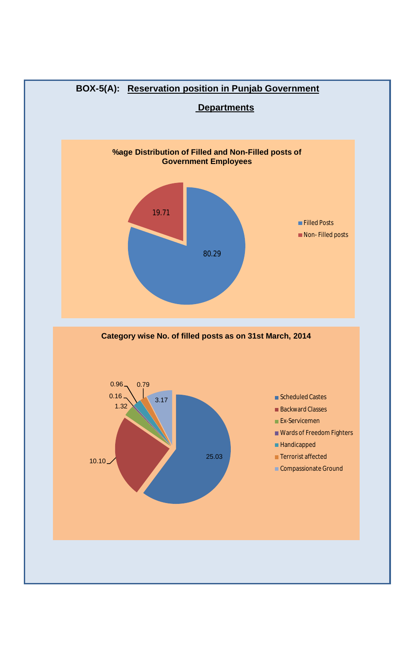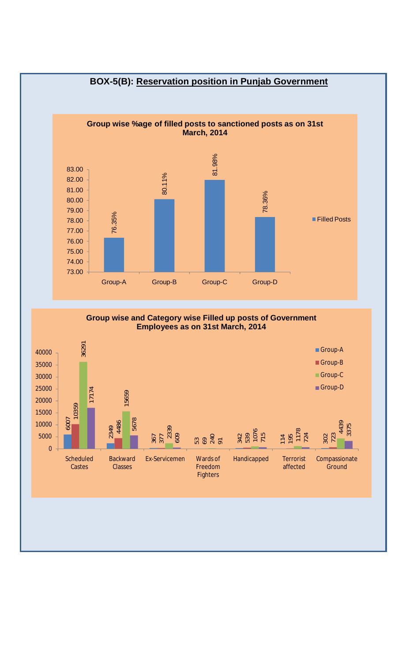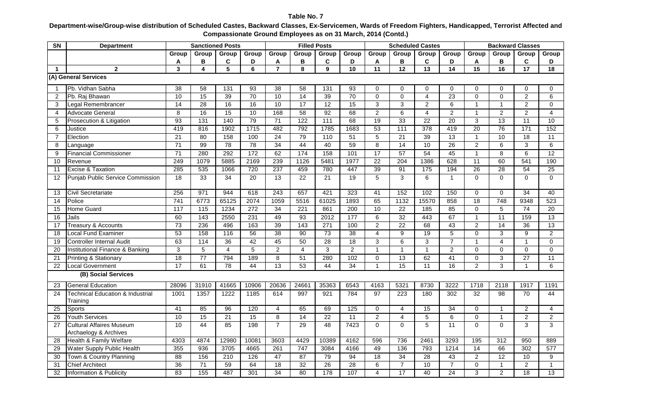**Department-wise/Group-wise distribution of Scheduled Castes, Backward Classes, Ex-Servicemen, Wards of Freedom Fighters, Handicapped, Terrorist Affected and Compassionate Ground Employees as on 31 March, 2014 (Contd.)**

| SN             | <b>Department</b>                                        | <b>Sanctioned Posts</b> |                  |                 |                 |                 |                  | <b>Filled Posts</b> |                 |                 | <b>Scheduled Castes</b> |                 |                 |                 |                         | <b>Backward Classes</b> |                 |
|----------------|----------------------------------------------------------|-------------------------|------------------|-----------------|-----------------|-----------------|------------------|---------------------|-----------------|-----------------|-------------------------|-----------------|-----------------|-----------------|-------------------------|-------------------------|-----------------|
|                |                                                          | Group                   | Group            | Group           | Group           | Group           | Group            | Group               | Group           | Group           | Group                   | Group           | Group           | Group           | Group                   | Group                   | Group           |
|                |                                                          | A                       | в                | C               | D               | A               | В                | C                   | D               | A               | в                       | С               | D               | Α               | В                       | C                       | D               |
| $\overline{1}$ | $\mathbf{2}$                                             | 3                       | 4                | 5               | 6               | $\overline{7}$  | 8                | 9                   | 10              | 11              | 12                      | $\overline{13}$ | 14              | 15              | 16                      | 17                      | $\overline{18}$ |
|                | (A) General Services                                     |                         |                  |                 |                 |                 |                  |                     |                 |                 |                         |                 |                 |                 |                         |                         |                 |
| -1             | Pb. Vidhan Sabha                                         | $\overline{38}$         | 58               | 131             | 93              | 38              | $\overline{58}$  | $\overline{131}$    | 93              | $\Omega$        | $\Omega$                | $\mathbf 0$     | $\Omega$        | $\mathbf 0$     | $\Omega$                | 0                       | 0               |
| 2              | Pb. Raj Bhawan                                           | 10                      | 15               | 39              | 70              | 10              | 14               | 39                  | 70              | $\Omega$        | $\Omega$                | $\overline{4}$  | $\overline{23}$ | $\Omega$        | $\Omega$                | $\overline{2}$          | $\overline{6}$  |
| 3              | Legal Remembrancer                                       | 14                      | 28               | 16              | 16              | 10              | 17               | 12                  | 15              | 3               | 3                       | $\overline{2}$  | 6               | 1               | -1                      | 2                       | $\mathbf 0$     |
| $\overline{4}$ | <b>Advocate General</b>                                  | 8                       | 16               | 15              | 10              | 168             | 58               | 92                  | 68              | $\overline{2}$  | 6                       | $\overline{4}$  | $\overline{2}$  | $\mathbf{1}$    | $\overline{2}$          | $\overline{2}$          | $\overline{4}$  |
| 5              | Prosecution & Litigation                                 | $\overline{93}$         | 131              | 140             | 79              | 71              | $\overline{122}$ | 111                 | 68              | 19              | $\overline{33}$         | 22              | $\overline{20}$ | 3               | 13                      | $\overline{11}$         | 10              |
| 6              | Justice                                                  | 419                     | 816              | 1902            | 1715            | 482             | 792              | 1785                | 1683            | $\overline{53}$ | $\frac{111}{11}$        | 378             | 419             | $\overline{20}$ | 76                      | $\overline{171}$        | 152             |
| $\overline{7}$ | Election                                                 | 21                      | 80               | 158             | 100             | 24              | 79               | 110                 | $\overline{51}$ | 5               | 21                      | 39              | $\overline{13}$ | $\mathbf{1}$    | 10                      | $\overline{18}$         | $\overline{11}$ |
| 8              | Language                                                 | $\overline{71}$         | 99               | 78              | $\overline{78}$ | $\overline{34}$ | 44               | 40                  | 59              | 8               | $\overline{14}$         | 10              | $\overline{26}$ | $\overline{c}$  | 6                       | 3                       | 6               |
| 9              | <b>Financial Commissioner</b>                            | $\overline{71}$         | 280              | 292             | 172             | 62              | 174              | 158                 | 101             | 17              | 57                      | 54              | 45              | $\overline{1}$  | $\overline{\mathbf{8}}$ | $\overline{6}$          | $\overline{12}$ |
| 10             | Revenue                                                  | 249                     | 1079             | 5885            | 2169            | 239             | 1126             | 5481                | 1977            | $\overline{22}$ | 204                     | 1386            | 628             | $\overline{11}$ | 60                      | 541                     | 190             |
| 11             | Excise & Taxation                                        | 285                     | 535              | 1066            | 720             | 237             | 459              | 780                 | 447             | 39              | $\overline{91}$         | $\frac{175}{2}$ | 194             | 26              | 28                      | $\overline{54}$         | $\overline{25}$ |
| 12             | <b>Punjab Public Service Commission</b>                  | $\overline{18}$         | 33               | $\overline{34}$ | $\overline{20}$ | 13              | $\overline{22}$  | $\overline{21}$     | 19              | $\overline{5}$  | $\overline{3}$          | 6               | $\overline{1}$  | $\overline{0}$  | $\Omega$                | $\Omega$                | $\overline{0}$  |
| 13             | Civil Secretariate                                       | 256                     | 971              | 944             | 618             | 243             | 657              | 421                 | 323             | 41              | 152                     | 102             | 150             | 0               | $\mathbf 0$             | 34                      | 40              |
| 14             | Police                                                   | 741                     | 6773             | 65125           | 2074            | 1059            | 5516             | 61025               | 1893            | 65              | 1132                    | 15570           | 858             | 18              | 748                     | 9348                    | 523             |
| 15             | <b>Home Guard</b>                                        | $\frac{117}{117}$       | $\overline{115}$ | 1234            | 272             | 34              | 221              | 861                 | 200             | 10              | $\overline{22}$         | 185             | 85              | $\overline{0}$  | 5                       | 74                      | $\overline{20}$ |
| 16             | Jails                                                    | 60                      | 143              | 2550            | 231             | 49              | 93               | 2012                | 177             | $\overline{6}$  | 32                      | 443             | 67              | $\overline{1}$  | 11                      | 159                     | 13              |
| 17             | <b>Treasury &amp; Accounts</b>                           | 73                      | 236              | 496             | 163             | 39              | 143              | 271                 | 100             | $\overline{2}$  | $\overline{22}$         | 68              | 43              | $\overline{2}$  | 14                      | 36                      | $\overline{13}$ |
| 18             | <b>Local Fund Examiner</b>                               | 53                      | 158              | 116             | 56              | 38              | 90               | 73                  | 38              | $\overline{4}$  | 9                       | 19              | 5               | $\mathbf 0$     | 3                       | 9                       | $\overline{2}$  |
| 19             | <b>Controller Internal Audit</b>                         | 63                      | 114              | 36              | 42              | 45              | 50               | $\overline{28}$     | 18              | 3               | 6                       | 3               | $\overline{7}$  | $\mathbf{1}$    | 4                       | $\overline{1}$          | $\mathbf 0$     |
| 20             | Institutional Finance & Banking                          | 3                       | $\overline{5}$   | $\overline{4}$  | $\overline{5}$  | $\overline{2}$  | $\overline{4}$   | ن                   | $\overline{2}$  | $\mathbf{1}$    | $\mathbf{1}$            | $\mathbf{1}$    | 2               | $\mathbf 0$     | $\Omega$                | $\Omega$                | $\Omega$        |
| 21             | <b>Printing &amp; Stationary</b>                         | 18                      | $\overline{77}$  | 794             | 189             | 8               | 51               | 280                 | 102             | $\Omega$        | 13                      | 62              | $\overline{41}$ | $\overline{0}$  | 3                       | $\overline{27}$         | 11              |
| 22             | <b>Local Government</b>                                  | 17                      | 61               | 78              | 44              | $\overline{13}$ | 53               | 44                  | 34              | $\overline{1}$  | $\overline{15}$         | 11              | 16              | $\overline{2}$  | $\overline{3}$          | $\overline{1}$          | 6               |
|                | (B) Social Services                                      |                         |                  |                 |                 |                 |                  |                     |                 |                 |                         |                 |                 |                 |                         |                         |                 |
| 23             | <b>General Education</b>                                 | 28096                   | 31910            | 41665           | 10906           | 20636           | 24661            | 35363               | 6543            | 4163            | 5321                    | 8730            | 3222            | 1718            | 2118                    | 1917                    | 1191            |
| 24             | <b>Technical Education &amp; Industrial</b><br>Training  | 1001                    | 1357             | 1222            | 1185            | 614             | 997              | 921                 | 784             | 97              | 223                     | 180             | 302             | $\overline{32}$ | $\overline{98}$         | 70                      | 44              |
| 25             | Sports                                                   | 41                      | 85               | 96              | 120             | $\overline{4}$  | 65               | 69                  | 125             | $\mathbf 0$     | 4                       | 15              | 34              | $\mathbf 0$     | $\mathbf{1}$            | 2                       | $\overline{4}$  |
| 26             | <b>Youth Services</b>                                    | 10                      | 15               | 21              | 15              | 8               | 14               | $\overline{22}$     | 11              | $\overline{2}$  | 4                       | 5               | 6               | $\mathbf 0$     | $\overline{1}$          | $\overline{2}$          | $\overline{2}$  |
| 27             | <b>Cultural Affaires Museum</b><br>Archaelogy & Archives | 10                      | 44               | 85              | 198             | $\overline{7}$  | 29               | $\overline{48}$     | 7423            | $\Omega$        | $\Omega$                | 5               | 11              | $\Omega$        | $\Omega$                | 3                       | 3               |
| 28             | Health & Family Welfare                                  | 4303                    | 4874             | 12980           | 10081           | 3603            | 4429             | 10389               | 4162            | 596             | 736                     | 2461            | 3293            | 195             | 312                     | 950                     | 889             |
| 29             | Water Supply Public Health                               | 355                     | 936              | 3705            | 4665            | 261             | 747              | 3084                | 4166            | 49              | 136                     | 793             | 1214            | 14              | 66                      | 302                     | 577             |
| 30             | Town & Country Planning                                  | 88                      | 156              | 210             | 126             | 47              | 87               | 79                  | 94              | 18              | 34                      | 28              | 43              | $\overline{2}$  | 12                      | 10                      | 9               |
| 31             | <b>Chief Architect</b>                                   | 36                      | $\overline{71}$  | 59              | 64              | 18              | $\overline{32}$  | 26                  | $\overline{28}$ | 6               | $\overline{7}$          | 10              | $\overline{7}$  | $\mathbf 0$     | $\mathbf{1}$            | $\overline{c}$          | $\mathbf{1}$    |
| 32             | Information & Publicity                                  | 83                      | 155              | 487             | 301             | 34              | $\overline{80}$  | 178                 | 107             | $\overline{4}$  | 17                      | 40              | $\overline{24}$ | 3               | $\overline{2}$          | $\overline{18}$         | 13              |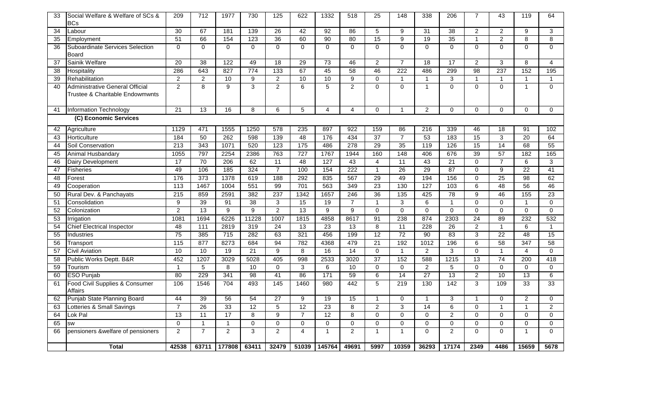| 33              | Social Welfare & Welfare of SCs &<br><b>BCs</b>                    | 209              | $\overline{712}$ | 1977             | 730              | 125               | 622             | 1332             | 518             | $\overline{25}$ | 148             | 338              | 206              | $\overline{7}$  | 43              | 119              | 64                  |
|-----------------|--------------------------------------------------------------------|------------------|------------------|------------------|------------------|-------------------|-----------------|------------------|-----------------|-----------------|-----------------|------------------|------------------|-----------------|-----------------|------------------|---------------------|
| 34              | Labour                                                             | $\overline{30}$  | 67               | 181              | 139              | 26                | $\overline{42}$ | $\overline{92}$  | 86              | 5               | 9               | 31               | $\overline{38}$  | $\overline{c}$  | $\overline{a}$  | 9                | $\mathbf{3}$        |
| 35              | Employment                                                         | 51               | 66               | 154              | 123              | 36                | 60              | 90               | 80              | 15              | $\overline{9}$  | 19               | 35               | $\mathbf{1}$    | $\overline{2}$  | 8                | $\overline{8}$      |
| 36              | Suboardinate Services Selection<br>Board                           | 0                | $\mathbf 0$      | $\mathbf 0$      | $\mathbf 0$      | $\Omega$          | $\mathbf 0$     | $\mathbf 0$      | $\overline{0}$  | $\Omega$        | $\mathbf 0$     | $\mathbf 0$      | $\mathbf 0$      | $\overline{0}$  | $\overline{0}$  | $\Omega$         | $\overline{0}$      |
| 37              | Sainik Welfare                                                     | 20               | $\overline{38}$  | 122              | 49               | 18                | $\overline{29}$ | $\overline{73}$  | 46              | $\overline{c}$  | 7               | 18               | 17               | $\overline{2}$  | 3               | 8                | 4                   |
| 38              | Hospitality                                                        | 286              | 643              | 827              | 774              | 133               | 67              | 45               | 58              | 46              | 222             | 486              | 299              | 98              | 237             | 152              | 195                 |
| 39              | Rehabilitation                                                     | $\overline{2}$   | $\overline{2}$   | $\overline{10}$  | $\boldsymbol{9}$ | $\overline{2}$    | $\overline{10}$ | 10               | $\overline{9}$  | $\Omega$        | $\mathbf{1}$    | $\mathbf{1}$     | 3                | $\mathbf{1}$    | $\mathbf{1}$    | $\overline{1}$   | $\mathbf{1}$        |
| 40              | Administrative General Official<br>Trustee & Charitable Endowmwnts | $\overline{2}$   | 8                | $\overline{9}$   | $\overline{3}$   | $\overline{2}$    | $\overline{6}$  | $\overline{5}$   | $\overline{2}$  | 0               | $\Omega$        | $\mathbf{1}$     | $\Omega$         | $\mathbf 0$     | 0               | $\mathbf{1}$     | $\overline{0}$      |
| 41              | <b>Information Technology</b>                                      | 21               | 13               | 16               | 8                | 6                 | 5               | $\overline{4}$   | $\overline{4}$  | 0               | $\mathbf{1}$    | $\overline{2}$   | $\mathbf 0$      | $\mathbf 0$     | 0               | $\mathbf 0$      | $\mathbf 0$         |
|                 | (C) Economic Services                                              |                  |                  |                  |                  |                   |                 |                  |                 |                 |                 |                  |                  |                 |                 |                  |                     |
| 42              | Agriculture                                                        | 1129             | 471              | 1555             | 1250             | 578               | 235             | 897              | 922             | 159             | 86              | 216              | 339              | 46              | 18              | 91               | 102                 |
| 43              | Horticulture                                                       | 184              | 50               | 262              | 598              | 139               | 48              | 176              | 434             | 37              | $\overline{7}$  | 53               | 183              | 15              | $\mathbf{3}$    | $\overline{20}$  | 64                  |
| 44              | Soil Conservation                                                  | $\overline{213}$ | 343              | 1071             | 520              | 123               | 175             | 486              | 278             | 29              | 35              | 119              | 126              | 15              | 14              | 68               | 55                  |
| 45              | Animal Husbandary                                                  | 1055             | 797              | 2254             | 2386             | 763               | 727             | 1767             | 1944            | 160             | 148             | 406              | 676              | 39              | 57              | 182              | 165                 |
| 46              | Dairy Development                                                  | 17               | $\overline{70}$  | $\overline{206}$ | 62               | $\overline{11}$   | $\overline{48}$ | $\overline{127}$ | 43              | 4               | $\overline{11}$ | $\overline{43}$  | $\overline{21}$  | $\mathbf 0$     | $\overline{7}$  | 6                | 3                   |
| 47              | <b>Fisheries</b>                                                   | 49               | 106              | 185              | 324              | $\overline{7}$    | 100             | 154              | 222             | $\mathbf{1}$    | 26              | 29               | 87               | $\overline{0}$  | $\overline{9}$  | $\overline{22}$  | 41                  |
| 48              | Forest                                                             | 176              | $\overline{373}$ | 1378             | 619              | 188               | 292             | 835              | 567             | 29              | 49              | 194              | 156              | $\pmb{0}$       | 25              | 98               | 62                  |
| 49              | Cooperation                                                        | 113              | 1467             | 1004             | 551              | 99                | 701             | 563              | 349             | 23              | 130             | 127              | 103              | 6               | 48              | 56               | 46                  |
| 50              | Rural Dev. & Panchayats                                            | 215              | 859              | 2591             | 382              | 237               | 1342            | 1657             | 246             | 36              | 135             | 425              | 78               | 9               | 46              | 155              | 23                  |
| 51              | Consolidation                                                      | $\overline{9}$   | 39               | 91               | 38               | 3                 | 15              | 19               | $\overline{7}$  | 1               | 3               | $\overline{6}$   | $\overline{1}$   | $\overline{0}$  | 0               | $\mathbf 1$      | $\overline{0}$      |
| 52              | Colonization                                                       | $\overline{2}$   | 13               | $\overline{9}$   | $\overline{9}$   | $\overline{2}$    | 13              | $\overline{9}$   | $\overline{9}$  | $\overline{0}$  | $\overline{0}$  | $\overline{0}$   | $\overline{0}$   | $\overline{0}$  | $\overline{0}$  | $\overline{0}$   | $\overline{0}$      |
| 53              | Irrigation                                                         | 1081             | 1694             | 6226             | 11228            | 1007              | 1815            | 4858             | 8617            | 91              | 238             | 874              | 2303             | 24              | 89              | 232              | 532                 |
| 54              | <b>Chief Electrical Inspector</b>                                  | 48               | 111              | 2819             | 319              | $\overline{24}$   | $\overline{13}$ | 23               | 13              | $\overline{8}$  | 11              | 228              | 26               | $\overline{2}$  | $\mathbf{1}$    | 6                | $\mathbf{1}$        |
| 55              | Industries                                                         | 75               | 385              | $\frac{1}{715}$  | 282              | 63                | 321             | 456              | 199             | 12              | $\overline{72}$ | 90               | 83               | 3               | $\overline{22}$ | $\overline{48}$  | 15                  |
| $\overline{56}$ | Transport                                                          | 115              | 877              | 8273             | 684              | 94                | 782             | 4368             | 479             | $\overline{21}$ | 192             | $\frac{1012}{2}$ | 196              | $\overline{6}$  | 58              | 347              | 58                  |
| 57              | Civil Aviation                                                     | 10               | 10               | $\overline{19}$  | $\overline{21}$  | 9                 | 8               | $\overline{16}$  | $\overline{14}$ | $\Omega$        | $\mathbf{1}$    | $\overline{2}$   | 3                | $\mathbf 0$     | $\mathbf{1}$    | $\overline{4}$   | $\Omega$            |
| 58              | Public Works Deptt. B&R                                            | 452              | 1207             | 3029             | 5028             | 405               | 998             | 2533             | 3020            | 37              | 152             | 588              | 1215             | $\overline{13}$ | 74              | $\overline{200}$ | 418                 |
| 59              | Tourism                                                            | $\mathbf{1}$     | $\overline{5}$   | $\overline{8}$   | 10               | 0                 | $\overline{3}$  | $\overline{6}$   | 10              | $\overline{0}$  | $\overline{0}$  | $\overline{2}$   | $\overline{5}$   | $\overline{0}$  | $\overline{0}$  | $\mathbf 0$      | $\overline{0}$      |
| 60              | <b>ESO Punjab</b>                                                  | 80               | 229              | 341              | 98               | 41                | 86              | 171              | 59              | $\overline{6}$  | $\overline{14}$ | $\overline{27}$  | 13               | $\overline{2}$  | 10              | 13               | $\overline{6}$      |
| 61              | Food Civil Supplies & Consumer<br>Affairs                          | 106              | 1546             | 704              | 493              | $\frac{145}{145}$ | 1460            | 980              | 442             | 5               | 219             | 130              | $\overline{142}$ | 3               | 109             | 33               | 33                  |
| 62              | Punjab State Planning Board                                        | 44               | 39               | $\overline{56}$  | $\overline{54}$  | $\overline{27}$   | 9               | 19               | $\overline{15}$ | $\mathbf{1}$    | $\Omega$        | $\mathbf{1}$     | 3                | $\mathbf{1}$    | $\Omega$        | $\overline{c}$   | $\mathsf{O}\xspace$ |
| 63              | Lotteries & Small Savings                                          | $\overline{7}$   | 26               | 33               | 12               | $\overline{5}$    | $\overline{12}$ | 23               | $\overline{8}$  | $\overline{2}$  | $\overline{3}$  | 14               | $\overline{6}$   | $\overline{0}$  | $\mathbf{1}$    | $\mathbf{1}$     | $\overline{2}$      |
| 64              | Lok Pal                                                            | 13               | 11               | 17               | $\overline{8}$   | 9                 | $\overline{7}$  | 12               | $\overline{8}$  | $\overline{0}$  | $\Omega$        | $\Omega$         | $\overline{2}$   | $\overline{0}$  | $\overline{0}$  | $\mathbf 0$      | $\mathbf 0$         |
| 65              | SW                                                                 | 0                | $\mathbf{1}$     | $\mathbf{1}$     | $\mathbf 0$      | $\Omega$          | $\mathbf 0$     | $\mathbf 0$      | $\mathbf 0$     | $\mathbf 0$     | $\Omega$        | $\mathbf 0$      | $\mathbf 0$      | $\mathbf 0$     | $\mathbf 0$     | $\Omega$         | $\mathbf 0$         |
| 66              | pensioners &welfare of pensioners                                  | $\overline{2}$   | $\overline{7}$   | $\overline{2}$   | 3                | $\overline{2}$    | $\overline{4}$  | $\overline{1}$   | $\overline{c}$  | $\mathbf{1}$    | $\overline{1}$  | $\Omega$         | $\overline{2}$   | $\Omega$        | 0               | 1                | $\Omega$            |
|                 | Total                                                              | 42538            | 63711            | 177808           | 63411            | 32479             | 51039           | 145764           | 49691           | 5997            | 10359           | 36293            | 17174            | 2349            | 4486            | 15659            | 5678                |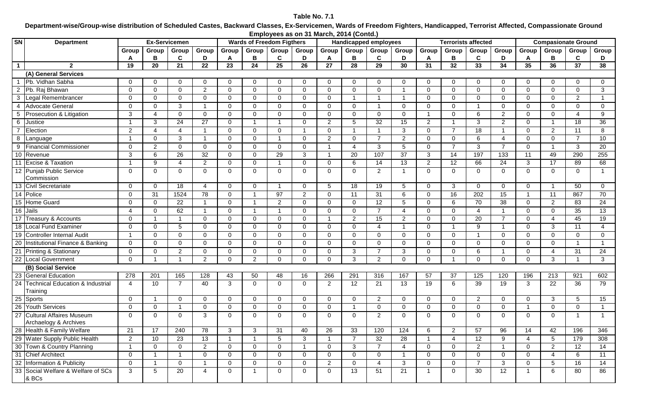#### **Table No. 7.1**

**Department-wise/Group-wise distribution of Scheduled Castes, Backward Classes, Ex-Servicemen, Wards of Freedom Fighters, Handicapped, Terrorist Affected, Compassionate Ground Employees as on 31 March, 2014 (Contd.)**

| <b>SN</b>      | <b>Department</b>                                    |                         | <b>Ex-Servicemen</b> |                |                |                |                | <b>Wards of Freedom Figthers</b> |                |                | <b>Handicapped employees</b> |                 |                 |                |                 | <b>Terrorists affected</b> |                         |                |                | <b>Compasionate Ground</b> |              |
|----------------|------------------------------------------------------|-------------------------|----------------------|----------------|----------------|----------------|----------------|----------------------------------|----------------|----------------|------------------------------|-----------------|-----------------|----------------|-----------------|----------------------------|-------------------------|----------------|----------------|----------------------------|--------------|
|                |                                                      | Group                   | Group                | Group          | Group          | Group          | Group          | Group                            | Group          | Group          | Group                        | Group           | Group           | Group          | Group           | Group                      | Group                   | Group          | Group          | Group                      | Group        |
|                |                                                      | A                       | в                    | C              | D              | A              | в              | C                                | D              | A              | В                            | C               | D               | A              | в               | C                          | D                       |                | в              | C                          | D            |
| $\mathbf{1}$   | $\overline{2}$                                       | 19                      | 20                   | 21             | 22             | 23             | 24             | 25                               | 26             | 27             | 28                           | 29              | 30              | 31             | 32              | 33                         | 34                      | 35             | 36             | 37                         | 38           |
|                | (A) General Services                                 |                         |                      |                |                |                |                |                                  |                |                |                              |                 |                 |                |                 |                            |                         |                |                |                            |              |
|                | Pb. Vidhan Sabha                                     | 0                       | $\Omega$             | $\Omega$       | 0              | $\Omega$       | $\Omega$       | 0                                | $\mathbf 0$    | $\Omega$       | 0                            | $\Omega$        | $\mathbf 0$     | 0              | 0               | $\Omega$                   | 0                       | $\Omega$       | 0              | 0                          | $\mathbf{0}$ |
| 2              | Pb. Raj Bhawan                                       | $\mathbf 0$             | $\mathbf 0$          | $\mathbf 0$    | $\overline{2}$ | $\Omega$       | $\Omega$       | 0                                | $\mathbf 0$    | $\mathbf 0$    | $\mathbf 0$                  | $\mathbf 0$     | -1              | 0              | $\mathbf 0$     | $\mathbf 0$                | 0                       | $\Omega$       | $\mathbf 0$    | 0                          | 3            |
| 3              | Legal Remembrancer                                   | $\mathbf 0$             | $\mathbf 0$          | $\mathbf 0$    | 0              | $\Omega$       | $\overline{0}$ | 0                                | $\mathbf 0$    | $\mathbf 0$    | $\overline{1}$               | -1              | $\overline{1}$  | 0              | $\mathbf 0$     | $\mathbf 0$                | 0                       | $\Omega$       | $\mathbf{0}$   | $\overline{2}$             | $\mathbf 1$  |
| $\overline{4}$ | <b>Advocate General</b>                              | $\mathbf 0$             | $\Omega$             | 3              | -1             | $\Omega$       | $\Omega$       | $\Omega$                         | $\mathbf 0$    | $\mathbf 0$    | 0                            | $\overline{1}$  | $\mathbf 0$     | $\Omega$       | $\mathbf 0$     | $\overline{\mathbf{1}}$    | $\Omega$                | $\Omega$       | $\Omega$       | 0                          | 0            |
| 5              | Prosecution & Litigation                             | 3                       | 4                    | $\mathbf 0$    | $\Omega$       | $\mathbf 0$    | $\Omega$       | $\Omega$                         | $\mathbf 0$    | $\mathbf 0$    | 0                            | $\mathbf 0$     | $\mathbf 0$     | - 1            | $\mathbf 0$     | 6                          | $\overline{2}$          | $\Omega$       | $\Omega$       | 4                          | 9            |
| 6              | Justice                                              | -1                      | 3                    | 24             | 27             | $\mathbf 0$    | -1             | -1                               | $\mathbf 0$    | 2              | $5\phantom{.0}$              | 32              | 15              | $\overline{2}$ | -1              | 3                          | $\overline{2}$          | $\Omega$       |                | 18                         | 36           |
| $\overline{7}$ | Election                                             | $\overline{2}$          | $\overline{4}$       | $\overline{4}$ | $\overline{1}$ | $\Omega$       | $\Omega$       | 0                                | -1             | $\mathbf 0$    | $\overline{1}$               |                 | $\mathbf{3}$    | $\mathbf 0$    | $\overline{7}$  | 18                         | $\overline{\mathbf{1}}$ | $\Omega$       | 2              | $\overline{11}$            | 8            |
| 8              | Language                                             | $\overline{\mathbf{1}}$ | $\mathbf 0$          | 3              | -1             | $\Omega$       | $\Omega$       | $\overline{\mathbf{1}}$          | $\mathbf 0$    | 2              | $\mathbf 0$                  | $\overline{7}$  | $\overline{2}$  | $\mathbf 0$    | $\mathbf 0$     | 6                          | 4                       | $\Omega$       | $\Omega$       | $\overline{7}$             | 10           |
| 9              | <b>Financial Commissioner</b>                        | $\mathbf 0$             | $\overline{2}$       | $\mathbf 0$    | $\Omega$       | $\Omega$       | $\Omega$       | $\Omega$                         | $\mathbf 0$    | $\mathbf{1}$   | $\overline{4}$               | 3               | $5\phantom{.0}$ | $\mathbf 0$    | $\overline{7}$  | 3                          | $\overline{7}$          | $\Omega$       |                | 3                          | 20           |
|                | 10 Revenue                                           | 3                       | 6                    | 26             | 32             | $\mathbf 0$    | $\Omega$       | 29                               | 3              | $\mathbf{1}$   | 20                           | 107             | 37              | 3              | 14              | 197                        | 133                     | 11             | 49             | 290                        | 255          |
|                | 11 Excise & Taxation                                 | -1                      | 9                    | $\overline{4}$ | $\overline{2}$ | $\mathbf 0$    | $\mathbf 0$    |                                  | $\mathbf 0$    | $\mathbf 0$    | 6                            | 14              | 13              | $\overline{2}$ | $\overline{12}$ | 66                         | 24                      | 3              | 17             | 89                         | 68           |
|                | 12 Punjab Public Service<br>Commission               | $\mathbf 0$             | $\mathbf 0$          | $\mathbf 0$    | $\overline{0}$ | $\mathbf 0$    | $\overline{0}$ | 0                                | $\mathbf 0$    | $\overline{0}$ | $\mathbf 0$                  | $\overline{2}$  | $\overline{1}$  | $\mathbf 0$    | 0               | $\mathbf{0}$               | $\mathbf 0$             | $\mathbf 0$    | $\mathbf{0}$   | 0                          | $\mathbf{1}$ |
|                | 13 Civil Secretariate                                | $\mathbf 0$             | $\mathbf 0$          | 18             | $\overline{4}$ | $\mathbf 0$    | $\Omega$       | -1                               | $\mathbf 0$    | 5              | 18                           | 19              | $5\overline{5}$ | $\Omega$       | 3               | $\Omega$                   | $\Omega$                | $\overline{0}$ |                | 50                         | $\Omega$     |
|                | 14 Police                                            | $\mathbf 0$             | 31                   | 1524           | 78             | $\mathbf 0$    |                | $\overline{97}$                  | $\overline{2}$ | $\mathbf 0$    | 11                           | $\overline{31}$ | $6\phantom{1}6$ | $\mathbf 0$    | 16              | 202                        | 15                      |                | 11             | 867                        | 70           |
|                | 15 Home Guard                                        | $\mathbf 0$             | $\mathbf 0$          | 22             | -1             | $\mathbf 0$    |                | $\overline{2}$                   | $\mathbf 0$    | $\mathbf 0$    | $\overline{0}$               | 12              | $\sqrt{5}$      | $\Omega$       | 6               | 70                         | 38                      | $\mathbf 0$    | 2              | 83                         | 24           |
|                | 16 Jails                                             | $\overline{4}$          | $\mathbf 0$          | 62             | -1             | $\mathbf 0$    |                |                                  | $\mathbf 0$    | $\mathbf 0$    | 0                            | $\overline{7}$  | $\overline{4}$  | $\Omega$       | $\mathbf 0$     | $\overline{4}$             | - 1                     | $\Omega$       | $\mathbf 0$    | 35                         | 13           |
| 17             | Treasury & Accounts                                  | $\mathbf 0$             |                      | -1             | $\Omega$       | $\overline{0}$ | $\Omega$       | $\Omega$                         | 0              | $\overline{1}$ | $\overline{2}$               | 15              | $\overline{2}$  | $\Omega$       | $\mathbf 0$     | 20                         | $\overline{7}$          | $\Omega$       | $\overline{4}$ | 45                         | 19           |
| 18             | <b>Local Fund Examiner</b>                           | $\mathbf 0$             | $\mathbf 0$          | $\sqrt{5}$     | $\mathbf 0$    | $\mathbf{0}$   | $\Omega$       | 0                                | $\mathbf 0$    | $\mathbf{0}$   | $\mathbf 0$                  | $\overline{4}$  | $\overline{1}$  | $\mathbf 0$    | -1              | 9                          | $\overline{\mathbf{1}}$ | $\Omega$       | 3              | 11                         | 4            |
|                | 19 Controller Internal Audit                         | $\overline{1}$          | $\mathbf{0}$         | $\mathbf 0$    | $\Omega$       | $\Omega$       | $\Omega$       | 0                                | $\mathbf 0$    | $\mathbf 0$    | $\mathbf 0$                  | $\mathbf 0$     | $\mathbf{0}$    | $\Omega$       | $\mathbf 0$     | -1                         | $\Omega$                | $\Omega$       | $\Omega$       | $\mathbf 0$                | $\mathbf{0}$ |
|                | 20 Institutional Finance & Banking                   | $\mathbf 0$             | $\Omega$             | $\mathbf 0$    | $\Omega$       | $\Omega$       | $\Omega$       | $\Omega$                         | $\mathbf 0$    | $\mathbf 0$    | 0                            | $\mathbf 0$     | $\mathbf 0$     | $\Omega$       | $\mathbf 0$     | $\Omega$                   | $\Omega$                | $\Omega$       | $\Omega$       |                            | $\mathbf{1}$ |
| 21             | <b>Printing &amp; Stationary</b>                     | $\mathbf 0$             | $\mathbf 0$          | $\overline{2}$ | 0              | $\Omega$       | $\Omega$       | 0                                | 0              | $\mathbf 0$    | 3                            | $\overline{7}$  | 3               | 0              | $\mathbf 0$     | 6                          | -1                      | $\Omega$       | 4              | 31                         | 24           |
|                | 22 Local Government                                  | $\Omega$                |                      | $\overline{1}$ | $\overline{2}$ | $\Omega$       | $\overline{2}$ | $\Omega$                         | $\mathbf 0$    | $\Omega$       | 3                            | 2               | $\mathbf 0$     | $\Omega$       |                 | $\Omega$                   | $\Omega$                | $\Omega$       | 3              | -1                         | 3            |
|                | (B) Social Service                                   |                         |                      |                |                |                |                |                                  |                |                |                              |                 |                 |                |                 |                            |                         |                |                |                            |              |
|                | 23 General Education                                 | $\overline{278}$        | 201                  | 165            | 128            | 43             | 50             | 48                               | 16             | 266            | 291                          | 316             | 167             | 57             | 37              | $\overline{125}$           | 120                     | 196            | 213            | 921                        | 602          |
|                | 24 Technical Education & Industrial<br>Training      | $\overline{4}$          | 10                   | $\overline{7}$ | 40             | 3              | $\Omega$       | $\Omega$                         | $\mathbf 0$    | 2              | 12                           | 21              | 13              | 19             | 6               | 39                         | 19                      | 3              | 22             | 36                         | 79           |
|                | 25 Sports                                            | 0                       |                      | $\mathbf 0$    | $\Omega$       | $\Omega$       | $\Omega$       | 0                                | $\mathbf 0$    | $\mathbf 0$    | $\mathbf 0$                  | $\overline{2}$  | $\mathbf 0$     | 0              | $\mathbf 0$     | $\overline{2}$             | $\Omega$                | $\Omega$       | 3              | 5                          | 15           |
| 26             | <b>Youth Services</b>                                | 0                       | $\mathbf 0$          | -1             | 0              | $\mathbf 0$    | $\mathbf 0$    | 0                                | $\mathbf 0$    | $\mathbf 0$    | -1                           | $\mathbf 0$     | $\mathbf 0$     | 0              | $\mathbf 0$     | $\mathbf 0$                | 0                       |                | $\mathbf 0$    | 0                          |              |
|                | 27 Cultural Affaires Museum<br>Archaelogy & Archives | $\Omega$                | $\Omega$             | $\mathbf 0$    | 3              | $\Omega$       | $\Omega$       | $\Omega$                         | $\mathbf 0$    | $\Omega$       | $\mathbf 0$                  | 2               | $\mathbf 0$     | $\Omega$       | $\mathbf 0$     | $\Omega$                   | $\Omega$                | $\Omega$       | $\Omega$       | -1                         |              |
|                | 28 Health & Family Welfare                           | 21                      | 17                   | 240            | 78             | 3              | $\mathcal{R}$  | 31                               | 40             | 26             | 33                           | 120             | 124             | 6              | $\mathcal{P}$   | 57                         | 96                      | 14             | $\Delta$       | 196                        | 346          |
|                | 29 Water Supply Public Health                        | $\overline{2}$          | 10                   | 23             | 13             | -1             |                | 5                                | 3              | $\overline{1}$ | $\overline{7}$               | 32              | 28              | -1             | $\overline{4}$  | 12                         | 9                       | 4              | 5              | 179                        | 308          |
|                | 30 Town & Country Planning                           | $\overline{1}$          | $\mathbf 0$          | $\mathbf 0$    | $\overline{2}$ | $\mathbf{0}$   | $\mathbf{0}$   | 0                                | 1              | $\mathbf 0$    | 3                            | $\overline{7}$  | 4               | 0              | $\mathbf 0$     | 2                          | -1                      | $\overline{0}$ | $\overline{2}$ | 12                         | 14           |
|                | 31 Chief Architect                                   | $\mathbf 0$             | $\overline{1}$       | $\overline{1}$ | $\mathbf 0$    | $\overline{0}$ | $\overline{0}$ | 0                                | $\mathbf 0$    | $\mathbf 0$    | $\overline{0}$               | $\overline{0}$  | $\overline{1}$  | $\mathbf 0$    | $\mathbf 0$     | $\mathbf 0$                | $\overline{0}$          | $\overline{0}$ | $\overline{4}$ | 6                          | 11           |
|                | 32 Information & Publicity                           | $\mathbf 0$             | $\overline{1}$       | $\mathbf 0$    | $\overline{1}$ | $\mathbf 0$    | $\mathbf 0$    | 0                                | $\mathbf 0$    | $\overline{2}$ | 0                            | $\overline{4}$  | $\mathbf{3}$    | $\mathbf 0$    | $\mathbf 0$     | $\overline{7}$             | $\mathbf{3}$            | $\mathbf 0$    | 5              | 16                         | 14           |
|                | 33 Social Welfare & Welfare of SCs<br>& BCs          | 3                       | $5\phantom{.0}$      | 20             | 4              | $\mathbf 0$    | $\mathbf{1}$   | 0                                | $\mathbf 0$    | $\mathbf{0}$   | 13                           | 51              | 21              | -1             | $\mathbf 0$     | 30                         | 12                      | $\mathbf{1}$   | 6              | 80                         | 86           |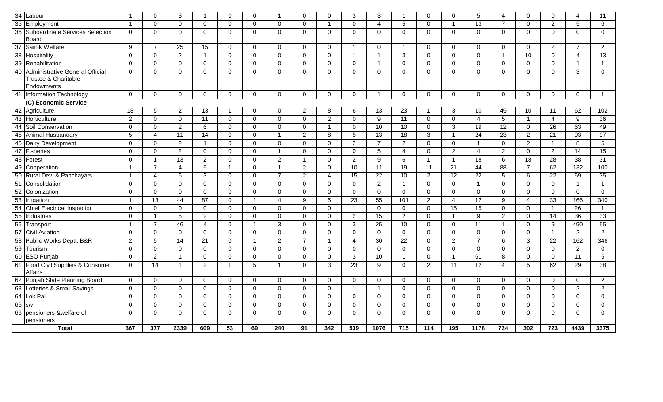|    | 34 Labour                                                             | $\overline{1}$ | $\Omega$       | 3              |                | $\Omega$       | $\Omega$    |                | $\mathbf 0$    | $\Omega$       | 3              | 3              | -1               | $\Omega$       | $\Omega$        | 5                       | 4               | $\Omega$        | 0               | 4               | 11              |
|----|-----------------------------------------------------------------------|----------------|----------------|----------------|----------------|----------------|-------------|----------------|----------------|----------------|----------------|----------------|------------------|----------------|-----------------|-------------------------|-----------------|-----------------|-----------------|-----------------|-----------------|
|    | 35 Employment                                                         | -1             | $\Omega$       | $\Omega$       | $\Omega$       | $\mathbf 0$    | $\mathbf 0$ | $\Omega$       | $\mathbf 0$    | -1             | $\mathbf 0$    | 4              | 5                | $\mathbf{0}$   | -1              | 13                      | 7               | $\Omega$        | $\overline{2}$  | 5               | 6               |
|    | 36 Suboardinate Services Selection<br>Board                           | 0              | $\mathbf 0$    | $\mathbf 0$    | $\Omega$       | $\mathbf 0$    | 0           | $\mathbf 0$    | $\mathbf 0$    | $\mathbf 0$    | $\mathbf 0$    | $\mathbf 0$    | 0                | $\mathbf 0$    | $\mathbf 0$     | $\mathbf 0$             | $\mathbf 0$     | $\mathbf{0}$    | $\mathbf{0}$    | $\mathbf 0$     | $\mathbf 0$     |
|    | 37 Sainik Welfare                                                     | 9              | $\overline{7}$ | 25             | 15             | $\mathbf{0}$   | $\mathbf 0$ | $\mathbf 0$    | $\mathbf 0$    | $\mathbf 0$    | $\overline{1}$ | $\mathbf 0$    | $\overline{1}$   | $\mathbf 0$    | $\mathbf 0$     | $\mathbf 0$             | $\mathbf 0$     | $\mathbf 0$     | $\overline{2}$  | $\overline{7}$  | 2               |
|    | 38 Hospitality                                                        | $\Omega$       | $\Omega$       | 2              | $\mathbf{1}$   | $\Omega$       | $\Omega$    | $\Omega$       | $\Omega$       | $\Omega$       | $\mathbf{1}$   | $\overline{1}$ | 3                | $\Omega$       | $\Omega$        | $\Omega$                | $\overline{1}$  | 10              | $\Omega$        | $\overline{4}$  | 13              |
| 39 | Rehabilitation                                                        | $\Omega$       | $\Omega$       | $\mathbf 0$    | $\Omega$       | $\mathbf 0$    | $\mathbf 0$ | $\Omega$       | $\mathbf 0$    | $\mathbf 0$    | $\mathbf 0$    | $\overline{1}$ | $\mathbf 0$      | $\Omega$       | $\mathbf 0$     | $\Omega$                | $\Omega$        | $\mathbf 0$     | $\Omega$        | 1               | $\mathbf{1}$    |
| 40 | Administrative General Official<br>Trustee & Charitable<br>Endowmwnts | $\Omega$       | $\Omega$       | $\Omega$       | $\Omega$       | $\mathbf 0$    | $\mathbf 0$ | $\Omega$       | $\mathbf 0$    | $\mathbf 0$    | $\mathbf 0$    | $\Omega$       | $\mathbf 0$      | $\Omega$       | $\Omega$        | $\Omega$                | $\Omega$        | $\Omega$        | $\mathbf 0$     | $\mathbf{3}$    | $\mathbf 0$     |
|    | 41 Information Technology                                             | $\Omega$       | $\mathbf 0$    | $\mathbf{0}$   | $\Omega$       | $\mathbf 0$    | 0           | $\Omega$       | $\mathbf 0$    | $\Omega$       | $\mathbf 0$    | $\overline{1}$ | $\Omega$         | $\mathbf 0$    | $\Omega$        | $\Omega$                | $\Omega$        | $\Omega$        | $\mathbf 0$     | $\mathbf 0$     | $\overline{1}$  |
|    | (C) Economic Service                                                  |                |                |                |                |                |             |                |                |                |                |                |                  |                |                 |                         |                 |                 |                 |                 |                 |
|    | 42 Agriculture                                                        | 18             | 5              | $\overline{2}$ | 13             |                | 0           | $\Omega$       | $\overline{2}$ | 8              | 6              | 13             | 23               |                | 3               | 10                      | 45              | 10              | 11              | 62              | 102             |
|    | 43 Horticulture                                                       | 2              | $\Omega$       | $\Omega$       | 11             | 0              | $\Omega$    | $\Omega$       | 0              | $\overline{2}$ | $\Omega$       | 9              | 11               | $\Omega$       | $\Omega$        | 4                       | 5               | -1              | $\overline{4}$  | 9               | 36              |
|    | 44 Soil Conservation                                                  | $\Omega$       | $\mathbf 0$    | $\overline{2}$ | 6              | 0              | 0           | 0              | $\mathbf 0$    | $\overline{1}$ | $\mathbf 0$    | 10             | 10               | $\Omega$       | 3               | 19                      | $\overline{12}$ | $\mathbf 0$     | 26              | 63              | 49              |
| 45 | Animal Husbandary                                                     | 5              | $\overline{4}$ | 11             | 14             | $\mathbf{0}$   | 0           | 1              | $\overline{2}$ | 8              | 5              | 13             | 18               | 3              | -1              | 24                      | 23              | $\overline{2}$  | 21              | 93              | 97              |
|    | 46 Dairy Development                                                  | $\mathbf 0$    | $\mathbf 0$    | $\overline{2}$ | $\overline{1}$ | $\mathbf 0$    | 0           | $\mathbf 0$    | $\mathbf 0$    | $\mathbf 0$    | 2              | $\overline{7}$ | $\overline{2}$   | $\mathbf 0$    | $\overline{0}$  | $\overline{\mathbf{1}}$ | $\mathbf 0$     | $\overline{2}$  | $\overline{1}$  | 8               | 5               |
|    | 47 Fisheries                                                          | $\mathbf 0$    | $\Omega$       | 2              | $\Omega$       | $\Omega$       | $\mathbf 0$ | $\mathbf{1}$   | $\mathbf 0$    | $\Omega$       | $\mathbf 0$    | 5              | 4                | $\mathbf 0$    | $\overline{2}$  | $\overline{4}$          | $\overline{2}$  | $\mathbf 0$     | $\overline{2}$  | $\overline{14}$ | 15              |
|    | 48 Forest                                                             | $\Omega$       | -1             | 13             | 2              | $\mathbf 0$    | 0           | 2              | $\overline{1}$ | $\Omega$       | 2              | 9              | 6                | $\overline{1}$ | $\overline{1}$  | 18                      | 6               | $\overline{18}$ | 28              | $\overline{38}$ | 31              |
|    | 49 Cooperation                                                        | $\overline{1}$ | $\overline{7}$ | 4              | 5              | $\overline{1}$ | 0           | $\mathbf{1}$   | $\overline{2}$ | $\mathbf 0$    | 10             | 11             | 19               | 11             | $\overline{21}$ | 44                      | 88              | $\overline{7}$  | 62              | 132             | 100             |
|    | 50 Rural Dev. & Panchayats                                            | $\overline{1}$ | $\overline{A}$ | 6              | 3              | $\mathbf 0$    | 0           | $\overline{7}$ | $\overline{2}$ | $\overline{4}$ | 15             | 22             | 10               | 2              | 12              | 22                      | 5               | 6               | 22              | 69              | 35              |
| 51 | Consolidation                                                         | $\Omega$       | $\Omega$       | 0              | $\Omega$       | 0              | $\mathbf 0$ | 0              | $\mathbf 0$    | $\mathbf 0$    | $\mathbf 0$    | $\overline{2}$ | $\overline{1}$   | $\mathbf 0$    | $\mathbf 0$     | $\overline{\mathbf{1}}$ | $\Omega$        | $\mathbf 0$     | $\Omega$        | $\mathbf{1}$    | $\overline{1}$  |
| 52 | Colonization                                                          | $\mathbf 0$    | $\Omega$       | $\mathbf 0$    | $\Omega$       | $\mathbf 0$    | 0           | $\mathbf 0$    | $\mathbf 0$    | $\mathbf 0$    | $\mathbf 0$    | $\mathbf 0$    | $\mathbf 0$      | $\mathbf 0$    | $\mathbf 0$     | $\mathbf 0$             | $\Omega$        | $\mathbf 0$     | $\mathbf 0$     | 0               | $\mathbf 0$     |
| 53 | Irrigation                                                            | $\overline{1}$ | 13             | 44             | 87             | 0              | -1          | 4              | 9              | 5              | 23             | 55             | 101              | $\overline{2}$ | $\overline{A}$  | 12                      | 9               | 4               | 33              | 166             | 340             |
|    | 54 Chief Electrical Inspector                                         | $\mathbf 0$    | $\mathbf 0$    | $\mathbf 0$    | $\Omega$       | $\mathbf{0}$   | 0           | $\Omega$       | $\mathbf 0$    | $\Omega$       | $\mathbf{1}$   | $\Omega$       | $\mathbf 0$      | $\mathbf{0}$   | 15              | 15                      | $\Omega$        | $\Omega$        | $\overline{1}$  | 26              | $\overline{1}$  |
| 55 | Industries                                                            | $\Omega$       |                | 5              | 2              | $\mathbf 0$    | $\mathbf 0$ | $\Omega$       | $\mathbf 0$    | $\Omega$       | 2              | 15             | 2                | $\mathbf{0}$   | -1              | 9                       | $\overline{2}$  | $\mathbf 0$     | 14              | $\overline{36}$ | $\overline{33}$ |
|    | 56 Transport<br>57 Civil Aviation                                     | $\overline{1}$ | $\overline{7}$ | 46             | $\overline{4}$ | $\mathbf 0$    | -1          | 3              | $\mathbf 0$    | $\mathbf 0$    | 3              | 25             | 10               | $\mathbf 0$    | $\mathbf 0$     | 11                      | $\overline{1}$  | $\mathbf 0$     | 9               | 490             | 55              |
|    |                                                                       | $\Omega$       | $\Omega$       | $\Omega$       | $\Omega$       | $\Omega$       | $\Omega$    | $\Omega$       | $\mathbf 0$    | $\Omega$       | $\Omega$       | $\Omega$       | $\Omega$         | $\Omega$       | $\Omega$        | $\Omega$                | $\Omega$        | $\Omega$        | $\overline{1}$  | $\overline{2}$  | 2               |
|    | 58 Public Works Deptt. B&R<br>59 Tourism                              | $\overline{2}$ | 5              | 14             | 21             | $\mathbf 0$    | -1          | $\overline{2}$ | $\overline{7}$ | $\overline{1}$ | $\overline{4}$ | 30             | 22               | $\mathbf 0$    | $\overline{2}$  | $\overline{7}$          | 6               | 3               | $\overline{22}$ | 162             | 346             |
|    |                                                                       | $\Omega$       | $\mathbf 0$    | $\mathbf 0$    | $\mathbf 0$    | $\mathbf 0$    | $\mathbf 0$ | $\mathbf 0$    | $\mathbf 0$    | $\mathbf 0$    | $\mathbf 0$    | $\mathbf 0$    | $\mathbf 0$      | $\mathbf 0$    | $\mathbf 0$     | $\mathbf 0$             | $\mathbf 0$     | $\mathbf 0$     | $\mathbf 0$     | $\overline{c}$  | $\mathbf 0$     |
|    | 60 ESO Punjab                                                         | $\Omega$       | $\mathcal{P}$  | -1             | $\Omega$       | $\Omega$       | $\Omega$    | $\Omega$       | $\mathbf 0$    | $\Omega$       | 3              | 10             | $\overline{1}$   | $\Omega$       | -1              | 61                      | 8               | $\Omega$        | $\Omega$        | 11              | 5               |
| 61 | Food Civil Supplies & Consumer<br><b>Affairs</b>                      | $\Omega$       | 14             | $\overline{1}$ | 2              | $\overline{1}$ | 5           | $\mathbf{1}$   | $\mathbf 0$    | 3              | 23             | 9              | $\mathbf 0$      | $\overline{2}$ | 11              | 12                      | 4               | 5               | 62              | 29              | 38              |
|    | 62 Punjab State Planning Board                                        | $\mathbf 0$    | $\Omega$       | $\mathbf 0$    | $\Omega$       | $\mathbf 0$    | $\mathbf 0$ | 0              | $\mathbf{0}$   | $\mathbf 0$    | $\mathbf 0$    | $\Omega$       | $\mathbf 0$      | $\mathbf 0$    | $\mathbf 0$     | $\mathbf 0$             | $\Omega$        | $\mathbf 0$     | $\mathbf 0$     | $\mathbf 0$     | 2               |
|    | 63 Lotteries & Small Savings                                          | $\mathbf 0$    | $\overline{0}$ | $\mathbf{0}$   | $\Omega$       | $\mathbf 0$    | $\mathbf 0$ | $\Omega$       | $\mathbf 0$    | $\mathbf{0}$   | $\overline{1}$ | $\overline{1}$ | $\mathbf 0$      | $\mathbf 0$    | $\mathbf 0$     | $\Omega$                | $\Omega$        | $\Omega$        | $\mathbf 0$     | $\overline{2}$  | 2               |
|    | 64 Lok Pal                                                            | $\Omega$       | $\Omega$       | $\Omega$       | $\Omega$       | $\Omega$       | 0           | $\Omega$       | $\mathbf 0$    | $\Omega$       | $\mathbf 0$    | $\Omega$       | $\Omega$         | $\mathbf{0}$   | $\Omega$        | $\Omega$                | $\Omega$        | $\Omega$        | $\Omega$        | $\Omega$        | $\mathbf{0}$    |
|    |                                                                       | $\Omega$       | $\mathbf 0$    | $\mathbf{0}$   | $\Omega$       | $\mathbf 0$    | 0           | $\Omega$       | $\mathbf{0}$   | $\Omega$       | $\mathbf 0$    | $\Omega$       | $\Omega$         | $\Omega$       | $\Omega$        | $\mathbf 0$             | $\Omega$        | $\Omega$        | $\Omega$        | $\mathbf 0$     | $\Omega$        |
| 66 | pensioners &welfare of                                                | $\Omega$       | $\Omega$       | $\mathbf 0$    | $\Omega$       | $\mathbf 0$    | $\mathbf 0$ | $\mathbf 0$    | $\mathbf 0$    | $\mathbf 0$    | $\mathbf 0$    | $\mathbf 0$    | $\mathbf 0$      | $\mathbf 0$    | $\mathbf 0$     | $\Omega$                | $\Omega$        | $\mathbf 0$     | 0               | $\mathbf 0$     | $\Omega$        |
|    | pensioners                                                            |                |                |                |                |                |             |                |                |                |                |                |                  |                |                 |                         |                 |                 |                 |                 |                 |
|    | <b>Total</b>                                                          | 367            | 377            | 2339           | 609            | 53             | 69          | 240            | 91             | 342            | 539            | 1076           | $\overline{715}$ | 114            | 195             | 1178                    | $\frac{1}{724}$ | 302             | 723             | 4439            | 3375            |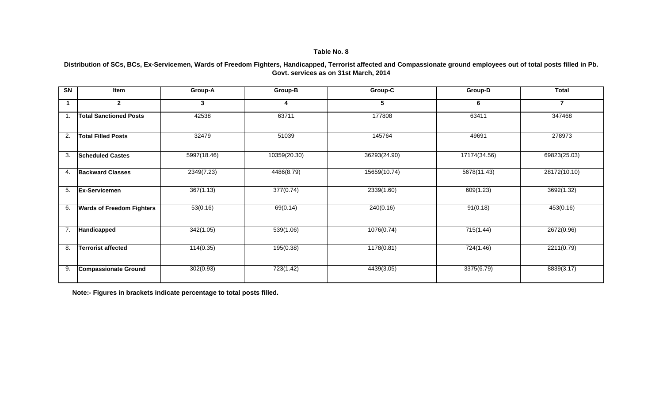**Distribution of SCs, BCs, Ex-Servicemen, Wards of Freedom Fighters, Handicapped, Terrorist affected and Compassionate ground employees out of total posts filled in Pb. Govt. services as on 31st March, 2014**

| SN | Item                             | Group-A     | Group-B      | Group-C      | Group-D      | <b>Total</b>             |
|----|----------------------------------|-------------|--------------|--------------|--------------|--------------------------|
| 1  | $\mathbf{2}$                     | 3           |              | 5            | 6            | $\overline{\phantom{a}}$ |
| 1. | <b>Total Sanctioned Posts</b>    | 42538       | 63711        | 177808       | 63411        | 347468                   |
| 2. | <b>Total Filled Posts</b>        | 32479       | 51039        | 145764       | 49691        | 278973                   |
| 3. | <b>Scheduled Castes</b>          | 5997(18.46) | 10359(20.30) | 36293(24.90) | 17174(34.56) | 69823(25.03)             |
| 4. | <b>Backward Classes</b>          | 2349(7.23)  | 4486(8.79)   | 15659(10.74) | 5678(11.43)  | 28172(10.10)             |
| 5. | <b>Ex-Servicemen</b>             | 367(1.13)   | 377(0.74)    | 2339(1.60)   | 609(1.23)    | 3692(1.32)               |
| 6. | <b>Wards of Freedom Fighters</b> | 53(0.16)    | 69(0.14)     | 240(0.16)    | 91(0.18)     | 453(0.16)                |
| 7. | Handicapped                      | 342(1.05)   | 539(1.06)    | 1076(0.74)   | 715(1.44)    | 2672(0.96)               |
| 8. | <b>Terrorist affected</b>        | 114(0.35)   | 195(0.38)    | 1178(0.81)   | 724(1.46)    | 2211(0.79)               |
| 9. | <b>Compassionate Ground</b>      | 302(0.93)   | 723(1.42)    | 4439(3.05)   | 3375(6.79)   | 8839(3.17)               |

**Note:- Figures in brackets indicate percentage to total posts filled.**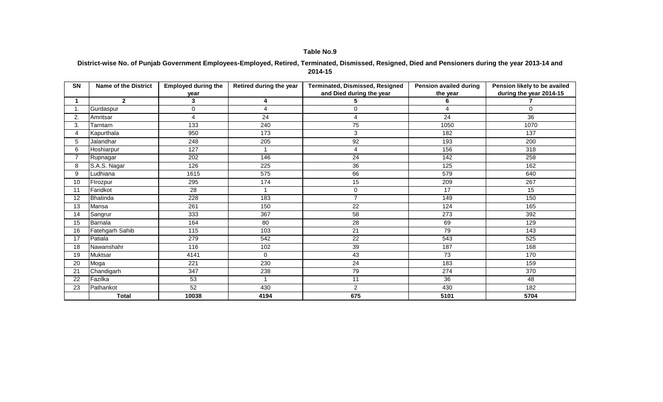#### **District-wise No. of Punjab Government Employees-Employed, Retired, Terminated, Dismissed, Resigned, Died and Pensioners during the year 2013-14 and 2014-15**

| <b>SN</b>       | <b>Name of the District</b> | <b>Employed during the</b> | Retired during the year | Terminated, Dismissed, Resigned | <b>Pension availed during</b> | Pension likely to be availed |
|-----------------|-----------------------------|----------------------------|-------------------------|---------------------------------|-------------------------------|------------------------------|
|                 |                             | year                       |                         | and Died during the year        | the year                      | during the year 2014-15      |
|                 | $\mathbf{2}$                | 3                          | 4                       |                                 | 6                             |                              |
| 1.              | Gurdaspur                   | $\mathbf 0$                | $\overline{A}$          | 0                               | 4                             | $\mathbf 0$                  |
| 2.              | Amritsar                    | 4                          | 24                      | 4                               | 24                            | 36                           |
| 3.              | Tarntarn                    | 133                        | 240                     | $\overline{75}$                 | 1050                          | 1070                         |
| 4               | Kapurthala                  | 950                        | 173                     | 3                               | 182                           | 137                          |
| 5               | Jalandhar                   | 248                        | 205                     | 92                              | 193                           | 200                          |
| 6               | Hoshiarpur                  | 127                        |                         | 4                               | 156                           | 318                          |
|                 | Rupnagar                    | 202                        | 146                     | 24                              | 142                           | 258                          |
| 8               | S.A.S. Nagar                | 126                        | $\overline{225}$        | $\overline{36}$                 | $\frac{1}{25}$                | 162                          |
| 9               | Ludhiana                    | 1615                       | 575                     | 66                              | 579                           | 640                          |
| 10              | Firozpur                    | 295                        | 174                     | 15                              | 209                           | 267                          |
| 11              | Faridkot                    | $\overline{28}$            |                         | 0                               | 17                            | 15                           |
| 12              | <b>Bhatinda</b>             | 228                        | 183                     | $\overline{7}$                  | 149                           | 150                          |
| $\overline{13}$ | Mansa                       | 261                        | 150                     | $\overline{22}$                 | 124                           | 165                          |
| 14              | Sangrur                     | 333                        | 367                     | 58                              | 273                           | 392                          |
| 15              | Barnala                     | 164                        | 80                      | 28                              | 69                            | 129                          |
| 16              | Fatehgarh Sahib             | 115                        | 103                     | 21                              | 79                            | 143                          |
| 17              | Patiala                     | 279                        | 542                     | 22                              | 543                           | 525                          |
| 18              | Nawanshahr                  | 116                        | 102                     | 39                              | 187                           | 168                          |
| 19              | <b>Muktsar</b>              | 4141                       | $\mathbf 0$             | 43                              | 73                            | 170                          |
| 20              | Moga                        | 221                        | 230                     | 24                              | 183                           | 159                          |
| 21              | Chandigarh                  | 347                        | 238                     | 79                              | 274                           | 370                          |
| 22              | Fazilka                     | 53                         |                         | 11                              | 36                            | 48                           |
| 23              | Pathankot                   | 52                         | 430                     | $\overline{2}$                  | 430                           | 182                          |
|                 | <b>Total</b>                | 10038                      | 4194                    | 675                             | 5101                          | 5704                         |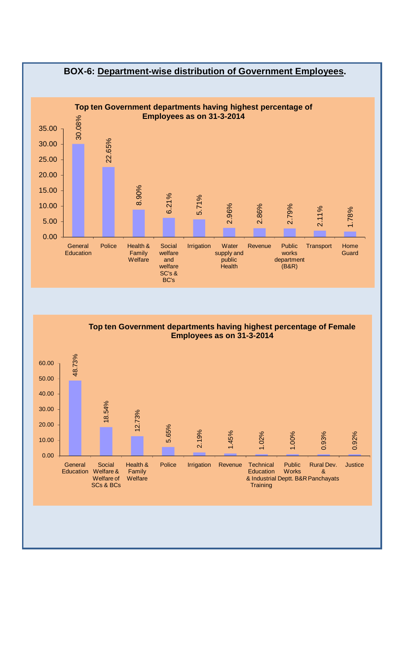

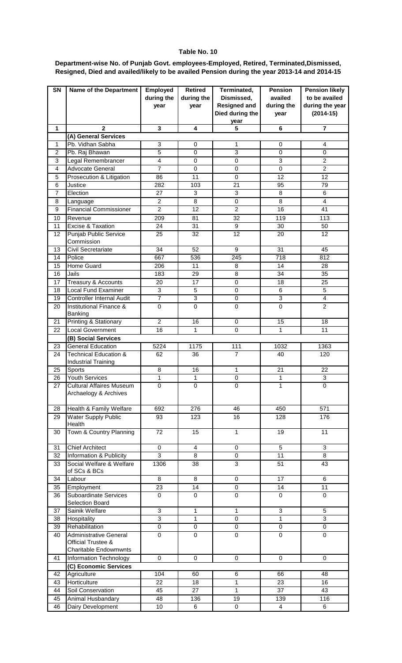**Department-wise No. of Punjab Govt. employees-Employed, Retired, Terminated,Dismissed, Resigned, Died and availed/likely to be availed Pension during the year 2013-14 and 2014-15**

| SN                      | <b>Name of the Department</b>                                  | Employed<br>during the<br>year | Retired<br>during the<br>year | Terminated,<br>Dismissed,<br><b>Resigned and</b><br>Died during the | <b>Pension</b><br>availed<br>during the<br>year | <b>Pension likely</b><br>to be availed<br>during the year<br>$(2014-15)$ |
|-------------------------|----------------------------------------------------------------|--------------------------------|-------------------------------|---------------------------------------------------------------------|-------------------------------------------------|--------------------------------------------------------------------------|
| $\mathbf{1}$            | $\mathbf{2}$                                                   | $\mathbf{3}$                   | 4                             | year                                                                |                                                 | $\overline{7}$                                                           |
|                         | (A) General Services                                           |                                |                               | 5                                                                   | 6                                               |                                                                          |
| $\mathbf{1}$            | Pb. Vidhan Sabha                                               | 3                              | 0                             | $\mathbf{1}$                                                        | $\mathbf 0$                                     | 4                                                                        |
| $\overline{2}$          | Pb. Raj Bhawan                                                 | $\overline{5}$                 | $\mathbf 0$                   | 3                                                                   | $\mathbf 0$                                     | $\mathbf 0$                                                              |
| 3                       | Legal Remembrancer                                             | $\overline{4}$                 | $\mathbf 0$                   | $\mathbf 0$                                                         | 3                                               | $\overline{2}$                                                           |
| $\overline{\mathbf{4}}$ | <b>Advocate General</b>                                        | $\overline{7}$                 | $\mathbf 0$                   | $\mathbf 0$                                                         | $\mathbf 0$                                     | $\overline{2}$                                                           |
| 5                       | Prosecution & Litigation                                       | 86                             | 11                            | $\mathbf 0$                                                         | 12                                              | 12                                                                       |
| 6                       | Justice                                                        | 282                            | 103                           | 21                                                                  | 95                                              | 79                                                                       |
| $\overline{7}$          | Election                                                       | 27                             | 3                             | 3                                                                   | 8                                               | 6                                                                        |
| 8                       | Language                                                       | $\overline{c}$                 | 8                             | $\mathbf 0$                                                         | 8                                               | $\overline{4}$                                                           |
| 9                       | <b>Financial Commissioner</b>                                  | $\overline{2}$                 | 12                            | $\overline{2}$                                                      | 16                                              | 41                                                                       |
| 10                      | Revenue                                                        | 209                            | $\overline{81}$               | $\overline{32}$                                                     | 119                                             | $\overline{113}$                                                         |
| 11                      | <b>Excise &amp; Taxation</b>                                   | $\overline{24}$                | 31                            | $\overline{9}$                                                      | 30                                              | 50                                                                       |
| 12                      | <b>Punjab Public Service</b>                                   | $\overline{25}$                | 32                            | 12                                                                  | $\overline{20}$                                 | 12                                                                       |
|                         | Commission                                                     |                                |                               |                                                                     |                                                 |                                                                          |
| 13                      | <b>Civil Secretariate</b>                                      | $\overline{34}$                | 52                            | $\overline{9}$                                                      | 31                                              | 45                                                                       |
| 14                      | Police                                                         | 667                            | 536                           | $\overline{245}$                                                    | $\overline{718}$                                | 812                                                                      |
| 15                      | <b>Home Guard</b>                                              | 206                            | 11                            | 8                                                                   | 14                                              | $\overline{28}$                                                          |
| 16                      | Jails                                                          | 183                            | 29                            | $\overline{8}$                                                      | 34                                              | 35                                                                       |
| 17                      | Treasury & Accounts                                            | 20                             | 17                            | $\pmb{0}$                                                           | 18                                              | 25                                                                       |
| 18                      | <b>Local Fund Examiner</b>                                     | $\mathbf{3}$                   | 5                             | $\pmb{0}$                                                           | 6                                               | $\sqrt{5}$                                                               |
| 19                      | <b>Controller Internal Audit</b>                               | $\overline{7}$                 | $\overline{3}$                | $\pmb{0}$                                                           | $\overline{3}$                                  | $\overline{\mathbf{4}}$                                                  |
| 20                      | Institutional Finance &<br>Banking                             | $\mathbf 0$                    | $\mathbf 0$                   | $\mathbf 0$                                                         | $\mathbf 0$                                     | $\overline{2}$                                                           |
| 21                      | Printing & Stationary                                          | $\boldsymbol{2}$               | 16                            | 0                                                                   | 15                                              | 18                                                                       |
| 22                      | <b>Local Government</b>                                        | 16                             | $\mathbf{1}$                  | $\mathbf 0$                                                         | 1                                               | 11                                                                       |
|                         | (B) Social Services                                            |                                |                               |                                                                     |                                                 |                                                                          |
| 23                      | <b>General Education</b>                                       | $\overline{5}224$              | 1175                          | 111                                                                 | 1032                                            | 1363                                                                     |
| 24                      | <b>Technical Education &amp;</b><br><b>Industrial Training</b> | 62                             | 36                            | $\overline{7}$                                                      | 40                                              | 120                                                                      |
| 25                      | Sports                                                         | 8                              | 16                            | 1                                                                   | 21                                              | 22                                                                       |
| 26                      | <b>Youth Services</b>                                          | 1                              | 1                             | 0                                                                   | 1                                               | 3                                                                        |
| 27                      | <b>Cultural Affaires Museum</b><br>Archaelogy & Archives       | $\mathbf 0$                    | $\pmb{0}$                     | $\pmb{0}$                                                           | $\mathbf{1}$                                    | $\pmb{0}$                                                                |
| 28                      | Health & Family Welfare                                        | 692                            | $\overline{276}$              | 46                                                                  | 450                                             | $\overline{571}$                                                         |
| 29                      | <b>Water Supply Public</b><br>Health                           | 93                             | 123                           | 16                                                                  | 128                                             | 176                                                                      |
| 30                      | Town & Country Planning                                        | 72                             | 15                            | $\mathbf{1}$                                                        | 19                                              | 11                                                                       |
| 31                      | <b>Chief Architect</b>                                         | $\overline{0}$                 | $\overline{4}$                | $\mathbf 0$                                                         | $\overline{5}$                                  | $\overline{3}$                                                           |
| 32                      | Information & Publicity                                        | $\overline{3}$                 | 8                             | $\pmb{0}$                                                           | $\overline{11}$                                 | 8                                                                        |
| 33                      | Social Welfare & Welfare<br>of SCs & BCs                       | 1306                           | 38                            | $\overline{3}$                                                      | 51                                              | 43                                                                       |
| 34                      | Labour                                                         | $\overline{8}$                 | $\overline{8}$                | $\mathbf 0$                                                         | $\overline{17}$                                 | 6                                                                        |
| 35                      | Employment                                                     | $\overline{23}$                | 14                            | $\overline{0}$                                                      | $\overline{14}$                                 | 11                                                                       |
| 36                      | <b>Suboardinate Services</b><br>Selection Board                | $\mathbf 0$                    | 0                             | $\pmb{0}$                                                           | $\mathbf 0$                                     | $\mathbf 0$                                                              |
| 37                      | Sainik Welfare                                                 | $\overline{3}$                 | $\overline{1}$                | $\overline{1}$                                                      | $\overline{3}$                                  | 5                                                                        |
| 38                      | Hospitality                                                    | $\overline{3}$                 | 1                             | $\overline{0}$                                                      | $\mathbf{1}$                                    | $\overline{3}$                                                           |
| 39                      | Rehabilitation                                                 | $\pmb{0}$                      | $\pmb{0}$                     | $\pmb{0}$                                                           | $\pmb{0}$                                       | $\pmb{0}$                                                                |
| 40                      | <b>Administrative General</b><br>Official Trustee &            | $\mathbf 0$                    | $\mathbf 0$                   | $\mathbf 0$                                                         | $\mathbf 0$                                     | $\mathbf 0$                                                              |
|                         | <b>Charitable Endowmwnts</b>                                   |                                |                               |                                                                     |                                                 |                                                                          |
| 41                      | Information Technology                                         | $\mathbf 0$                    | $\mathbf 0$                   | $\mathbf 0$                                                         | $\mathbf 0$                                     | $\mathbf 0$                                                              |
|                         | (C) Economic Services                                          |                                |                               |                                                                     |                                                 |                                                                          |
| 42                      | Agriculture<br>Horticulture                                    | 104<br>22                      | 60                            | 6                                                                   | 66<br>23                                        | 48<br>16                                                                 |
| 43                      | Soil Conservation                                              | 45                             | 18<br>27                      | $\mathbf{1}$<br>$\mathbf{1}$                                        | $\overline{37}$                                 | 43                                                                       |
| 44<br>45                | Animal Husbandary                                              | 48                             | 136                           | 19                                                                  | 139                                             | 116                                                                      |
| 46                      | Dairy Development                                              | 10                             | 6                             | 0                                                                   | $\overline{4}$                                  | $\overline{6}$                                                           |
|                         |                                                                |                                |                               |                                                                     |                                                 |                                                                          |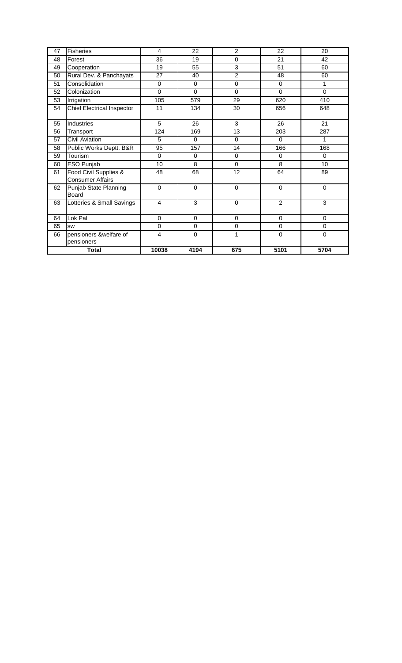| 47 | <b>Fisheries</b>                                 | 4              | 22          | $\overline{c}$ | 22             | 20          |
|----|--------------------------------------------------|----------------|-------------|----------------|----------------|-------------|
| 48 | Forest                                           | 36             | 19          | 0              | 21             | 42          |
| 49 | Cooperation                                      | 19             | 55          | 3              | 51             | 60          |
| 50 | Rural Dev. & Panchayats                          | 27             | 40          | $\overline{2}$ | 48             | 60          |
| 51 | Consolidation                                    | $\Omega$       | $\Omega$    | 0              | $\Omega$       | 1           |
| 52 | Colonization                                     | $\Omega$       | $\Omega$    | $\Omega$       | $\Omega$       | $\Omega$    |
| 53 | Irrigation                                       | 105            | 579         | 29             | 620            | 410         |
| 54 | <b>Chief Electrical Inspector</b>                | 11             | 134         | 30             | 656            | 648         |
| 55 | Industries                                       | 5              | 26          | 3              | 26             | 21          |
| 56 | Transport                                        | 124            | 169         | 13             | 203            | 287         |
| 57 | <b>Civil Aviation</b>                            | 5              | $\Omega$    | 0              | $\Omega$       | 1           |
| 58 | Public Works Deptt. B&R                          | 95             | 157         | 14             | 166            | 168         |
| 59 | Tourism                                          | $\Omega$       | $\Omega$    | 0              | $\mathbf 0$    | $\Omega$    |
| 60 | ESO Punjab                                       | 10             | 8           | $\Omega$       | 8              | 10          |
| 61 | Food Civil Supplies &<br><b>Consumer Affairs</b> | 48             | 68          | 12             | 64             | 89          |
| 62 | Punjab State Planning<br>Board                   | $\Omega$       | $\Omega$    | $\Omega$       | $\Omega$       | $\Omega$    |
| 63 | Lotteries & Small Savings                        | $\overline{4}$ | 3           | $\Omega$       | $\overline{2}$ | 3           |
| 64 | Lok Pal                                          | $\Omega$       | $\Omega$    | 0              | $\mathbf 0$    | $\Omega$    |
| 65 | <b>SW</b>                                        | $\Omega$       | $\mathbf 0$ | 0              | $\mathbf 0$    | $\Omega$    |
| 66 | pensioners &welfare of<br>pensioners             | 4              | $\mathbf 0$ | 1              | $\mathbf 0$    | $\mathbf 0$ |
|    | <b>Total</b>                                     | 10038          | 4194        | 675            | 5101           | 5704        |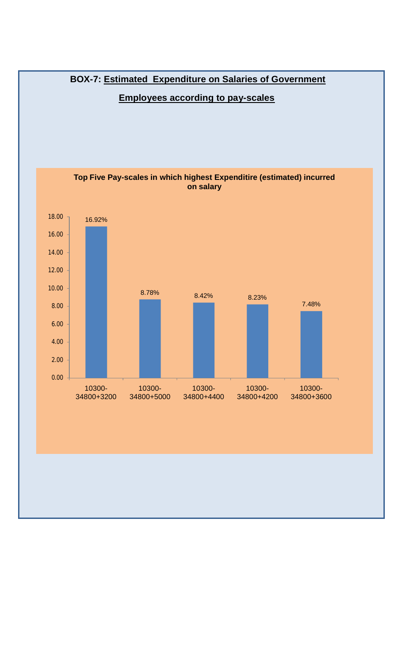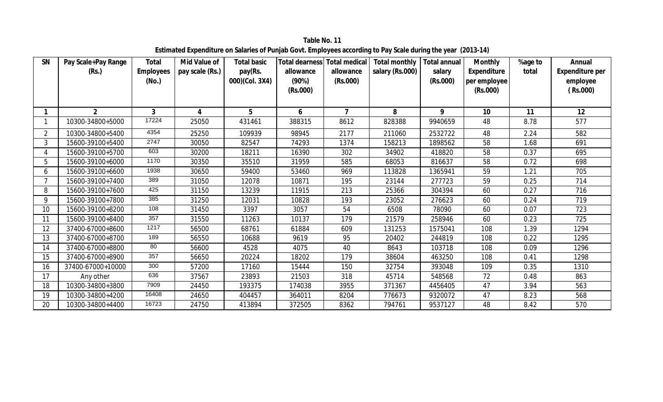**SN Pay Scale+Pay Range (Rs.) Total Employees (No.) Mid Value of pay scale (Rs.) Total basic pay(Rs. 000)(Col. 3X4) Total dearness Total medical allowance (90%) (Rs.000) allowance (Rs.000) Total monthly salary (Rs.000) Total annual salary (Rs.000) Monthly Expenditure per employee (Rs.000) %age to total Annual Expenditure per employee ( Rs.000) 1 2 3 4 5 6 7 8 9 10 11 12** 1 | 10300-34800+5000 | 17224 | 25050 | 431461 | 388315 | 8612 | 828388 | 9940659 | 48 | 8.78 | 577 2 | 10300-34800+5400 | 4354 | 25250 | 109939 | 98945 | 2177 | 211060 | 2532722 | 48 | 2.24 | 582 3 | 15600-39100+5400 | 2747 | 30050 | 82547 | 74293 | 1374 | 158213 | 1898562 | 58 | 1.68 | 691 4 | 15600-39100+5700 | 603 | 30200 | 18211 | 16390 | 302 | 34902 | 418820 | 58 | 0.37 | 695 5 | 15600-39100+6000 | 1170 | 30350 | 35510 | 31959 | 585 | 68053 | 816637 | 58 | 0.72 | 698 6 | 15600-39100+6600 | 1938 | 30650 | 59400 | 53460 | 969 | 113828 | 1365941 | 59 | 1.21 | 705 7 | 15600-39100+7400 | 389 | 31050 | 12078 | 10871 | 195 | 23144 | 277723 | 59 | 0.25 | 714 8 | 15600-39100+7600 | 425 | 31150 | 13239 | 11915 | 213 | 25366 | 304394 | 60 | 0.27 | 716 9 | 15600-39100+7800 | 385 | 31250 | 12031 | 10828 | 193 | 23052 | 276623 | 60 | 0.24 | 719 10 | 15600-39100+8200 | 108 | 31450 | 3397 | 3057 | 54 | 6508 | 78090 | 60 | 0.07 | 723 11 | 15600-39100+8400 | 357 | 31550 | 11263 | 10137 | 179 | 21579 | 258946 | 60 | 0.23 | 725 12 | 37400-67000+8600 | 1217 | 56500 | 68761 | 61884 | 609 | 131253 | 1575041 | 108 | 1.39 | 1294 13 37400-67000+8700 | 189 | 56550 | 10688 | 9619 | 95 | 20402 | 244819 | 108 | 0.22 | 1295 14 37400-67000+8800 | <sup>80</sup> | 56600 | 4528 | 4075 | 40 | 8643 | 103718 | 108 | 0.09 | 1296 15 37400-67000+8900 357 | 56650 | 20224 | 18202 | 179 | 38604 | 463250 | 108 | 0.41 | 1298 16 37400-67000+10000 300 | 57200 | 17160 | 15444 | 150 | 32754 | 393048 | 109 | 0.35 | 1310 17 | Any other | <sup>636</sup> | 37567 | 23893 | 21503 | 318 | 45714 | 548568 | 72 | 0.48 | 863 18 | 10300-34800+3800 | 7909 | 24450 | 193375 | 174038 | 3955 | 371367 | 4456405 | 47 | 3.94 | 563 19 | 10300-34800+4200 | 16408 | 24650 | 404457 | 364011 | 8204 | 776673 | 9320072 | 47 | 8.23 | 568 20 | 10300-34800+4400 | 16723 | 24750 | 413894 | 372505 | 8362 | 794761 | 9537127 | 48 | 8.42 | 570

**Table No. 11 Estimated Expenditure on Salaries of Punjab Govt. Employees according to Pay Scale during the year (2013-14)**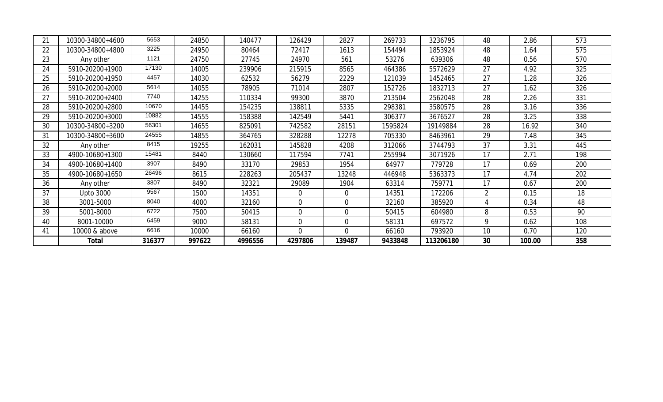| 21 | 10300-34800+4600 | 5653   | 24850  | 140477  | 126429         | 2827           | 269733  | 3236795   | 48             | 2.86   | 573 |
|----|------------------|--------|--------|---------|----------------|----------------|---------|-----------|----------------|--------|-----|
| 22 | 10300-34800+4800 | 3225   | 24950  | 80464   | 72417          | 1613           | 154494  | 1853924   | 48             | 1.64   | 575 |
| 23 | Any other        | 1121   | 24750  | 27745   | 24970          | 561            | 53276   | 639306    | 48             | 0.56   | 570 |
| 24 | 5910-20200+1900  | 17130  | 14005  | 239906  | 215915         | 8565           | 464386  | 5572629   | 27             | 4.92   | 325 |
| 25 | 5910-20200+1950  | 4457   | 14030  | 62532   | 56279          | 2229           | 121039  | 1452465   | 27             | 1.28   | 326 |
| 26 | 5910-20200+2000  | 5614   | 14055  | 78905   | 71014          | 2807           | 152726  | 1832713   | 27             | 1.62   | 326 |
| 27 | 5910-20200+2400  | 7740   | 14255  | 110334  | 99300          | 3870           | 213504  | 2562048   | 28             | 2.26   | 331 |
| 28 | 5910-20200+2800  | 10670  | 14455  | 154235  | 138811         | 5335           | 298381  | 3580575   | 28             | 3.16   | 336 |
| 29 | 5910-20200+3000  | 10882  | 14555  | 158388  | 142549         | 5441           | 306377  | 3676527   | 28             | 3.25   | 338 |
| 30 | 10300-34800+3200 | 56301  | 14655  | 825091  | 742582         | 28151          | 1595824 | 19149884  | 28             | 16.92  | 340 |
| 31 | 10300-34800+3600 | 24555  | 14855  | 364765  | 328288         | 12278          | 705330  | 8463961   | 29             | 7.48   | 345 |
| 32 | Any other        | 8415   | 19255  | 162031  | 145828         | 4208           | 312066  | 3744793   | 37             | 3.31   | 445 |
| 33 | 4900-10680+1300  | 15481  | 8440   | 130660  | 117594         | 7741           | 255994  | 3071926   | 17             | 2.71   | 198 |
| 34 | 4900-10680+1400  | 3907   | 8490   | 33170   | 29853          | 1954           | 64977   | 779728    | 17             | 0.69   | 200 |
| 35 | 4900-10680+1650  | 26496  | 8615   | 228263  | 205437         | 13248          | 446948  | 5363373   | 17             | 4.74   | 202 |
| 36 | Any other        | 3807   | 8490   | 32321   | 29089          | 1904           | 63314   | 759771    | 17             | 0.67   | 200 |
| 37 | <b>Upto 3000</b> | 9567   | 1500   | 14351   | $\mathbf 0$    | $\overline{0}$ | 14351   | 172206    | $\overline{2}$ | 0.15   | 18  |
| 38 | 3001-5000        | 8040   | 4000   | 32160   | $\overline{0}$ | $\Omega$       | 32160   | 385920    | 4              | 0.34   | 48  |
| 39 | 5001-8000        | 6722   | 7500   | 50415   | $\Omega$       | $\Omega$       | 50415   | 604980    | 8              | 0.53   | 90  |
| 40 | 8001-10000       | 6459   | 9000   | 58131   | $\overline{0}$ | $\overline{0}$ | 58131   | 697572    | 9              | 0.62   | 108 |
| 41 | 10000 & above    | 6616   | 10000  | 66160   | $\mathbf{0}$   | $\Omega$       | 66160   | 793920    | 10             | 0.70   | 120 |
|    | Total            | 316377 | 997622 | 4996556 | 4297806        | 139487         | 9433848 | 113206180 | 30             | 100.00 | 358 |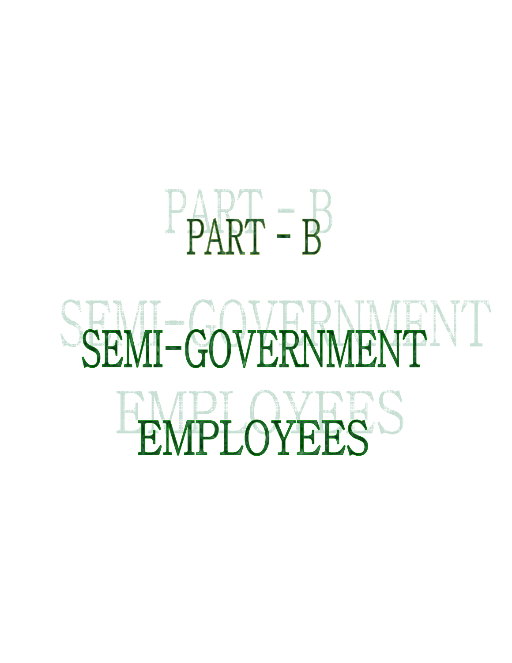

## SEMI-GOVERNMENT EMPLOYEES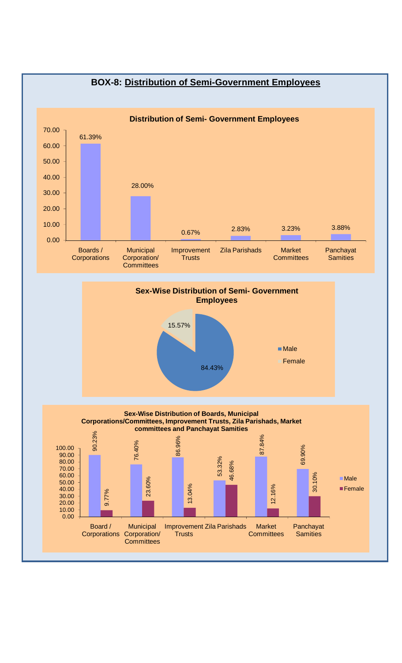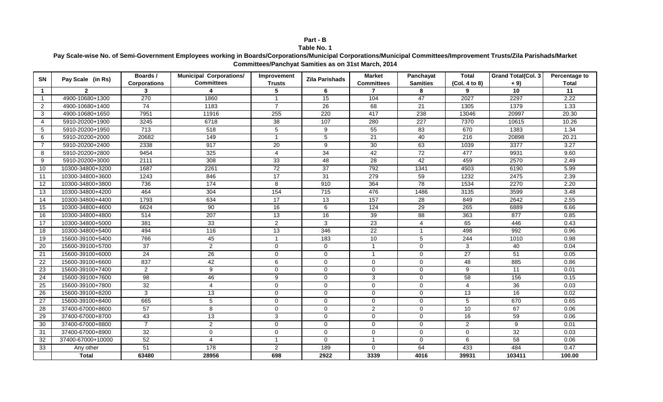#### **Part - B Table No. 1**

#### **Pay Scale-wise No. of Semi-Government Employees working in Boards/Corporations/Municipal Corporations/Municipal Committees/Improvement Trusts/Zila Parishads/Market Committees/Panchyat Samities as on 31st March, 2014**

| <b>SN</b>      | Pay Scale (in Rs) | Boards /            | <b>Municipal Corporations/</b> | Improvement          | <b>Zila Parishads</b> | <b>Market</b>     | Panchayat        | <b>Total</b>     | <b>Grand Total(Col. 3</b> | Percentage to |
|----------------|-------------------|---------------------|--------------------------------|----------------------|-----------------------|-------------------|------------------|------------------|---------------------------|---------------|
|                |                   | <b>Corporations</b> | <b>Committees</b>              | <b>Trusts</b>        |                       | <b>Committees</b> | <b>Samities</b>  | (Col. 4 to 8)    | $+9)$                     | <b>Total</b>  |
| $\mathbf{1}$   | $\mathbf{2}$      | 3                   |                                | 5                    | 6                     | $\overline{7}$    | 8                | 9                | 10                        | 11            |
| $\mathbf{1}$   | 4900-10680+1300   | 270                 | 1860                           | $\blacktriangleleft$ | 15                    | 104               | 47               | 2027             | 2297                      | 2.22          |
| $\overline{2}$ | 4900-10680+1400   | 74                  | 1183                           | $\overline{7}$       | 26                    | 68                | 21               | 1305             | 1379                      | 1.33          |
| 3              | 4900-10680+1650   | 7951                | 11916                          | 255                  | 220                   | 417               | 238              | 13046            | 20997                     | 20.30         |
| $\overline{4}$ | 5910-20200+1900   | 3245                | 6718                           | 38                   | 107                   | 280               | $\overline{227}$ | 7370             | 10615                     | 10.26         |
| 5              | 5910-20200+1950   | $\overline{713}$    | 518                            | 5                    | 9                     | 55                | 83               | 670              | 1383                      | 1.34          |
| 6              | 5910-20200+2000   | 20682               | 149                            | $\mathbf{1}$         | 5                     | 21                | 40               | $\overline{216}$ | 20898                     | 20.21         |
| 7              | 5910-20200+2400   | 2338                | 917                            | 20                   | 9                     | 30                | 63               | 1039             | 3377                      | 3.27          |
| 8              | 5910-20200+2800   | 9454                | 325                            | $\overline{4}$       | $\overline{34}$       | 42                | $\overline{72}$  | 477              | 9931                      | 9.60          |
| 9              | 5910-20200+3000   | 2111                | 308                            | 33                   | 48                    | 28                | 42               | 459              | 2570                      | 2.49          |
| 10             | 10300-34800+3200  | 1687                | 2261                           | $\overline{72}$      | 37                    | 792               | 1341             | 4503             | 6190                      | 5.99          |
| 11             | 10300-34800+3600  | 1243                | 846                            | 17                   | 31                    | 279               | 59               | 1232             | 2475                      | 2.39          |
| 12             | 10300-34800+3800  | 736                 | 174                            | 8                    | 910                   | 364               | $\overline{78}$  | 1534             | 2270                      | 2.20          |
| 13             | 10300-34800+4200  | 464                 | 304                            | 154                  | 715                   | 476               | 1486             | 3135             | 3599                      | 3.48          |
| 14             | 10300-34800+4400  | 1793                | 634                            | 17                   | 13                    | 157               | 28               | 849              | 2642                      | 2.55          |
| 15             | 10300-34800+4600  | 6624                | 90                             | 16                   | 6                     | 124               | 29               | 265              | 6889                      | 6.66          |
| 16             | 10300-34800+4800  | 514                 | 207                            | 13                   | 16                    | 39                | 88               | 363              | 877                       | 0.85          |
| 17             | 10300-34800+5000  | 381                 | 33                             | $\overline{2}$       | 3                     | $\overline{23}$   | $\overline{4}$   | 65               | 446                       | 0.43          |
| 18             | 10300-34800+5400  | 494                 | $\frac{116}{116}$              | 13                   | 346                   | $\overline{22}$   | $\mathbf{1}$     | 498              | 992                       | 0.96          |
| 19             | 15600-39100+5400  | 766                 | 45                             | $\mathbf{1}$         | 183                   | 10                | 5                | 244              | 1010                      | 0.98          |
| 20             | 15600-39100+5700  | $\overline{37}$     | $\overline{2}$                 | $\mathbf 0$          | $\mathbf 0$           | $\mathbf{1}$      | $\mathbf 0$      | $\mathbf{3}$     | 40                        | 0.04          |
| 21             | 15600-39100+6000  | 24                  | 26                             | $\mathbf 0$          | $\mathbf 0$           | $\mathbf{1}$      | $\mathbf 0$      | 27               | 51                        | 0.05          |
| 22             | 15600-39100+6600  | 837                 | 42                             | 6                    | $\mathbf 0$           | $\mathbf{0}$      | $\mathbf 0$      | 48               | 885                       | 0.86          |
| 23             | 15600-39100+7400  | 2                   | 9                              | $\mathbf 0$          | $\mathbf{0}$          | $\Omega$          | $\mathbf 0$      | 9                | 11                        | 0.01          |
| 24             | 15600-39100+7600  | $\overline{98}$     | 46                             | $\overline{9}$       | $\mathbf 0$           | 3                 | $\mathbf 0$      | 58               | 156                       | 0.15          |
| 25             | 15600-39100+7800  | 32                  | 4                              | $\mathbf 0$          | $\mathbf 0$           | $\Omega$          | $\mathbf 0$      | $\overline{4}$   | 36                        | 0.03          |
| 26             | 15600-39100+8200  | 3                   | 13                             | $\mathbf 0$          | $\mathbf 0$           | $\mathbf 0$       | $\mathbf 0$      | 13               | 16                        | 0.02          |
| 27             | 15600-39100+8400  | 665                 | 5                              | $\mathbf 0$          | 0                     | $\Omega$          | $\mathbf 0$      | 5                | 670                       | 0.65          |
| 28             | 37400-67000+8600  | 57                  | 8                              | $\mathbf 0$          | $\mathbf 0$           | $\overline{2}$    | $\mathbf 0$      | 10               | 67                        | 0.06          |
| 29             | 37400-67000+8700  | 43                  | 13                             | 3                    | $\mathbf{0}$          | $\Omega$          | 0                | 16               | 59                        | 0.06          |
| 30             | 37400-67000+8800  | $\overline{7}$      | $\overline{a}$                 | $\overline{0}$       | $\mathbf 0$           | $\mathbf 0$       | $\mathbf 0$      | $\overline{2}$   | 9                         | 0.01          |
| 31             | 37400-67000+8900  | 32                  | 0                              | $\mathbf 0$          | $\mathbf{0}$          | $\mathbf 0$       | 0                | $\mathbf 0$      | 32                        | 0.03          |
| 32             | 37400-67000+10000 | 52                  | 4                              | $\mathbf{1}$         | $\mathbf 0$           | $\mathbf{1}$      | 0                | 6                | 58                        | 0.06          |
| 33             | Any other         | 51                  | 178                            | $\overline{2}$       | 189                   | $\mathbf 0$       | 64               | 433              | 484                       | 0.47          |
|                | <b>Total</b>      | 63480               | 28956                          | 698                  | 2922                  | 3339              | 4016             | 39931            | 103411                    | 100.00        |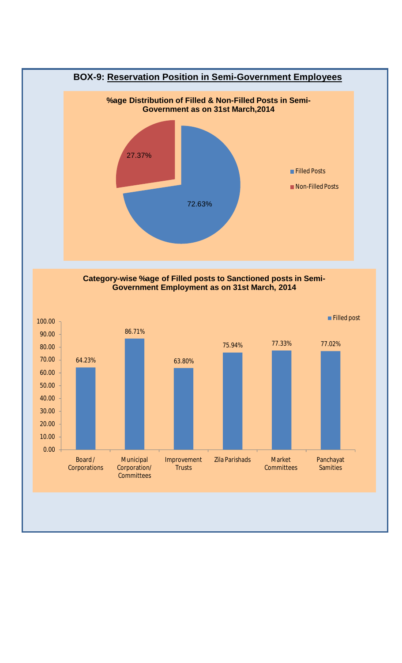

**Category-wise %age of Filled posts to Sanctioned posts in Semi-Government Employment as on 31st March, 2014**

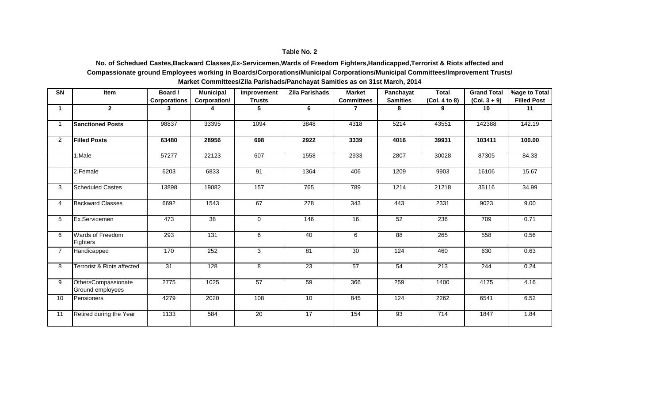#### **No. of Schedued Castes,Backward Classes,Ex-Servicemen,Wards of Freedom Fighters,Handicapped,Terrorist & Riots affected and Compassionate ground Employees working in Boards/Corporations/Municipal Corporations/Municipal Committees/Improvement Trusts/ Market Committees/Zila Parishads/Panchayat Samities as on 31st March, 2014**

| SN             | Item                                    | Board /             | <b>Municipal</b> | Improvement     | <b>Zila Parishads</b> | <b>Market</b>     | Panchayat       | <b>Total</b>     | <b>Grand Total</b> | %age to Total      |
|----------------|-----------------------------------------|---------------------|------------------|-----------------|-----------------------|-------------------|-----------------|------------------|--------------------|--------------------|
|                |                                         | <b>Corporations</b> | Corporation/     | <b>Trusts</b>   |                       | <b>Committees</b> | <b>Samities</b> | (Col. 4 to 8)    | $(Col. 3 + 9)$     | <b>Filled Post</b> |
| $\mathbf 1$    | $\mathbf{2}$                            | 3                   | 4                | 5               | 6                     | $\overline{7}$    | 8               | 9                | 10                 | 11                 |
| $\mathbf{1}$   | <b>Sanctioned Posts</b>                 | 98837               | 33395            | 1094            | 3848                  | 4318              | 5214            | 43551            | 142388             | 142.19             |
| $\overline{2}$ | <b>Filled Posts</b>                     | 63480               | 28956            | 698             | 2922                  | 3339              | 4016            | 39931            | 103411             | 100.00             |
|                | 1.Male                                  | 57277               | 22123            | 607             | 1558                  | 2933              | 2807            | 30028            | 87305              | 84.33              |
|                | 2.Female                                | 6203                | 6833             | 91              | 1364                  | 406               | 1209            | 9903             | 16106              | 15.67              |
| 3              | <b>Scheduled Castes</b>                 | 13898               | 19082            | 157             | 765                   | 789               | 1214            | 21218            | 35116              | 34.99              |
| 4              | <b>Backward Classes</b>                 | 6692                | 1543             | 67              | 278                   | $\frac{1}{343}$   | 443             | 2331             | 9023               | 9.00               |
| 5              | Ex.Servicemen                           | 473                 | $\overline{38}$  | $\mathbf 0$     | 146                   | $\overline{16}$   | 52              | 236              | 709                | 0.71               |
| 6              | Wards of Freedom<br>Fighters            | 293                 | $\overline{131}$ | 6               | 40                    | 6                 | $\overline{88}$ | $\overline{265}$ | 558                | 0.56               |
| $\overline{7}$ | Handicapped                             | 170                 | 252              | 3               | $\overline{81}$       | $\overline{30}$   | 124             | 460              | 630                | 0.63               |
| 8              | <b>Terrorist &amp; Riots affected</b>   | $\overline{31}$     | $\overline{128}$ | 8               | $\overline{23}$       | 57                | 54              | $\overline{213}$ | 244                | 0.24               |
| 9              | OthersCompassionate<br>Ground employees | 2775                | 1025             | $\overline{57}$ | 59                    | 366               | 259             | 1400             | 4175               | 4.16               |
| 10             | Pensioners                              | 4279                | 2020             | 108             | 10                    | 845               | 124             | 2262             | 6541               | 6.52               |
| 11             | Retired during the Year                 | 1133                | 584              | 20              | 17                    | 154               | $\overline{93}$ | 714              | 1847               | 1.84               |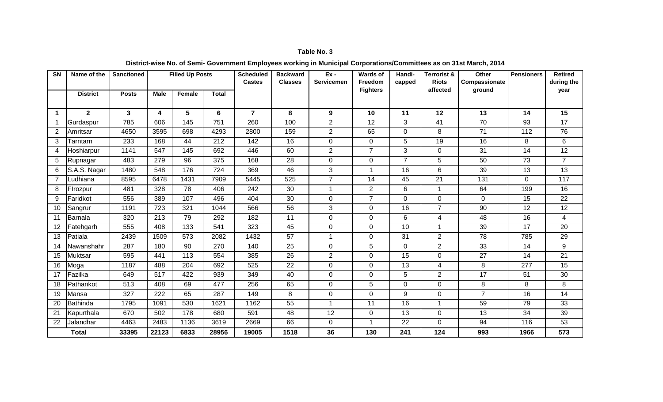#### **District-wise No. of Semi- Government Employees working in Municipal Corporations/Committees as on 31st March, 2014**

| <b>SN</b> | Name of the     | <b>Sanctioned</b> |             | <b>Filled Up Posts</b> |              | <b>Scheduled</b><br><b>Castes</b> | <b>Backward</b><br><b>Classes</b> | $Ex -$<br><b>Servicemen</b> | Wards of<br>Freedom | Handi-<br>capped | <b>Terrorist &amp;</b><br><b>Riots</b> | Other<br>Compassionate | <b>Pensioners</b> | <b>Retired</b><br>during the |
|-----------|-----------------|-------------------|-------------|------------------------|--------------|-----------------------------------|-----------------------------------|-----------------------------|---------------------|------------------|----------------------------------------|------------------------|-------------------|------------------------------|
|           | <b>District</b> | <b>Posts</b>      | <b>Male</b> | Female                 | <b>Total</b> |                                   |                                   |                             | <b>Fighters</b>     |                  | affected                               | ground                 |                   | year                         |
|           |                 |                   |             |                        |              |                                   |                                   |                             |                     |                  |                                        |                        |                   |                              |
| 1         | $\mathbf{2}$    | 3                 | 4           | 5                      | 6            | $\overline{7}$                    | 8                                 | 9                           | 10                  | 11               | 12                                     | 13                     | 14                | 15                           |
|           | Gurdaspur       | 785               | 606         | 145                    | 751          | 260                               | 100                               | $\overline{2}$              | 12                  | 3                | 41                                     | 70                     | 93                | 17                           |
| 2         | Amritsar        | 4650              | 3595        | 698                    | 4293         | 2800                              | 159                               | $\overline{2}$              | 65                  | 0                | 8                                      | 71                     | 112               | 76                           |
| 3         | Tarntarn        | 233               | 168         | 44                     | 212          | 142                               | 16                                | $\mathbf 0$                 | $\overline{0}$      | 5                | 19                                     | 16                     | 8                 | 6                            |
| 4         | Hoshiarpur      | 1141              | 547         | 145                    | 692          | 446                               | 60                                | $\overline{2}$              | $\overline{7}$      | 3                | $\mathbf 0$                            | 31                     | 14                | 12                           |
| 5         | Rupnagar        | 483               | 279         | 96                     | 375          | 168                               | 28                                | $\mathbf 0$                 | $\overline{0}$      | $\overline{7}$   | 5                                      | 50                     | 73                | $\overline{7}$               |
| 6         | S.A.S. Nagar    | 1480              | 548         | 176                    | 724          | 369                               | 46                                | 3                           | $\mathbf{1}$        | 16               | 6                                      | 39                     | 13                | 13                           |
| 7         | Ludhiana        | 8595              | 6478        | 1431                   | 7909         | 5445                              | 525                               | $\overline{7}$              | 14                  | 45               | $\overline{21}$                        | 131                    | 0                 | 117                          |
| 8         | Firozpur        | 481               | 328         | 78                     | 406          | 242                               | 30                                | -1                          | $\overline{2}$      | 6                |                                        | 64                     | 199               | 16                           |
| 9         | Faridkot        | 556               | 389         | 107                    | 496          | 404                               | 30                                | $\mathbf 0$                 | $\overline{7}$      | 0                | $\mathbf 0$                            | $\mathbf 0$            | 15                | 22                           |
| 10        | Sangrur         | 1191              | 723         | 321                    | 1044         | 566                               | 56                                | 3                           | $\overline{0}$      | 16               | $\overline{7}$                         | 90                     | $\overline{12}$   | $\overline{12}$              |
| 11        | Barnala         | 320               | 213         | 79                     | 292          | 182                               | 11                                | $\mathbf 0$                 | $\mathbf 0$         | 6                | 4                                      | 48                     | 16                | 4                            |
| 12        | Fatehgarh       | 555               | 408         | 133                    | 541          | 323                               | 45                                | $\mathbf 0$                 | 0                   | 10               | $\overline{1}$                         | 39                     | 17                | 20                           |
| 13        | Patiala         | 2439              | 1509        | 573                    | 2082         | 1432                              | 57                                | -1                          | 0                   | 31               | $\overline{2}$                         | 78                     | 785               | 29                           |
| 14        | Nawanshahr      | 287               | 180         | 90                     | 270          | 140                               | 25                                | 0                           | 5                   | 0                | $\overline{2}$                         | 33                     | 14                | 9                            |
| 15        | Muktsar         | 595               | 441         | 113                    | 554          | 385                               | 26                                | 2                           | $\mathbf 0$         | 15               | $\overline{0}$                         | 27                     | 14                | 21                           |
| 16        | Moga            | 1187              | 488         | 204                    | 692          | 525                               | 22                                | $\Omega$                    | 0                   | 13               | 4                                      | 8                      | 277               | 15                           |
| 17        | Fazilka         | 649               | 517         | 422                    | 939          | 349                               | 40                                | $\Omega$                    | 0                   | 5                | $\overline{2}$                         | $\overline{17}$        | 51                | 30                           |
| 18        | Pathankot       | 513               | 408         | 69                     | 477          | 256                               | 65                                | $\mathbf 0$                 | 5                   | 0                | $\overline{0}$                         | 8                      | 8                 | 8                            |
| 19        | Mansa           | 327               | 222         | 65                     | 287          | 149                               | 8                                 | $\Omega$                    | 0                   | 9                | $\mathbf 0$                            | $\overline{7}$         | 16                | 14                           |
| 20        | <b>Bathinda</b> | 1795              | 1091        | 530                    | 1621         | 1162                              | 55                                |                             | 11                  | 16               |                                        | 59                     | 79                | 33                           |
| 21        | Kapurthala      | 670               | 502         | 178                    | 680          | 591                               | 48                                | $\overline{12}$             | $\overline{0}$      | 13               | $\mathbf{0}$                           | $\overline{13}$        | 34                | 39                           |
| 22        | Jalandhar       | 4463              | 2483        | 1136                   | 3619         | 2669                              | 66                                | $\Omega$                    | $\mathbf 1$         | 22               | $\Omega$                               | 94                     | 116               | 53                           |
|           | <b>Total</b>    | 33395             | 22123       | 6833                   | 28956        | 19005                             | 1518                              | 36                          | 130                 | 241              | 124                                    | 993                    | 1966              | 573                          |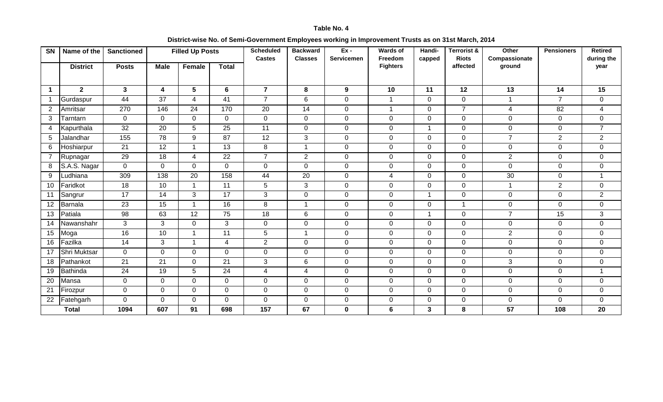#### **District-wise No. of Semi-Government Employees working in Improvement Trusts as on 31st March, 2014**

| SN             | Name of the     | <b>Sanctioned</b> |                 | <b>Filled Up Posts</b> |                 | <b>Scheduled</b><br><b>Castes</b> | <b>Backward</b><br><b>Classes</b> | $Ex -$<br><b>Servicemen</b> | <b>Wards of</b><br>Freedom | Handi-<br>capped | <b>Terrorist &amp;</b><br><b>Riots</b> | Other<br>Compassionate | <b>Pensioners</b> | <b>Retired</b><br>during the |
|----------------|-----------------|-------------------|-----------------|------------------------|-----------------|-----------------------------------|-----------------------------------|-----------------------------|----------------------------|------------------|----------------------------------------|------------------------|-------------------|------------------------------|
|                | <b>District</b> | <b>Posts</b>      | <b>Male</b>     | <b>Female</b>          | <b>Total</b>    |                                   |                                   |                             | <b>Fighters</b>            |                  | affected                               | ground                 |                   | year                         |
|                |                 |                   |                 |                        |                 |                                   |                                   |                             |                            |                  |                                        |                        |                   |                              |
| -1             | $\mathbf{2}$    | $3\phantom{a}$    | 4               | 5                      | 6               | $\overline{7}$                    | 8                                 | 9                           | 10                         | 11               | 12                                     | 13                     | 14                | 15                           |
| $\mathbf{1}$   | Gurdaspur       | 44                | $\overline{37}$ | $\overline{4}$         | 41              | $\overline{7}$                    | 6                                 | $\overline{0}$              | $\mathbf{1}$               | $\overline{0}$   | $\mathbf 0$                            | $\mathbf{1}$           | $\overline{7}$    | $\overline{0}$               |
| 2              | Amritsar        | 270               | 146             | 24                     | 170             | $\overline{20}$                   | $\overline{14}$                   | $\overline{0}$              | $\blacktriangleleft$       | 0                | $\overline{7}$                         | 4                      | 82                | 4                            |
| 3              | Tarntarn        | $\mathbf 0$       | $\Omega$        | $\mathbf 0$            | $\mathbf{0}$    | 0                                 | $\mathbf 0$                       | $\mathbf 0$                 | $\mathbf 0$                | 0                | $\mathbf 0$                            | $\mathbf 0$            | 0                 | $\overline{0}$               |
| 4              | Kapurthala      | 32                | 20              | 5                      | 25              | 11                                | $\mathbf 0$                       | $\mathbf 0$                 | $\mathbf 0$                | $\overline{1}$   | $\mathbf 0$                            | $\mathsf{O}\xspace$    | $\overline{0}$    | $\overline{7}$               |
| 5              | Jalandhar       | 155               | 78              | 9                      | $\overline{87}$ | $\overline{12}$                   | 3                                 | $\mathbf 0$                 | $\mathbf{0}$               | 0                | $\mathbf 0$                            | $\overline{7}$         | $\overline{2}$    | $\overline{2}$               |
| 6              | Hoshiarpur      | 21                | 12              | 1                      | 13              | 8                                 | $\mathbf{1}$                      | $\mathbf 0$                 | $\mathbf 0$                | 0                | $\mathbf 0$                            | $\mathbf 0$            | $\Omega$          | $\overline{0}$               |
| $\overline{7}$ | Rupnagar        | 29                | 18              | $\overline{4}$         | 22              | $\overline{7}$                    | $\overline{2}$                    | $\mathbf 0$                 | $\mathbf 0$                | $\overline{0}$   | $\mathbf 0$                            | $\overline{2}$         | $\overline{0}$    | $\mathbf 0$                  |
| 8              | S.A.S. Nagar    | $\mathbf{0}$      | $\mathbf{0}$    | $\overline{0}$         | $\overline{0}$  | 0                                 | $\mathbf 0$                       | $\mathbf 0$                 | $\overline{0}$             | $\overline{0}$   | $\mathbf 0$                            | $\mathbf 0$            | $\overline{0}$    | $\overline{0}$               |
| 9              | Ludhiana        | 309               | 138             | 20                     | 158             | 44                                | 20                                | $\mathbf 0$                 | 4                          | 0                | $\mathbf 0$                            | 30                     | 0                 | $\blacktriangleleft$         |
| 10             | Faridkot        | 18                | 10              | $\mathbf{1}$           | 11              | $\overline{5}$                    | $\overline{3}$                    | $\overline{0}$              | $\mathbf 0$                | $\overline{0}$   | $\overline{0}$                         | $\mathbf{1}$           | $\overline{2}$    | $\mathbf 0$                  |
| 11             | Sangrur         | 17                | 14              | 3                      | 17              | 3                                 | $\overline{0}$                    | $\mathbf 0$                 | $\mathbf 0$                | $\mathbf{1}$     | $\mathbf 0$                            | $\mathbf 0$            | $\overline{0}$    | $\overline{2}$               |
| 12             | Barnala         | 23                | 15              | 1                      | 16              | 8                                 | $\mathbf{1}$                      | $\mathbf 0$                 | $\mathbf 0$                | $\overline{0}$   | $\mathbf{1}$                           | $\mathsf{O}\xspace$    | $\overline{0}$    | $\overline{0}$               |
| 13             | Patiala         | 98                | 63              | 12                     | 75              | 18                                | $6\phantom{1}6$                   | $\mathbf 0$                 | $\mathbf 0$                | $\overline{1}$   | $\mathbf 0$                            | $\overline{7}$         | 15                | 3                            |
| 14             | Nawanshahr      | 3                 | 3               | $\overline{0}$         | 3               | $\overline{0}$                    | $\mathsf 0$                       | $\mathbf 0$                 | $\mathbf 0$                | $\overline{0}$   | $\mathbf 0$                            | $\mathbf 0$            | $\overline{0}$    | $\mathsf{O}$                 |
| 15             | Moga            | 16                | 10              | 1                      | 11              | 5                                 | $\mathbf{1}$                      | $\mathbf 0$                 | $\mathbf 0$                | 0                | $\mathbf 0$                            | $\mathbf{2}$           | $\overline{0}$    | $\overline{0}$               |
| 16             | Fazilka         | 14                | 3               | -1                     | 4               | $\overline{2}$                    | $\mathbf 0$                       | $\mathbf 0$                 | $\mathbf 0$                | 0                | $\mathbf 0$                            | $\mathbf 0$            | $\overline{0}$    | $\mathbf 0$                  |
| 17             | Shri Muktsar    | $\mathbf 0$       | $\overline{0}$  | $\overline{0}$         | $\overline{0}$  | 0                                 | $\mathbf 0$                       | $\mathbf 0$                 | $\mathbf 0$                | $\overline{0}$   | $\mathbf 0$                            | $\mathbf 0$            | $\overline{0}$    | $\mathbf 0$                  |
| 18             | Pathankot       | 21                | 21              | 0                      | 21              | 3                                 | 6                                 | $\mathbf 0$                 | $\mathbf 0$                | 0                | $\mathbf 0$                            | 3                      | 0                 | 0                            |
| 19             | Bathinda        | $\overline{24}$   | $\overline{19}$ | 5                      | $\overline{24}$ | $\overline{4}$                    | $\overline{4}$                    | $\mathbf 0$                 | $\overline{0}$             | $\overline{0}$   | $\mathbf 0$                            | $\mathbf 0$            | $\overline{0}$    | $\mathbf{1}$                 |
| 20             | Mansa           | $\mathbf 0$       | $\Omega$        | $\overline{0}$         | 0               | 0                                 | $\mathbf 0$                       | $\mathbf 0$                 | $\mathbf 0$                | 0                | $\mathbf 0$                            | $\mathbf 0$            | 0                 | 0                            |
| 21             | Firozpur        | $\mathbf 0$       | $\overline{0}$  | $\overline{0}$         | $\mathbf 0$     | $\overline{0}$                    | $\mathsf 0$                       | $\mathbf 0$                 | $\mathbf 0$                | $\overline{0}$   | $\mathbf 0$                            | $\mathbf 0$            | $\overline{0}$    | $\overline{0}$               |
| 22             | Fatehgarh       | $\mathbf 0$       | $\overline{0}$  | $\overline{0}$         | $\mathbf 0$     | 0                                 | $\overline{0}$                    | $\mathbf 0$                 | $\mathbf 0$                | 0                | $\mathbf 0$                            | $\mathbf 0$            | $\overline{0}$    | $\overline{0}$               |
|                | <b>Total</b>    | 1094              | 607             | 91                     | 698             | 157                               | 67                                | $\bf{0}$                    | 6                          | 3                | 8                                      | 57                     | 108               | 20                           |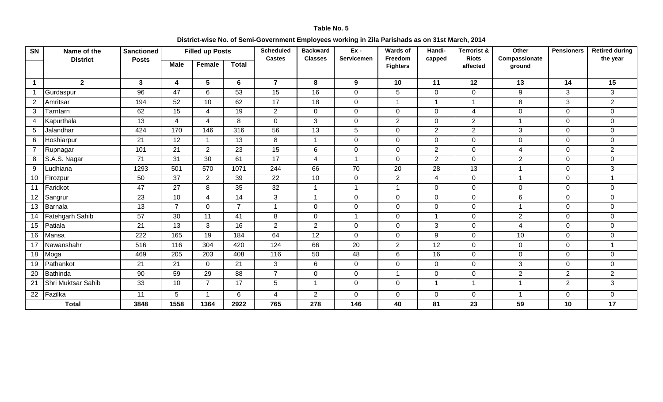#### **District-wise No. of Semi-Government Employees working in Zila Parishads as on 31st March, 2014**

| <b>SN</b>      | Name of the        | <b>Sanctioned</b> |                         | <b>Filled up Posts</b> |                 | <b>Scheduled</b> | <b>Backward</b>         | $Ex -$          | <b>Wards of</b>            | Handi-                  | <b>Terrorist &amp;</b>   | Other                   | <b>Pensioners</b> | <b>Retired during</b> |
|----------------|--------------------|-------------------|-------------------------|------------------------|-----------------|------------------|-------------------------|-----------------|----------------------------|-------------------------|--------------------------|-------------------------|-------------------|-----------------------|
|                | <b>District</b>    | <b>Posts</b>      | <b>Male</b>             | Female                 | <b>Total</b>    | <b>Castes</b>    | <b>Classes</b>          | Servicemen      | Freedom<br><b>Fighters</b> | capped                  | <b>Riots</b><br>affected | Compassionate<br>ground |                   | the year              |
| $\mathbf 1$    | $\mathbf{2}$       | $\mathbf{3}$      | $\overline{\mathbf{4}}$ | 5                      | 6               | $\overline{7}$   | 8                       | 9               | 10                         | 11                      | 12                       | 13                      | 14                | 15                    |
| $\overline{1}$ | Gurdaspur          | 96                | 47                      | $\overline{6}$         | 53              | 15               | 16                      | $\mathbf 0$     | 5                          | $\mathbf 0$             | 0                        | 9                       | 3                 | 3                     |
| $\overline{2}$ | Amritsar           | 194               | 52                      | 10                     | 62              | 17               | $\overline{18}$         | $\mathbf 0$     | $\overline{\mathbf{1}}$    | $\overline{1}$          | -1                       | 8                       | 3                 | $\overline{2}$        |
| 3              | Tarntarn           | 62                | 15                      | 4                      | 19              | $\overline{2}$   | $\mathbf 0$             | $\overline{0}$  | $\mathbf 0$                | $\mathbf 0$             | 4                        | $\mathbf 0$             | $\mathbf 0$       | $\mathbf 0$           |
| $\overline{4}$ | Kapurthala         | 13                | 4                       | $\overline{4}$         | 8               | $\mathbf 0$      | 3                       | $\mathbf 0$     | $\overline{2}$             | $\mathbf 0$             | $\overline{2}$           | $\overline{1}$          | $\overline{0}$    | $\mathbf 0$           |
| 5              | Jalandhar          | 424               | 170                     | 146                    | 316             | 56               | $\overline{13}$         | $5\phantom{.0}$ | $\mathbf 0$                | $\overline{2}$          | $\overline{2}$           | 3                       | $\mathbf 0$       | $\mathbf 0$           |
| 6              | Hoshiarpur         | 21                | 12                      | $\overline{1}$         | 13              | 8                | $\mathbf 1$             | $\overline{0}$  | $\mathbf 0$                | $\mathbf 0$             | $\Omega$                 | $\mathbf 0$             | $\mathbf 0$       | $\mathbf 0$           |
| $\overline{7}$ | Rupnagar           | 101               | 21                      | $\overline{2}$         | 23              | 15               | 6                       | $\mathbf 0$     | $\mathbf 0$                | $\overline{2}$          | $\mathbf 0$              | $\overline{4}$          | $\overline{0}$    | $\overline{2}$        |
| 8              | S.A.S. Nagar       | 71                | 31                      | 30                     | 61              | 17               | $\overline{4}$          | $\overline{1}$  | 0                          | $\overline{2}$          | $\Omega$                 | $\overline{2}$          | $\mathbf 0$       | $\mathbf 0$           |
| 9              | udhiana            | 1293              | 501                     | 570                    | 1071            | 244              | 66                      | $\overline{70}$ | 20                         | 28                      | 13                       | $\overline{1}$          | $\overline{0}$    | $\overline{3}$        |
| 10             | Firozpur           | 50                | 37                      | $\overline{2}$         | 39              | 22               | 10                      | $\overline{0}$  | $\overline{2}$             | $\overline{4}$          | $\overline{0}$           | $\overline{1}$          | $\overline{0}$    | $\overline{1}$        |
| 11             | Faridkot           | 47                | 27                      | 8                      | 35              | 32               | -1                      | $\overline{1}$  | -1                         | $\mathbf 0$             | 0                        | $\mathbf 0$             | $\mathbf 0$       | $\boldsymbol{0}$      |
| 12             | Sangrur            | $\overline{23}$   | 10                      | $\overline{4}$         | $\overline{14}$ | 3                | $\overline{1}$          | $\overline{0}$  | $\mathbf 0$                | $\mathbf 0$             | $\Omega$                 | $6\phantom{1}$          | $\overline{0}$    | $\mathbf 0$           |
| 13             | <b>Barnala</b>     | 13                | $\overline{7}$          | $\mathbf 0$            | $\overline{7}$  | $\overline{1}$   | $\Omega$                | $\overline{0}$  | $\mathbf 0$                | $\mathbf 0$             | $\Omega$                 | $\overline{1}$          | $\mathbf 0$       | $\mathbf 0$           |
| 14             | Fatehgarh Sahib    | 57                | 30                      | 11                     | 41              | 8                | $\mathbf 0$             | $\overline{1}$  | $\mathbf 0$                | $\overline{\mathbf{1}}$ | $\mathbf 0$              | $\overline{2}$          | $\mathbf 0$       | $\boldsymbol{0}$      |
| 15             | Patiala            | $\overline{21}$   | $\overline{13}$         | 3                      | 16              | $\overline{2}$   | 2                       | $\mathbf 0$     | $\mathbf 0$                | $\mathbf{3}$            | $\Omega$                 | 4                       | $\overline{0}$    | $\mathbf 0$           |
| 16             | Mansa              | 222               | 165                     | $\overline{19}$        | 184             | 64               | $\overline{12}$         | $\mathbf 0$     | $\mathbf 0$                | 9                       | $\Omega$                 | 10                      | $\mathbf 0$       | $\mathbf 0$           |
| 17             | Nawanshahr         | 516               | 116                     | 304                    | 420             | 124              | 66                      | 20              | $\overline{2}$             | 12                      | $\Omega$                 | $\mathbf 0$             | $\mathbf 0$       | 1                     |
| 18             | Moga               | 469               | 205                     | 203                    | 408             | 116              | 50                      | 48              | $\,6\,$                    | 16                      | $\mathbf 0$              | $\mathbf 0$             | $\mathbf 0$       | $\mathbf 0$           |
| 19             | Pathankot          | 21                | 21                      | $\mathbf 0$            | 21              | $\mathfrak{S}$   | 6                       | $\overline{0}$  | $\mathbf 0$                | $\mathbf 0$             | $\mathbf 0$              | $\mathfrak{B}$          | $\mathbf 0$       | $\mathbf 0$           |
| 20             | Bathinda           | 90                | 59                      | 29                     | 88              | $\overline{7}$   | $\mathbf 0$             | $\overline{0}$  | $\overline{\mathbf{1}}$    | $\mathbf 0$             | $\mathbf 0$              | 2                       | $\overline{2}$    | $\overline{2}$        |
| 21             | Shri Muktsar Sahib | 33                | 10                      | $\overline{7}$         | 17              | $\overline{5}$   | $\overline{\mathbf{1}}$ | $\overline{0}$  | $\mathbf 0$                | $\overline{1}$          | -1                       | $\overline{\mathbf{1}}$ | $\overline{2}$    | 3                     |
| 22             | Fazilka            | $\overline{11}$   | 5                       | $\overline{1}$         | 6               | 4                | $\overline{2}$          | $\overline{0}$  | $\mathbf 0$                | $\mathbf 0$             | $\mathbf 0$              | $\overline{1}$          | $\mathbf 0$       | $\boldsymbol{0}$      |
|                | <b>Total</b>       | 3848              | 1558                    | 1364                   | 2922            | 765              | 278                     | 146             | 40                         | 81                      | 23                       | 59                      | 10                | 17                    |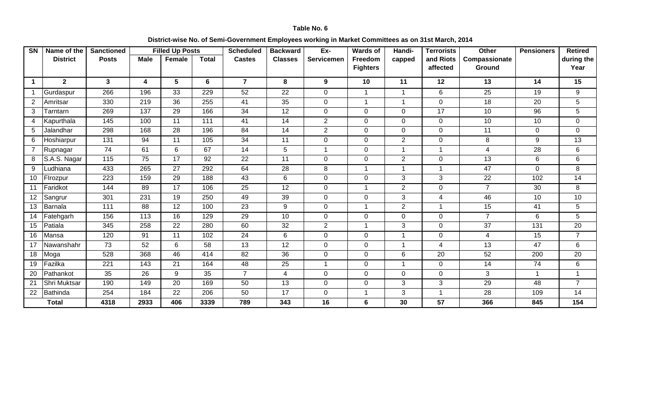#### **District-wise No. of Semi-Government Employees working in Market Committees as on 31st March, 2014**

| $\overline{\text{SN}}$ | Name of the     | <b>Sanctioned</b> |                         | <b>Filled Up Posts</b> |                 | Scheduled      | <b>Backward</b> | $Ex-$          | <b>Wards of</b>            | Handi-         | <b>Terrorists</b>     | <b>Other</b>            | <b>Pensioners</b> | <b>Retired</b>     |
|------------------------|-----------------|-------------------|-------------------------|------------------------|-----------------|----------------|-----------------|----------------|----------------------------|----------------|-----------------------|-------------------------|-------------------|--------------------|
|                        | <b>District</b> | <b>Posts</b>      | <b>Male</b>             | Female                 | <b>Total</b>    | <b>Castes</b>  | <b>Classes</b>  | Servicemen     | Freedom<br><b>Fighters</b> | capped         | and Riots<br>affected | Compassionate<br>Ground |                   | during the<br>Year |
|                        |                 |                   |                         |                        |                 |                |                 |                |                            |                |                       |                         |                   |                    |
| 1                      | $\mathbf{2}$    | $3\phantom{a}$    | $\overline{\mathbf{4}}$ | $5\phantom{.0}$        | 6               | $\overline{7}$ | 8               | 9              | 10                         | 11             | 12                    | 13                      | 14                | 15                 |
| -1                     | Gurdaspur       | 266               | 196                     | 33                     | 229             | 52             | 22              | $\mathbf 0$    | -1                         | $\mathbf{1}$   | 6                     | 25                      | 19                | 9                  |
| 2                      | Amritsar        | 330               | 219                     | 36                     | 255             | 41             | 35              | $\mathbf 0$    | -1                         | $\overline{1}$ | $\mathbf 0$           | 18                      | 20                | 5                  |
| 3                      | Tarntarn        | 269               | 137                     | 29                     | 166             | 34             | 12              | $\mathbf 0$    | $\Omega$                   | $\mathbf 0$    | 17                    | 10                      | 96                | $5\phantom{.0}$    |
| $\overline{4}$         | Kapurthala      | 145               | 100                     | 11                     | 111             | 41             | 14              | $\overline{2}$ | $\Omega$                   | $\mathbf 0$    | $\mathbf 0$           | 10                      | 10 <sup>°</sup>   | $\mathbf 0$        |
| 5                      | Jalandhar       | 298               | 168                     | 28                     | 196             | 84             | 14              | $\overline{2}$ | 0                          | 0              | $\mathbf 0$           | 11                      | $\mathbf 0$       | $\mathbf 0$        |
| 6                      | Hoshiarpur      | 131               | 94                      | 11                     | 105             | 34             | 11              | $\mathbf 0$    | $\mathbf 0$                | $\overline{2}$ | $\mathbf 0$           | 8                       | 9                 | 13                 |
|                        | Rupnagar        | 74                | 61                      | $6\phantom{1}$         | 67              | 14             | 5               | $\overline{1}$ | 0                          | 1              | $\mathbf{1}$          | $\overline{4}$          | 28                | 6                  |
| 8                      | S.A.S. Nagar    | $\frac{115}{115}$ | 75                      | 17                     | 92              | 22             | 11              | $\mathbf 0$    | 0                          | 2              | $\mathbf 0$           | $\overline{13}$         | 6                 | 6                  |
| 9                      | Ludhiana        | 433               | 265                     | $\overline{27}$        | 292             | 64             | $\overline{28}$ | 8              |                            | 1              | $\overline{1}$        | 47                      | $\overline{0}$    | 8                  |
| 10                     | Firozpur        | 223               | 159                     | 29                     | 188             | 43             | 6               | $\mathbf 0$    | $\mathbf 0$                | 3              | 3                     | 22                      | 102               | 14                 |
| 11                     | Faridkot        | 144               | 89                      | 17                     | 106             | 25             | 12              | $\mathbf 0$    | -1                         | 2              | $\mathbf 0$           | $\overline{7}$          | 30                | 8                  |
| -12                    | Sangrur         | 301               | 231                     | 19                     | 250             | 49             | 39              | 0              | 0                          | 3              | 4                     | 46                      | 10                | 10                 |
| 13                     | Barnala         | 111               | 88                      | 12                     | 100             | 23             | 9               | $\mathbf 0$    | $\overline{\mathbf{1}}$    | $\overline{2}$ | $\mathbf{1}$          | 15                      | 41                | $\overline{5}$     |
| 14                     | Fatehgarh       | 156               | 113                     | 16                     | 129             | 29             | 10              | $\mathbf 0$    | $\mathbf 0$                | $\mathbf 0$    | $\mathbf 0$           | $\overline{7}$          | 6                 | $5\phantom{.0}$    |
| 15                     | Patiala         | 345               | 258                     | 22                     | 280             | 60             | 32              | $\overline{2}$ | -1                         | 3              | $\mathbf 0$           | 37                      | 131               | 20                 |
| 16                     | Mansa           | 120               | 91                      | 11                     | 102             | 24             | 6               | 0              | $\mathbf 0$                | 1              | $\mathbf 0$           | 4                       | 15                | $\overline{7}$     |
| 17                     | Nawanshahr      | 73                | 52                      | $6\phantom{1}$         | 58              | 13             | 12              | $\mathbf 0$    | $\mathbf 0$                | $\mathbf{1}$   | $\overline{4}$        | 13                      | 47                | $6\phantom{1}$     |
| 18                     | Moga            | 528               | 368                     | 46                     | 414             | 82             | 36              | $\mathbf 0$    | $\mathbf 0$                | 6              | 20                    | 52                      | 200               | 20                 |
| 19                     | Fazilka         | 221               | 143                     | 21                     | 164             | 48             | 25              | -1             | $\Omega$                   | 1              | $\mathbf 0$           | 14                      | 74                | 6                  |
| 20                     | Pathankot       | $\overline{35}$   | $\overline{26}$         | 9                      | $\overline{35}$ | $\overline{7}$ | $\overline{4}$  | $\mathbf 0$    | $\Omega$                   | $\mathbf 0$    | $\mathbf 0$           | 3                       | $\mathbf{1}$      | $\mathbf{1}$       |
| 21                     | Shri Muktsar    | 190               | 149                     | 20                     | 169             | 50             | 13              | $\mathbf 0$    | $\mathbf 0$                | 3              | 3                     | 29                      | 48                | $\overline{7}$     |
| 22                     | Bathinda        | 254               | 184                     | 22                     | 206             | 50             | 17              | 0              | -1                         | 3              | $\mathbf{1}$          | 28                      | 109               | 14                 |
|                        | <b>Total</b>    | 4318              | 2933                    | 406                    | 3339            | 789            | 343             | 16             | 6                          | 30             | 57                    | 366                     | 845               | 154                |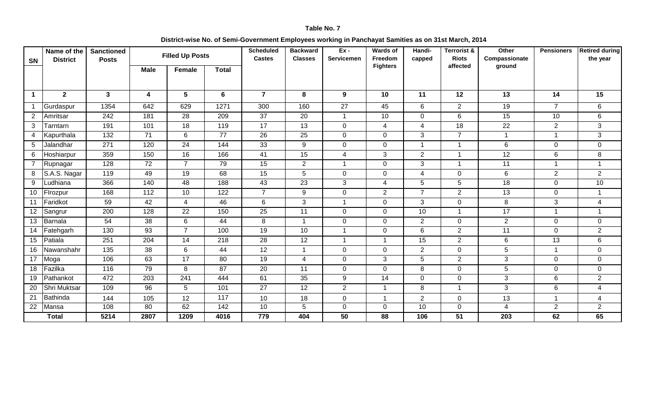#### **District-wise No. of Semi-Government Employees working in Panchayat Samities as on 31st March, 2014**

| SN                   | Name of the<br><b>District</b> | <b>Sanctioned</b><br><b>Posts</b> | <b>Filled Up Posts</b><br><b>Male</b><br><b>Total</b> |                 |      | <b>Scheduled</b><br><b>Castes</b> | <b>Backward</b><br><b>Classes</b> | $Ex -$<br>Servicemen | Wards of<br>Freedom | Handi-<br>capped | <b>Terrorist &amp;</b><br><b>Riots</b> | Other<br>Compassionate | <b>Pensioners</b> | <b>Retired during</b><br>the year |
|----------------------|--------------------------------|-----------------------------------|-------------------------------------------------------|-----------------|------|-----------------------------------|-----------------------------------|----------------------|---------------------|------------------|----------------------------------------|------------------------|-------------------|-----------------------------------|
|                      |                                |                                   |                                                       | Female          |      |                                   |                                   |                      | <b>Fighters</b>     |                  | affected                               | ground                 |                   |                                   |
|                      |                                |                                   |                                                       |                 |      |                                   |                                   |                      |                     |                  |                                        |                        |                   |                                   |
| $\blacktriangleleft$ | $\mathbf{2}$                   | 3 <sup>1</sup>                    | 4                                                     | $5\phantom{.0}$ | 6    | $\overline{7}$                    | 8                                 | 9                    | 10                  | 11               | 12                                     | 13                     | 14                | 15                                |
|                      |                                |                                   |                                                       |                 |      |                                   |                                   |                      |                     |                  |                                        |                        |                   |                                   |
| -1                   | Gurdaspur                      | 1354                              | 642                                                   | 629             | 1271 | 300                               | 160                               | 27                   | 45                  | 6                | $\overline{2}$                         | 19                     | $\overline{7}$    | 6                                 |
| $\overline{2}$       | Amritsar                       | 242                               | 181                                                   | 28              | 209  | 37                                | 20                                | 1                    | 10                  | $\mathbf 0$      | 6                                      | 15                     | 10                | 6                                 |
| 3                    | Tarntarn                       | 191                               | 101                                                   | $\overline{18}$ | 119  | $\overline{17}$                   | $\overline{13}$                   | $\overline{0}$       | $\overline{4}$      | 4                | $\overline{18}$                        | $\overline{22}$        | 2                 | $\overline{3}$                    |
| 4                    | Kapurthala                     | 132                               | 71                                                    | 6               | 77   | 26                                | 25                                | $\mathbf 0$          | 0                   | 3                | $\overline{7}$                         | $\mathbf{1}$           | $\mathbf 1$       | 3                                 |
| 5                    | Jalandhar                      | $\overline{271}$                  | 120                                                   | $\overline{24}$ | 144  | 33                                | $\overline{9}$                    | $\overline{0}$       | $\mathbf 0$         |                  | $\mathbf{1}$                           | 6                      | $\mathbf 0$       | $\overline{0}$                    |
| 6                    | Hoshiarpur                     | 359                               | 150                                                   | 16              | 166  | 41                                | 15                                | $\overline{4}$       | 3                   | $\overline{2}$   | 1                                      | 12                     | 6                 | 8                                 |
| 7                    | Rupnagar                       | 128                               | 72                                                    | $\overline{7}$  | 79   | 15                                | $\overline{2}$                    | $\mathbf{1}$         | $\mathbf 0$         | 3                | $\mathbf{1}$                           | 11                     | $\mathbf{1}$      | $\mathbf{1}$                      |
| 8                    | S.A.S. Nagar                   | 119                               | 49                                                    | 19              | 68   | 15                                | 5                                 | $\overline{0}$       | $\mathbf 0$         | $\overline{4}$   | $\mathbf 0$                            | $6\phantom{1}$         | 2                 | $\overline{2}$                    |
| 9                    | Ludhiana                       | 366                               | 140                                                   | 48              | 188  | 43                                | 23                                | 3                    | $\overline{4}$      | 5                | 5                                      | $\overline{18}$        | $\mathbf 0$       | 10                                |
| 10                   | Firozpur                       | 168                               | $\overline{112}$                                      | 10              | 122  | $\overline{7}$                    | 9                                 | $\mathbf 0$          | $\overline{2}$      | $\overline{7}$   | $\overline{2}$                         | 13                     | $\mathbf 0$       |                                   |
| 11                   | Faridkot                       | 59                                | 42                                                    | 4               | 46   | 6                                 | 3                                 | 1                    | 0                   | 3                | 0                                      | 8                      | 3                 | 4                                 |
| 12                   | Sangrur                        | 200                               | 128                                                   | $\overline{22}$ | 150  | $\overline{25}$                   | 11                                | $\overline{0}$       | $\mathbf 0$         | 10               | $\mathbf{1}$                           | 17                     | $\mathbf{1}$      |                                   |
| 13                   | Barnala                        | 54                                | 38                                                    | 6               | 44   | 8                                 | $\overline{1}$                    | $\overline{0}$       | $\mathbf 0$         | $2^{\circ}$      | 0                                      | $2^{\circ}$            | $\mathbf 0$       | $\overline{0}$                    |
| 14                   | Fatehgarh                      | 130                               | 93                                                    | $\overline{7}$  | 100  | 19                                | 10                                | $\mathbf{1}$         | $\mathbf 0$         | 6                | $\overline{2}$                         | 11                     | $\mathbf 0$       | $\overline{2}$                    |
| 15                   | Patiala                        | 251                               | 204                                                   | 14              | 218  | 28                                | 12                                | $\mathbf{1}$         | $\overline{1}$      | 15               | $\overline{2}$                         | 6                      | 13                | 6                                 |
| 16                   | Nawanshahr                     | $\overline{135}$                  | $\overline{38}$                                       | $\,6\,$         | 44   | 12                                | $\overline{1}$                    | $\mathbf 0$          | $\mathbf 0$         | $\overline{2}$   | $\mathbf 0$                            | 5                      | $\overline{1}$    | $\mathbf 0$                       |
| 17                   | Moga                           | 106                               | 63                                                    | 17              | 80   | 19                                | $\overline{4}$                    | $\overline{0}$       | 3                   | 5                | $\overline{2}$                         | 3                      | $\mathbf 0$       | $\overline{0}$                    |
| 18                   | Fazilka                        | 116                               | 79                                                    | 8               | 87   | 20                                | 11                                | $\mathbf 0$          | $\mathbf{0}$        | 8                | 0                                      | 5                      | 0                 | 0                                 |
| 19                   | Pathankot                      | 472                               | 203                                                   | 241             | 444  | 61                                | 35                                | 9                    | 14                  | $\mathbf 0$      | $\boldsymbol{0}$                       | 3                      | 6                 | $\overline{2}$                    |
| 20                   | Shri Muktsar                   | 109                               | 96                                                    | 5               | 101  | $\overline{27}$                   | 12                                | $\overline{2}$       | 1                   | 8                | $\mathbf{1}$                           | $\mathbf{3}$           | 6                 | $\overline{4}$                    |
| 21                   | Bathinda                       | 144                               | 105                                                   | 12              | 117  | 10                                | 18                                | $\mathbf 0$          | 1                   | $\overline{2}$   | 0                                      | 13                     | $\overline{1}$    | 4                                 |
| 22                   | Mansa                          | 108                               | 80                                                    | 62              | 142  | 10                                | $5\phantom{.0}$                   | $\overline{0}$       | $\mathbf 0$         | 10               | 0                                      | $\overline{4}$         | $\overline{2}$    | $\overline{2}$                    |
|                      | <b>Total</b>                   | 5214                              | 2807                                                  | 1209            | 4016 | 779                               | 404                               | 50                   | 88                  | 106              | 51                                     | 203                    | 62                | 65                                |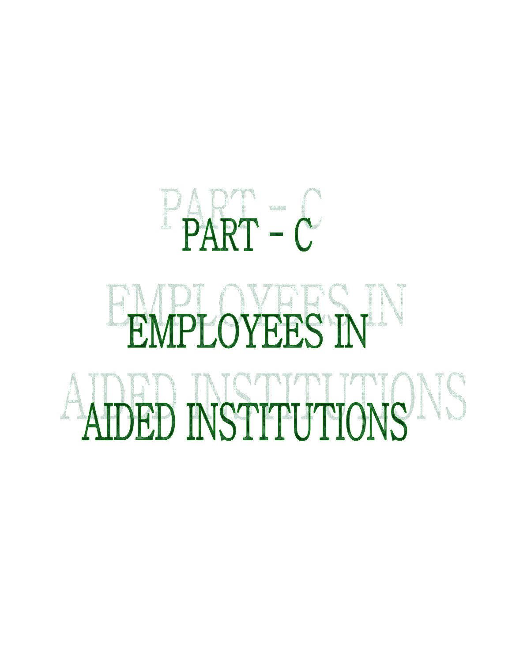# $P_{\text{PART}} = C$ EMPLOYEES IN ADED NSTITUTIONS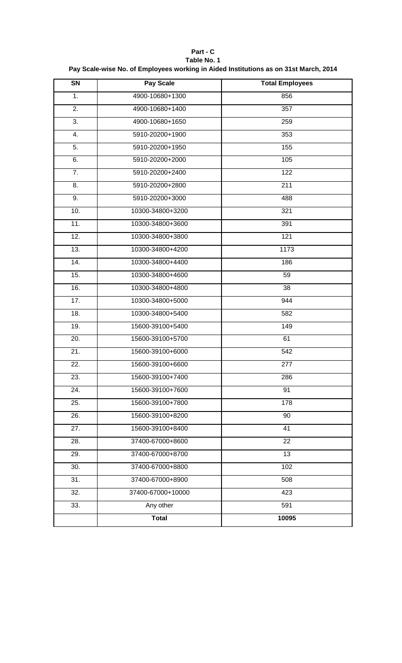| SN                | Pay Scale         | <b>Total Employees</b> |
|-------------------|-------------------|------------------------|
| 1.                | 4900-10680+1300   | 856                    |
| $\overline{2}$ .  | 4900-10680+1400   | 357                    |
| $\overline{3}$ .  | 4900-10680+1650   | 259                    |
| 4.                | 5910-20200+1900   | 353                    |
| 5.                | 5910-20200+1950   | 155                    |
| 6.                | 5910-20200+2000   | 105                    |
| $\overline{7}$ .  | 5910-20200+2400   | 122                    |
| 8.                | 5910-20200+2800   | $\overline{211}$       |
| 9.                | 5910-20200+3000   | 488                    |
| 10.               | 10300-34800+3200  | 321                    |
| 11.               | 10300-34800+3600  | 391                    |
| 12.               | 10300-34800+3800  | 121                    |
| 13.               | 10300-34800+4200  | 1173                   |
| 14.               | 10300-34800+4400  | 186                    |
| 15.               | 10300-34800+4600  | 59                     |
| 16.               | 10300-34800+4800  | $\overline{38}$        |
| 17.               | 10300-34800+5000  | 944                    |
| 18.               | 10300-34800+5400  | 582                    |
| 19.               | 15600-39100+5400  | 149                    |
| $\overline{20}$ . | 15600-39100+5700  | 61                     |
| $\overline{21}$ . | 15600-39100+6000  | $\overline{542}$       |
| 22.               | 15600-39100+6600  | 277                    |
| 23.               | 15600-39100+7400  | 286                    |
| 24.               | 15600-39100+7600  | 91                     |
| 25.               | 15600-39100+7800  | 178                    |
| 26.               | 15600-39100+8200  | 90                     |
| $\overline{27}$ . | 15600-39100+8400  | $\overline{41}$        |
| $\overline{28}$ . | 37400-67000+8600  | 22                     |
| 29.               | 37400-67000+8700  | 13                     |
| 30.               | 37400-67000+8800  | 102                    |
| 31.               | 37400-67000+8900  | 508                    |
| $\overline{32}$ . | 37400-67000+10000 | 423                    |
| 33.               | Any other         | 591                    |
|                   | <b>Total</b>      | 10095                  |

**Part - C Table No. 1 Pay Scale-wise No. of Employees working in Aided Institutions as on 31st March, 2014**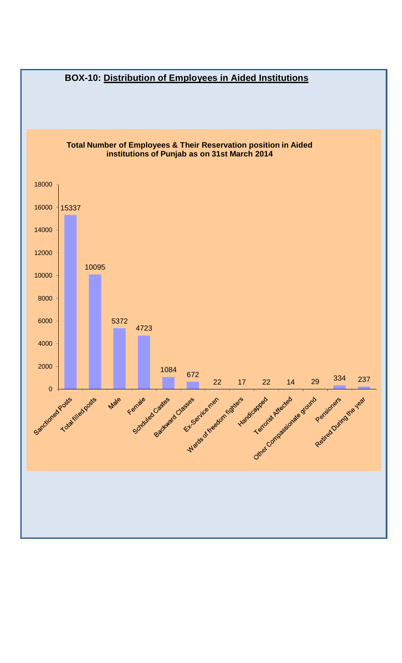![](_page_53_Figure_0.jpeg)